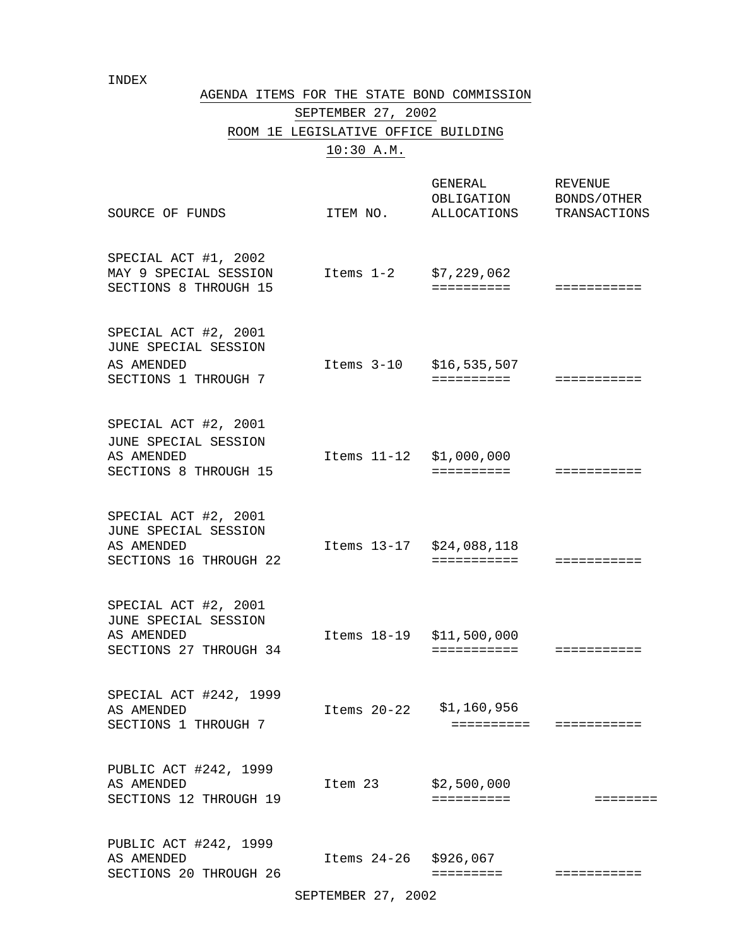#### INDEX

#### AGENDA ITEMS FOR THE STATE BOND COMMISSION

# SEPTEMBER 27, 2002 ROOM 1E LEGISLATIVE OFFICE BUILDING 10:30 A.M.

| SOURCE OF FUNDS                                                                      | ITEM NO.                 | GENERAL<br>OBLIGATION<br>ALLOCATIONS TRANSACTIONS | REVENUE<br>BONDS/OTHER  |
|--------------------------------------------------------------------------------------|--------------------------|---------------------------------------------------|-------------------------|
| SPECIAL ACT #1, 2002<br>MAY 9 SPECIAL SESSION<br>SECTIONS 8 THROUGH 15               | Items $1-2$ $$7,229,062$ | ==========                                        |                         |
| SPECIAL ACT #2, 2001<br>JUNE SPECIAL SESSION<br>AS AMENDED<br>SECTIONS 1 THROUGH 7   | Items 3-10 \$16,535,507  | ==========                                        | ===========             |
| SPECIAL ACT #2, 2001<br>JUNE SPECIAL SESSION<br>AS AMENDED<br>SECTIONS 8 THROUGH 15  | Items 11-12 \$1,000,000  | ==========                                        | ===========             |
| SPECIAL ACT #2, 2001<br>JUNE SPECIAL SESSION<br>AS AMENDED<br>SECTIONS 16 THROUGH 22 | Items 13-17 \$24,088,118 | ===========                                       | $=$ = = = = = = = = = = |
| SPECIAL ACT #2, 2001<br>JUNE SPECIAL SESSION<br>AS AMENDED<br>SECTIONS 27 THROUGH 34 | Items 18-19 \$11,500,000 | ===========                                       |                         |
| SPECIAL ACT #242, 1999<br>AS AMENDED<br>SECTIONS 1 THROUGH 7                         | Items 20-22              | \$1,160,956                                       | ==========  =========== |
| PUBLIC ACT #242, 1999<br>AS AMENDED<br>SECTIONS 12 THROUGH 19                        | Item 23                  | \$2,500,000<br>==========                         | ========                |
| PUBLIC ACT #242, 1999<br>AS AMENDED<br>SECTIONS 20 THROUGH 26                        | Items 24-26 \$926,067    | =========                                         | ===========             |

SEPTEMBER 27, 2002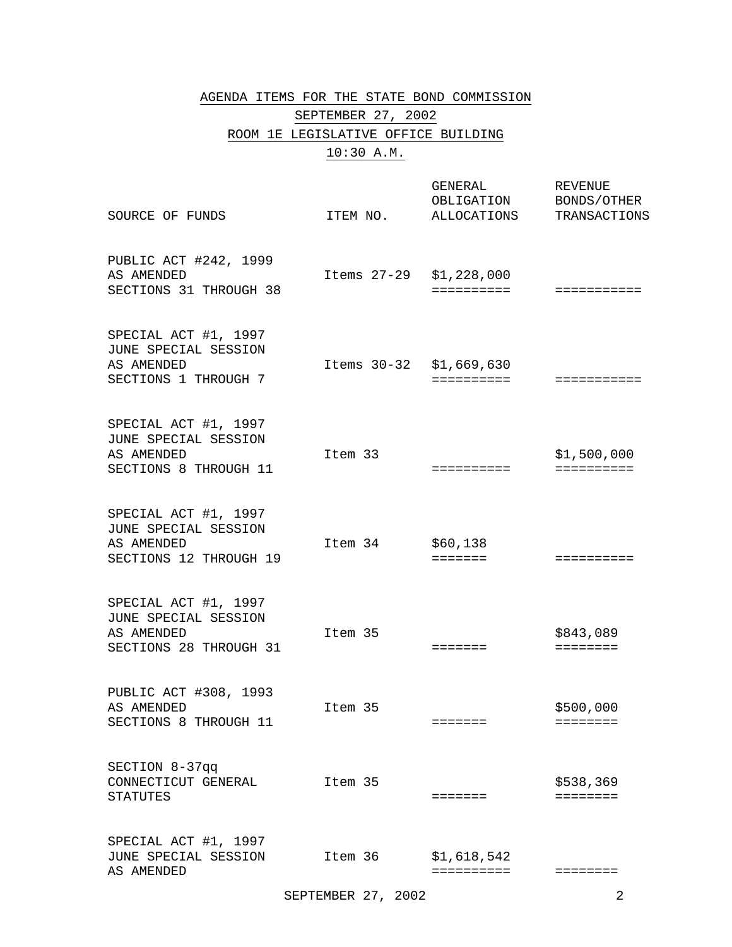#### AGENDA ITEMS FOR THE STATE BOND COMMISSION

# SEPTEMBER 27, 2002 ROOM 1E LEGISLATIVE OFFICE BUILDING

## 10:30 A.M.

| SOURCE OF FUNDS                                                                      | ITEM NO.                | GENERAL<br>OBLIGATION<br>ALLOCATIONS | <b>REVENUE</b><br>BONDS/OTHER<br>TRANSACTIONS |
|--------------------------------------------------------------------------------------|-------------------------|--------------------------------------|-----------------------------------------------|
| PUBLIC ACT #242, 1999<br>AS AMENDED<br>SECTIONS 31 THROUGH 38                        | Items 27-29 \$1,228,000 | ==========                           | ===========                                   |
| SPECIAL ACT #1, 1997<br>JUNE SPECIAL SESSION<br>AS AMENDED<br>SECTIONS 1 THROUGH 7   | Items 30-32 \$1,669,630 | ==========                           | ===========                                   |
| SPECIAL ACT #1, 1997<br>JUNE SPECIAL SESSION<br>AS AMENDED<br>SECTIONS 8 THROUGH 11  | Item 33                 | ==========                           | \$1,500,000<br>==========                     |
| SPECIAL ACT #1, 1997<br>JUNE SPECIAL SESSION<br>AS AMENDED<br>SECTIONS 12 THROUGH 19 | Item 34                 | \$60,138<br><b>EEEEEEE</b>           | ==========                                    |
| SPECIAL ACT #1, 1997<br>JUNE SPECIAL SESSION<br>AS AMENDED<br>SECTIONS 28 THROUGH 31 | Item 35                 | $=$ $=$ $=$ $=$ $=$ $=$              | \$843,089<br>========                         |
| PUBLIC ACT #308, 1993<br>AS AMENDED<br>SECTIONS 8 THROUGH 11                         | Item 35                 | =======                              | \$500,000<br>========                         |
| SECTION 8-37qq<br>CONNECTICUT GENERAL<br><b>STATUTES</b>                             | Item 35                 | =======                              | \$538,369<br>========                         |
| SPECIAL ACT #1, 1997<br>JUNE SPECIAL SESSION<br>AS AMENDED                           | Item 36                 | \$1,618,542<br>==========            | ========                                      |

SEPTEMBER 27, 2002 2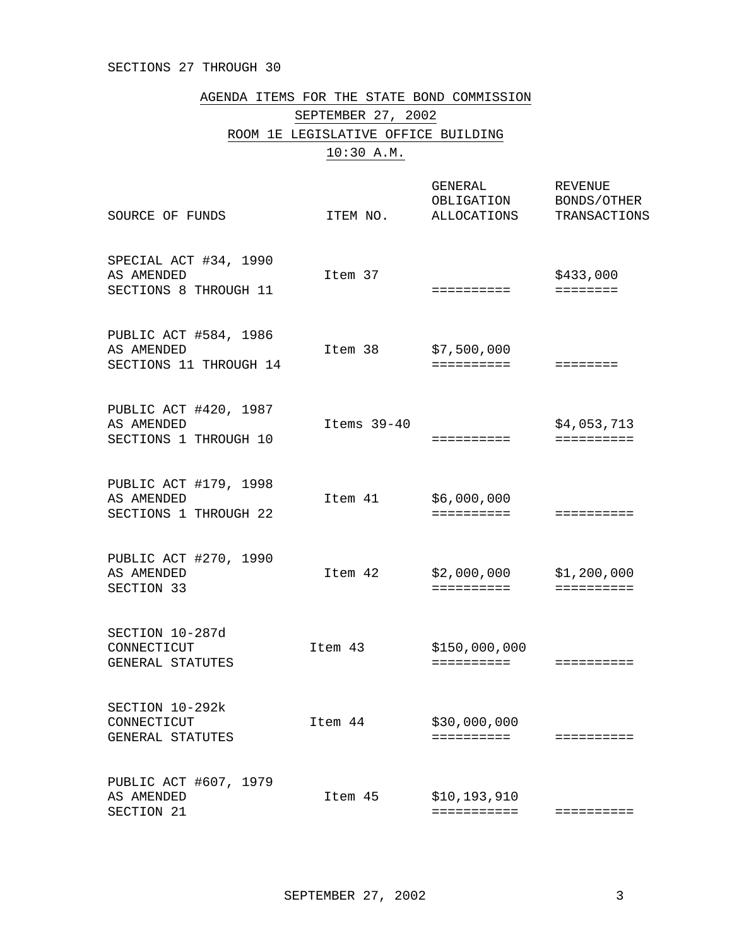#### SECTIONS 27 THROUGH 30

AGENDA ITEMS FOR THE STATE BOND COMMISSION

SEPTEMBER 27, 2002

ROOM 1E LEGISLATIVE OFFICE BUILDING

10:30 A.M.

| SOURCE OF FUNDS                                               | ITEM NO.      | <b>GENERAL</b><br>OBLIGATION<br>ALLOCATIONS | <b>REVENUE</b><br>BONDS/OTHER<br>TRANSACTIONS |
|---------------------------------------------------------------|---------------|---------------------------------------------|-----------------------------------------------|
| SPECIAL ACT #34, 1990<br>AS AMENDED<br>SECTIONS 8 THROUGH 11  | Item 37       | ==========                                  | \$433,000<br>========                         |
| PUBLIC ACT #584, 1986<br>AS AMENDED<br>SECTIONS 11 THROUGH 14 | Item 38       | \$7,500,000<br>$=$ = = = = = = = = =        | ========                                      |
| PUBLIC ACT #420, 1987<br>AS AMENDED<br>SECTIONS 1 THROUGH 10  | Items $39-40$ | ==========                                  | \$4,053,713<br>==========                     |
| PUBLIC ACT #179, 1998<br>AS AMENDED<br>SECTIONS 1 THROUGH 22  | Item 41       | \$6,000,000<br>==========                   | ==========                                    |
| PUBLIC ACT #270, 1990<br>AS AMENDED<br>SECTION 33             | Item 42       | \$2,000,000<br>==========                   | \$1,200,000<br>$=$ = = = = = = = = =          |
| SECTION 10-287d<br>CONNECTICUT<br>GENERAL STATUTES            | Item 43       | \$150,000,000<br>==========                 | ==========                                    |
| SECTION 10-292k<br>CONNECTICUT<br>GENERAL STATUTES            | Item 44       | \$30,000,000<br>==========                  | ==========                                    |
| PUBLIC ACT #607, 1979<br>AS AMENDED<br>SECTION 21             | Item 45       | \$10,193,910<br>===========                 | :=========                                    |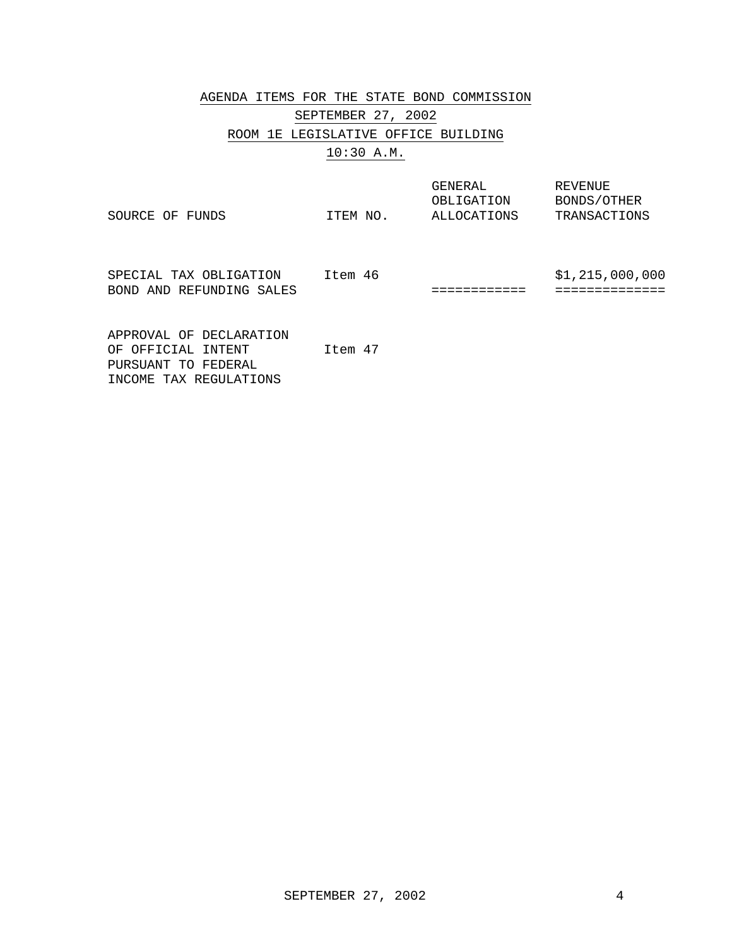# AGENDA ITEMS FOR THE STATE BOND COMMISSION SEPTEMBER 27, 2002 ROOM 1E LEGISLATIVE OFFICE BUILDING 10:30 A.M.

| SOURCE OF<br>FUNDS                                                                             | ITEM NO. | GENERAL<br>OBLIGATION<br>ALLOCATIONS | REVENUE<br>BONDS/OTHER<br>TRANSACTIONS |
|------------------------------------------------------------------------------------------------|----------|--------------------------------------|----------------------------------------|
| SPECIAL TAX OBLIGATION<br>BOND AND REFUNDING SALES                                             | Item 46  |                                      | \$1,215,000,000                        |
| APPROVAL OF DECLARATION<br>OF OFFICIAL INTENT<br>PURSUANT TO FEDERAL<br>INCOME TAX REGULATIONS | Ttem 47  |                                      |                                        |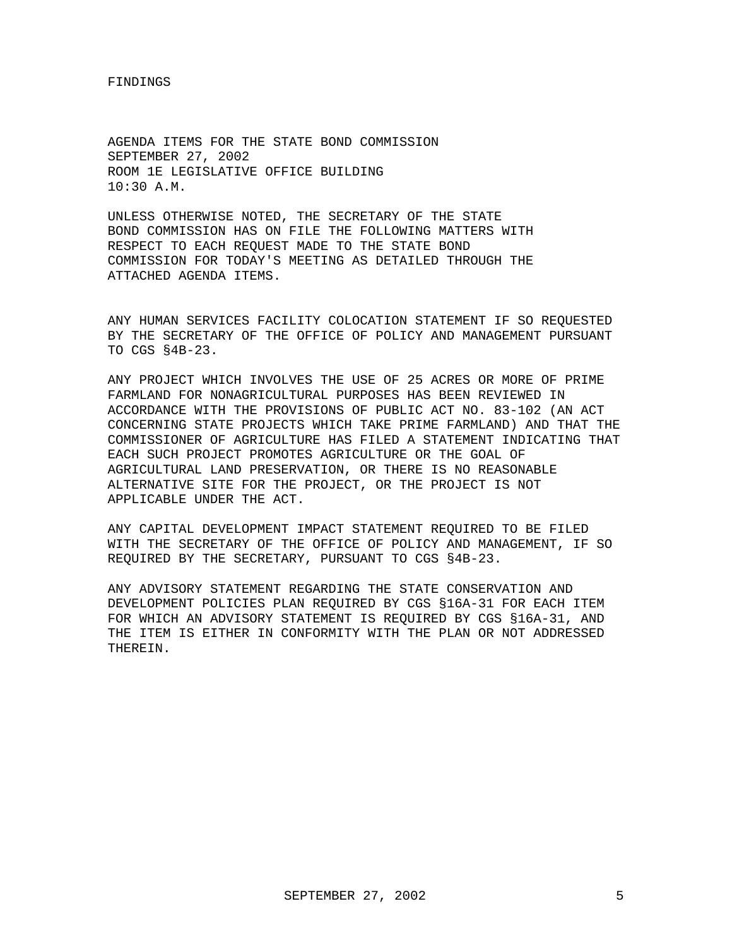FINDINGS

AGENDA ITEMS FOR THE STATE BOND COMMISSION SEPTEMBER 27, 2002 ROOM 1E LEGISLATIVE OFFICE BUILDING 10:30 A.M.

UNLESS OTHERWISE NOTED, THE SECRETARY OF THE STATE BOND COMMISSION HAS ON FILE THE FOLLOWING MATTERS WITH RESPECT TO EACH REQUEST MADE TO THE STATE BOND COMMISSION FOR TODAY'S MEETING AS DETAILED THROUGH THE ATTACHED AGENDA ITEMS.

ANY HUMAN SERVICES FACILITY COLOCATION STATEMENT IF SO REQUESTED BY THE SECRETARY OF THE OFFICE OF POLICY AND MANAGEMENT PURSUANT TO CGS §4B-23.

ANY PROJECT WHICH INVOLVES THE USE OF 25 ACRES OR MORE OF PRIME FARMLAND FOR NONAGRICULTURAL PURPOSES HAS BEEN REVIEWED IN ACCORDANCE WITH THE PROVISIONS OF PUBLIC ACT NO. 83-102 (AN ACT CONCERNING STATE PROJECTS WHICH TAKE PRIME FARMLAND) AND THAT THE COMMISSIONER OF AGRICULTURE HAS FILED A STATEMENT INDICATING THAT EACH SUCH PROJECT PROMOTES AGRICULTURE OR THE GOAL OF AGRICULTURAL LAND PRESERVATION, OR THERE IS NO REASONABLE ALTERNATIVE SITE FOR THE PROJECT, OR THE PROJECT IS NOT APPLICABLE UNDER THE ACT.

ANY CAPITAL DEVELOPMENT IMPACT STATEMENT REQUIRED TO BE FILED WITH THE SECRETARY OF THE OFFICE OF POLICY AND MANAGEMENT, IF SO REQUIRED BY THE SECRETARY, PURSUANT TO CGS §4B-23.

ANY ADVISORY STATEMENT REGARDING THE STATE CONSERVATION AND DEVELOPMENT POLICIES PLAN REQUIRED BY CGS §16A-31 FOR EACH ITEM FOR WHICH AN ADVISORY STATEMENT IS REQUIRED BY CGS §16A-31, AND THE ITEM IS EITHER IN CONFORMITY WITH THE PLAN OR NOT ADDRESSED THEREIN.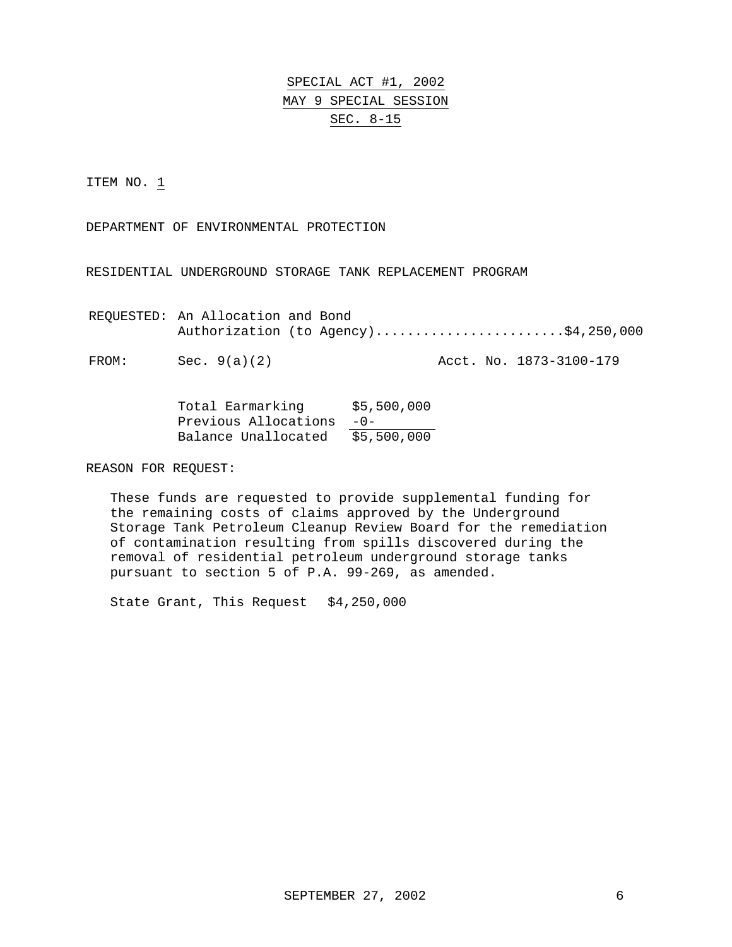SPECIAL ACT #1, 2002 MAY 9 SPECIAL SESSION SEC. 8-15

ITEM NO. 1

DEPARTMENT OF ENVIRONMENTAL PROTECTION

RESIDENTIAL UNDERGROUND STORAGE TANK REPLACEMENT PROGRAM

REQUESTED: An Allocation and Bond Authorization (to Agency).........................\$4,250,000

FROM: Sec. 9(a)(2) Acct. No. 1873-3100-179

| Total Earmarking     | \$5,500,000 |
|----------------------|-------------|
| Previous Allocations | $-0-$       |
| Balance Unallocated  | \$5,500,000 |

REASON FOR REQUEST:

These funds are requested to provide supplemental funding for the remaining costs of claims approved by the Underground Storage Tank Petroleum Cleanup Review Board for the remediation of contamination resulting from spills discovered during the removal of residential petroleum underground storage tanks pursuant to section 5 of P.A. 99-269, as amended.

State Grant, This Request \$4,250,000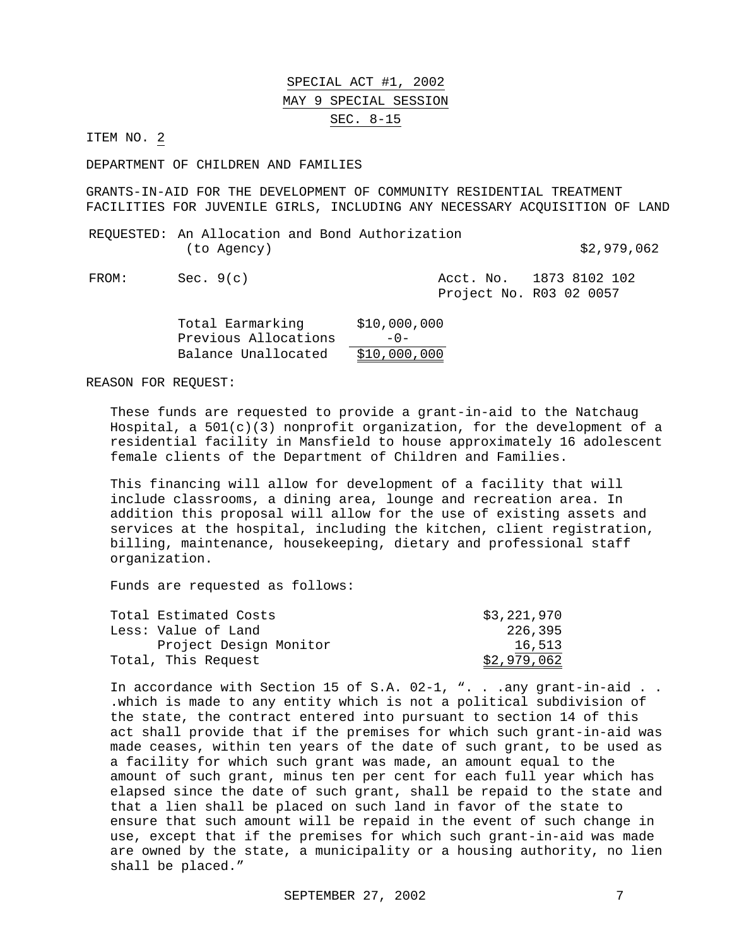#### SPECIAL ACT #1, 2002 MAY 9 SPECIAL SESSION SEC. 8-15

ITEM NO. 2

DEPARTMENT OF CHILDREN AND FAMILIES

GRANTS-IN-AID FOR THE DEVELOPMENT OF COMMUNITY RESIDENTIAL TREATMENT FACILITIES FOR JUVENILE GIRLS, INCLUDING ANY NECESSARY ACQUISITION OF LAND

REQUESTED: An Allocation and Bond Authorization (to Agency) \$2,979,062

FROM: Sec. 9(c) 2008 Acct. No. 1873 8102 102 Project No. R03 02 0057

| Total Earmarking     | \$10,000,000 |
|----------------------|--------------|
| Previous Allocations | $-0-$        |
| Balance Unallocated  | \$10,000,000 |

REASON FOR REQUEST:

These funds are requested to provide a grant-in-aid to the Natchaug Hospital, a  $501(c)(3)$  nonprofit organization, for the development of a residential facility in Mansfield to house approximately 16 adolescent female clients of the Department of Children and Families.

This financing will allow for development of a facility that will include classrooms, a dining area, lounge and recreation area. In addition this proposal will allow for the use of existing assets and services at the hospital, including the kitchen, client registration, billing, maintenance, housekeeping, dietary and professional staff organization.

Funds are requested as follows:

| Total Estimated Costs  | \$3,221,970 |
|------------------------|-------------|
| Less: Value of Land    | 226,395     |
| Project Design Monitor | 16,513      |
| Total, This Request    | \$2,979,062 |

In accordance with Section 15 of S.A. 02-1, ". . . any grant-in-aid . . .which is made to any entity which is not a political subdivision of the state, the contract entered into pursuant to section 14 of this act shall provide that if the premises for which such grant-in-aid was made ceases, within ten years of the date of such grant, to be used as a facility for which such grant was made, an amount equal to the amount of such grant, minus ten per cent for each full year which has elapsed since the date of such grant, shall be repaid to the state and that a lien shall be placed on such land in favor of the state to ensure that such amount will be repaid in the event of such change in use, except that if the premises for which such grant-in-aid was made are owned by the state, a municipality or a housing authority, no lien shall be placed."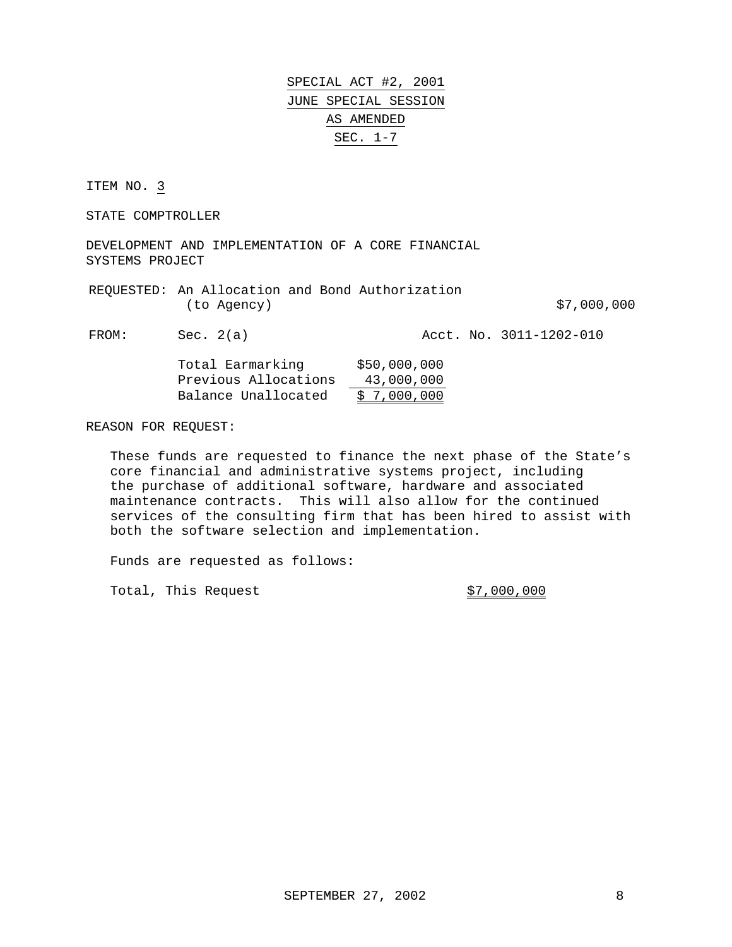ITEM NO. 3

STATE COMPTROLLER

DEVELOPMENT AND IMPLEMENTATION OF A CORE FINANCIAL SYSTEMS PROJECT

REQUESTED: An Allocation and Bond Authorization (to Agency) 67,000,000

FROM: Sec. 2(a) Acct. No. 3011-1202-010

| Total Earmarking     | \$50,000,000 |
|----------------------|--------------|
| Previous Allocations | 43,000,000   |
| Balance Unallocated  | \$7,000,000  |

REASON FOR REQUEST:

These funds are requested to finance the next phase of the State's core financial and administrative systems project, including the purchase of additional software, hardware and associated maintenance contracts. This will also allow for the continued services of the consulting firm that has been hired to assist with both the software selection and implementation.

Funds are requested as follows:

Total, This Request  $$7,000,000$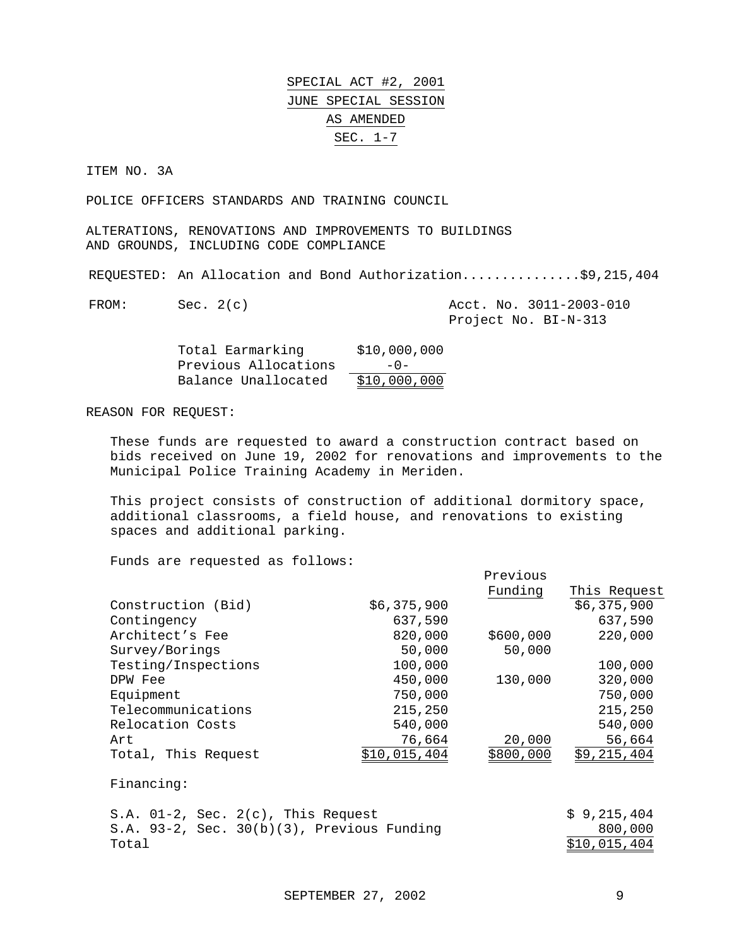ITEM NO. 3A

POLICE OFFICERS STANDARDS AND TRAINING COUNCIL

ALTERATIONS, RENOVATIONS AND IMPROVEMENTS TO BUILDINGS AND GROUNDS, INCLUDING CODE COMPLIANCE

REQUESTED: An Allocation and Bond Authorization...............\$9,215,404

 $FROM:$  Sec.  $2(c)$ 

|  | Acct. No. 3011-2003-010 |
|--|-------------------------|
|  | Project No. BI-N-313    |

| Total Earmarking     | \$10,000,000 |
|----------------------|--------------|
| Previous Allocations | $-0-$        |
| Balance Unallocated  | \$10,000,000 |

REASON FOR REQUEST:

These funds are requested to award a construction contract based on bids received on June 19, 2002 for renovations and improvements to the Municipal Police Training Academy in Meriden.

This project consists of construction of additional dormitory space, additional classrooms, a field house, and renovations to existing spaces and additional parking.

|                                                  |              | Previous  |              |
|--------------------------------------------------|--------------|-----------|--------------|
|                                                  |              | Funding   | This Request |
| Construction (Bid)                               | \$6,375,900  |           | \$6,375,900  |
| Contingency                                      | 637,590      |           | 637,590      |
| Architect's Fee                                  | 820,000      | \$600,000 | 220,000      |
| Survey/Borings                                   | 50,000       | 50,000    |              |
| Testing/Inspections                              | 100,000      |           | 100,000      |
| DPW Fee                                          | 450,000      | 130,000   | 320,000      |
| Equipment                                        | 750,000      |           | 750,000      |
| Telecommunications                               | 215,250      |           | 215,250      |
| Relocation Costs                                 | 540,000      |           | 540,000      |
| Art                                              | 76,664       | 20,000    | 56,664       |
| Total, This Request                              | \$10,015,404 | \$800,000 | \$9,215,404  |
| Financing:                                       |              |           |              |
| S.A. $01-2$ , Sec. $2(c)$ , This Request         |              |           | \$9,215,404  |
| S.A. $93-2$ , Sec. $30(b)(3)$ , Previous Funding |              |           | 800,000      |
| Total                                            |              |           | \$10,015,404 |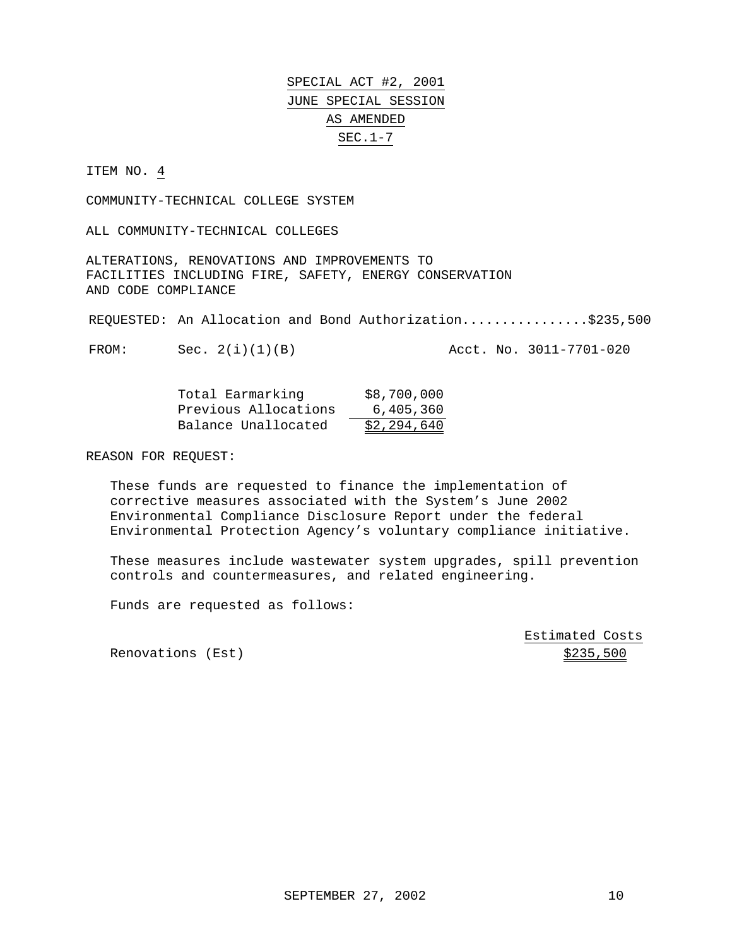ITEM NO.  $4$ 

COMMUNITY-TECHNICAL COLLEGE SYSTEM

ALL COMMUNITY-TECHNICAL COLLEGES

ALTERATIONS, RENOVATIONS AND IMPROVEMENTS TO FACILITIES INCLUDING FIRE, SAFETY, ENERGY CONSERVATION AND CODE COMPLIANCE

REQUESTED: An Allocation and Bond Authorization................\$235,500

FROM: Sec. 2(i)(1)(B) Acct. No. 3011-7701-020

| Total Earmarking     | \$8,700,000 |
|----------------------|-------------|
| Previous Allocations | 6,405,360   |
| Balance Unallocated  | \$2,294,640 |

REASON FOR REQUEST:

These funds are requested to finance the implementation of corrective measures associated with the System's June 2002 Environmental Compliance Disclosure Report under the federal Environmental Protection Agency's voluntary compliance initiative.

These measures include wastewater system upgrades, spill prevention controls and countermeasures, and related engineering.

Funds are requested as follows:

Estimated Costs

Renovations (Est)  $\frac{1}{2}$   $\frac{1}{2}$   $\frac{1}{2}$   $\frac{1}{2}$   $\frac{1}{2}$   $\frac{1}{2}$   $\frac{1}{2}$   $\frac{1}{2}$   $\frac{1}{2}$   $\frac{1}{2}$   $\frac{1}{2}$   $\frac{1}{2}$   $\frac{1}{2}$   $\frac{1}{2}$   $\frac{1}{2}$   $\frac{1}{2}$   $\frac{1}{2}$   $\frac{1}{2}$   $\frac{1}{2}$   $\frac{1}{2}$   $\frac{$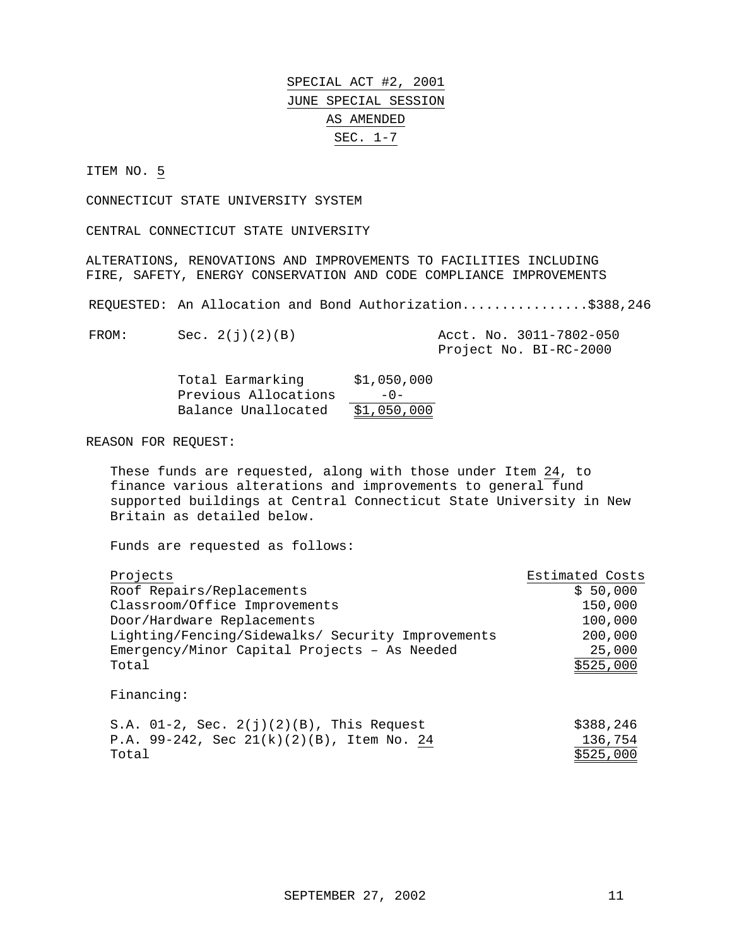ITEM NO. 5

CONNECTICUT STATE UNIVERSITY SYSTEM

CENTRAL CONNECTICUT STATE UNIVERSITY

ALTERATIONS, RENOVATIONS AND IMPROVEMENTS TO FACILITIES INCLUDING FIRE, SAFETY, ENERGY CONSERVATION AND CODE COMPLIANCE IMPROVEMENTS

REQUESTED: An Allocation and Bond Authorization................\$388,246

FROM: Sec. 2(j)(2)(B) Acct. No. 3011-7802-050 Project No. BI-RC-2000

| Total Earmarking     | \$1,050,000 |
|----------------------|-------------|
| Previous Allocations | $-0$ –      |
| Balance Unallocated  | \$1,050,000 |

REASON FOR REQUEST:

These funds are requested, along with those under Item 24, to finance various alterations and improvements to general fund supported buildings at Central Connecticut State University in New Britain as detailed below.

Funds are requested as follows:

| Projects                                          | Estimated Costs |
|---------------------------------------------------|-----------------|
| Roof Repairs/Replacements                         | \$50,000        |
| Classroom/Office Improvements                     | 150,000         |
| Door/Hardware Replacements                        | 100,000         |
| Lighting/Fencing/Sidewalks/ Security Improvements | 200,000         |
| Emergency/Minor Capital Projects - As Needed      | 25,000          |
| Total                                             | \$525,000       |
| Financing:                                        |                 |
| S.A. $01-2$ , Sec. $2(j)(2)(B)$ , This Request    | \$388,246       |
| P.A. $99-242$ , Sec $21(k)(2)(B)$ , Item No. 24   | 136,754         |

 $\texttt{Total}$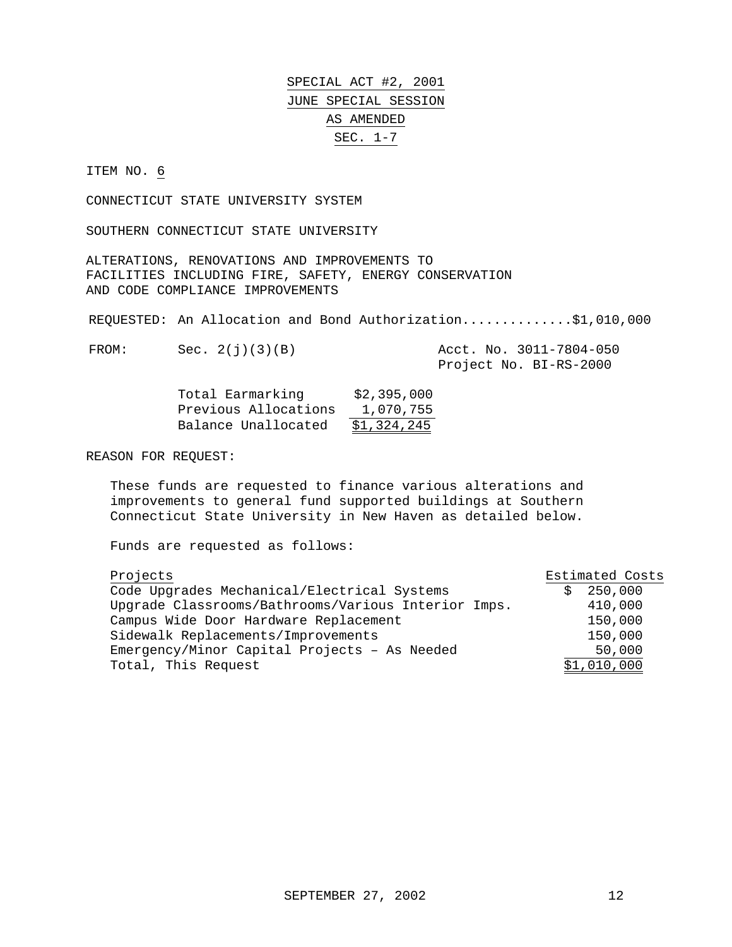#### ITEM NO. 6

CONNECTICUT STATE UNIVERSITY SYSTEM

SOUTHERN CONNECTICUT STATE UNIVERSITY

ALTERATIONS, RENOVATIONS AND IMPROVEMENTS TO FACILITIES INCLUDING FIRE, SAFETY, ENERGY CONSERVATION AND CODE COMPLIANCE IMPROVEMENTS

REQUESTED: An Allocation and Bond Authorization..............\$1,010,000

FROM: Sec. 2(j)(3)(B) Acct. No. 3011-7804-050

Project No. BI-RS-2000

| Total Earmarking     | \$2,395,000 |
|----------------------|-------------|
| Previous Allocations | 1,070,755   |
| Balance Unallocated  | \$1,324,245 |

REASON FOR REQUEST:

These funds are requested to finance various alterations and improvements to general fund supported buildings at Southern Connecticut State University in New Haven as detailed below.

| Projects                                            | Estimated Costs |
|-----------------------------------------------------|-----------------|
| Code Upgrades Mechanical/Electrical Systems         | 250,000         |
| Upgrade Classrooms/Bathrooms/Various Interior Imps. | 410,000         |
| Campus Wide Door Hardware Replacement               | 150,000         |
| Sidewalk Replacements/Improvements                  | 150,000         |
| Emergency/Minor Capital Projects - As Needed        | 50,000          |
| Total, This Request                                 | \$1,010,000     |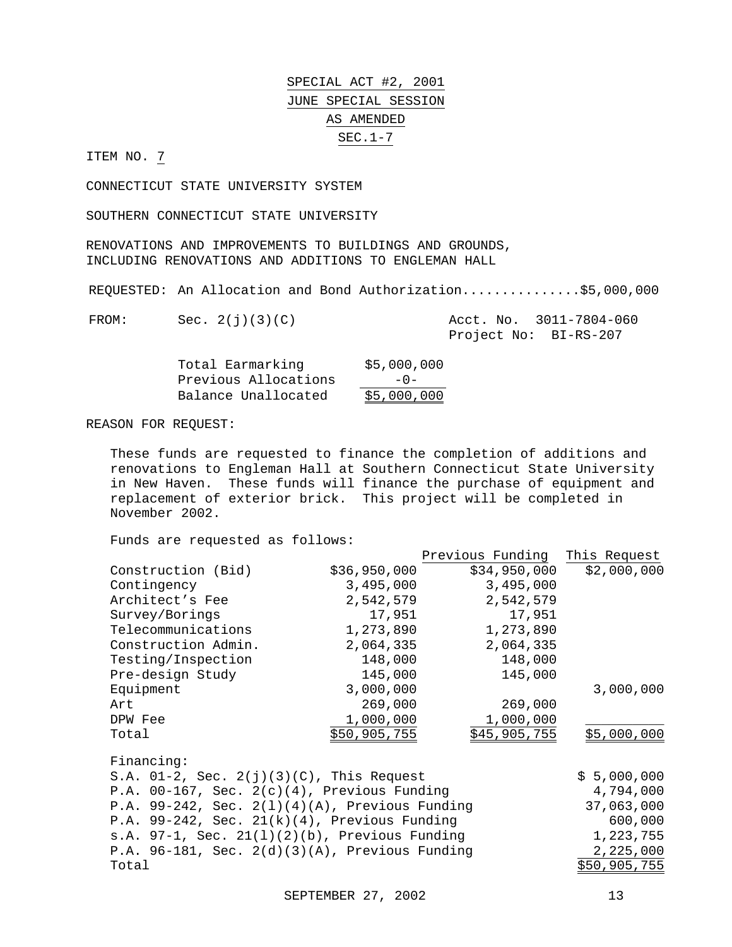ITEM NO. 7

CONNECTICUT STATE UNIVERSITY SYSTEM

SOUTHERN CONNECTICUT STATE UNIVERSITY

RENOVATIONS AND IMPROVEMENTS TO BUILDINGS AND GROUNDS, INCLUDING RENOVATIONS AND ADDITIONS TO ENGLEMAN HALL

REQUESTED: An Allocation and Bond Authorization...............\$5,000,000

FROM: Sec. 2(j)(3)(C) Acct. No. 3011-7804-060 Project No: BI-RS-207

| Total Earmarking     | \$5,000,000 |
|----------------------|-------------|
| Previous Allocations | $-0-$       |
| Balance Unallocated  | \$5,000,000 |

#### REASON FOR REQUEST:

These funds are requested to finance the completion of additions and renovations to Engleman Hall at Southern Connecticut State University in New Haven. These funds will finance the purchase of equipment and replacement of exterior brick. This project will be completed in November 2002.

Funds are requested as follows:

|                     |              | Previous Funding | This Request |
|---------------------|--------------|------------------|--------------|
| Construction (Bid)  | \$36,950,000 | \$34,950,000     | \$2,000,000  |
| Contingency         | 3,495,000    | 3,495,000        |              |
| Architect's Fee     | 2,542,579    | 2,542,579        |              |
| Survey/Borings      | 17,951       | 17,951           |              |
| Telecommunications  | 1,273,890    | 1,273,890        |              |
| Construction Admin. | 2,064,335    | 2,064,335        |              |
| Testing/Inspection  | 148,000      | 148,000          |              |
| Pre-design Study    | 145,000      | 145,000          |              |
| Equipment           | 3,000,000    |                  | 3,000,000    |
| Art                 | 269,000      | 269,000          |              |
| DPW Fee             | 1,000,000    | 1,000,000        |              |
| Total               | \$50,905,755 | \$45,905,755     | \$5,000,000  |
| Financing:          |              |                  |              |

S.A.  $01-2$ , Sec.  $2(j)(3)(C)$ , This Request  $$5,000,000$ P.A. 00-167, Sec. 2(c)(4), Previous Funding 4,794,000 P.A. 99-242, Sec. 2(l)(4)(A), Previous Funding 37,063,000 P.A. 99-242, Sec. 21(k)(4), Previous Funding 600,000 s.A. 97-1, Sec. 21(1)(2)(b), Previous Funding 1,223,755 P.A. 96-181, Sec. 2(d)(3)(A), Previous Funding 2,225,000 Total \$50,905,755

SEPTEMBER 27, 2002 13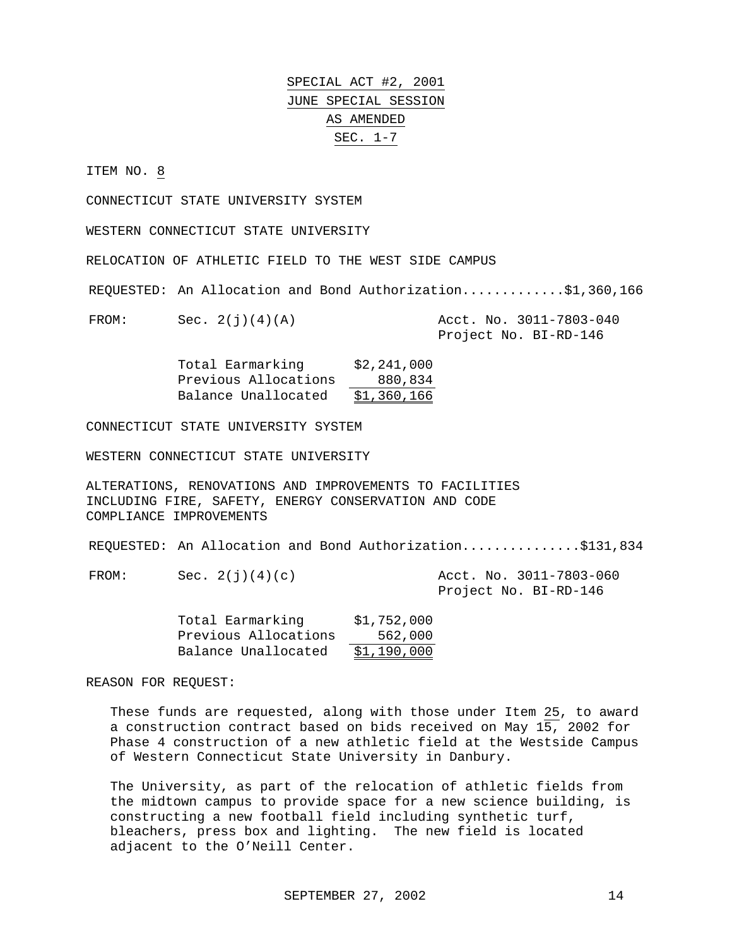ITEM NO. 8

CONNECTICUT STATE UNIVERSITY SYSTEM

WESTERN CONNECTICUT STATE UNIVERSITY

RELOCATION OF ATHLETIC FIELD TO THE WEST SIDE CAMPUS

REQUESTED: An Allocation and Bond Authorization.............\$1,360,166

FROM: Sec. 2(j)(4)(A) Acct. No. 3011-7803-040

Project No. BI-RD-146

Total Earmarking \$2,241,000 Previous Allocations 880,834 Balance Unallocated \$1,360,166

CONNECTICUT STATE UNIVERSITY SYSTEM

WESTERN CONNECTICUT STATE UNIVERSITY

ALTERATIONS, RENOVATIONS AND IMPROVEMENTS TO FACILITIES INCLUDING FIRE, SAFETY, ENERGY CONSERVATION AND CODE COMPLIANCE IMPROVEMENTS

REQUESTED: An Allocation and Bond Authorization..............\$131,834

FROM: Sec. 2(j)(4)(c) Acct. No. 3011-7803-060 Project No. BI-RD-146

| Total Earmarking     | \$1,752,000 |
|----------------------|-------------|
| Previous Allocations | 562,000     |
| Balance Unallocated  | \$1,190,000 |

REASON FOR REQUEST:

These funds are requested, along with those under Item 25, to award a construction contract based on bids received on May 15, 2002 for Phase 4 construction of a new athletic field at the Westside Campus of Western Connecticut State University in Danbury.

The University, as part of the relocation of athletic fields from the midtown campus to provide space for a new science building, is constructing a new football field including synthetic turf, bleachers, press box and lighting. The new field is located adjacent to the O'Neill Center.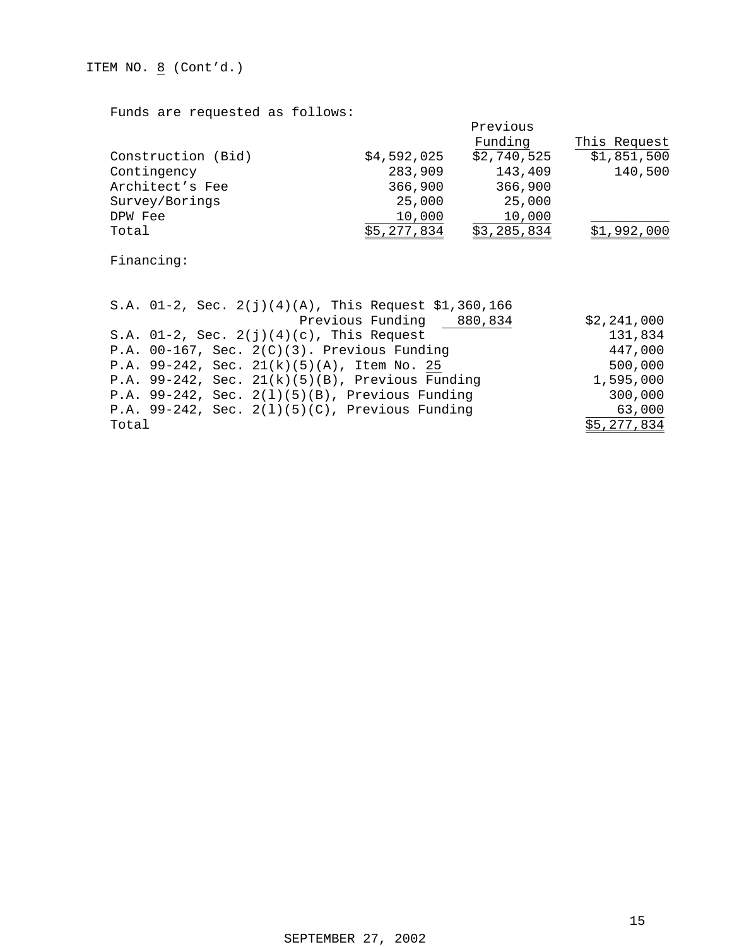ITEM NO.  $\underline{8}$  (Cont'd.)

Funds are requested as follows:

|                    |             | Previous    |              |
|--------------------|-------------|-------------|--------------|
|                    |             | Funding     | This Request |
| Construction (Bid) | \$4,592,025 | \$2,740,525 | \$1,851,500  |
| Contingency        | 283,909     | 143,409     | 140,500      |
| Architect's Fee    | 366,900     | 366,900     |              |
| Survey/Borings     | 25,000      | 25,000      |              |
| DPW Fee            | 10,000      | 10,000      |              |
| Total              | \$5,277,834 | \$3,285,834 | \$1,992,000  |

Financing:

| S.A. 01-2, Sec. 2(j)(4)(A), This Request \$1,360,166  |             |
|-------------------------------------------------------|-------------|
| Previous Funding 880,834                              | \$2,241,000 |
| S.A. $01-2$ , Sec. $2(j)(4)(c)$ , This Request        | 131,834     |
| P.A. $00-167$ , Sec. $2(C)(3)$ . Previous Funding     | 447,000     |
| P.A. 99-242, Sec. $21(k)(5)(A)$ , Item No. 25         | 500,000     |
| P.A. $99-242$ , Sec. $21(k)(5)(B)$ , Previous Funding | 1,595,000   |
| P.A. 99-242, Sec. $2(1)(5)(B)$ , Previous Funding     | 300,000     |
| P.A. 99-242, Sec. $2(1)(5)(C)$ , Previous Funding     | 63,000      |
| Total                                                 | \$5,277,834 |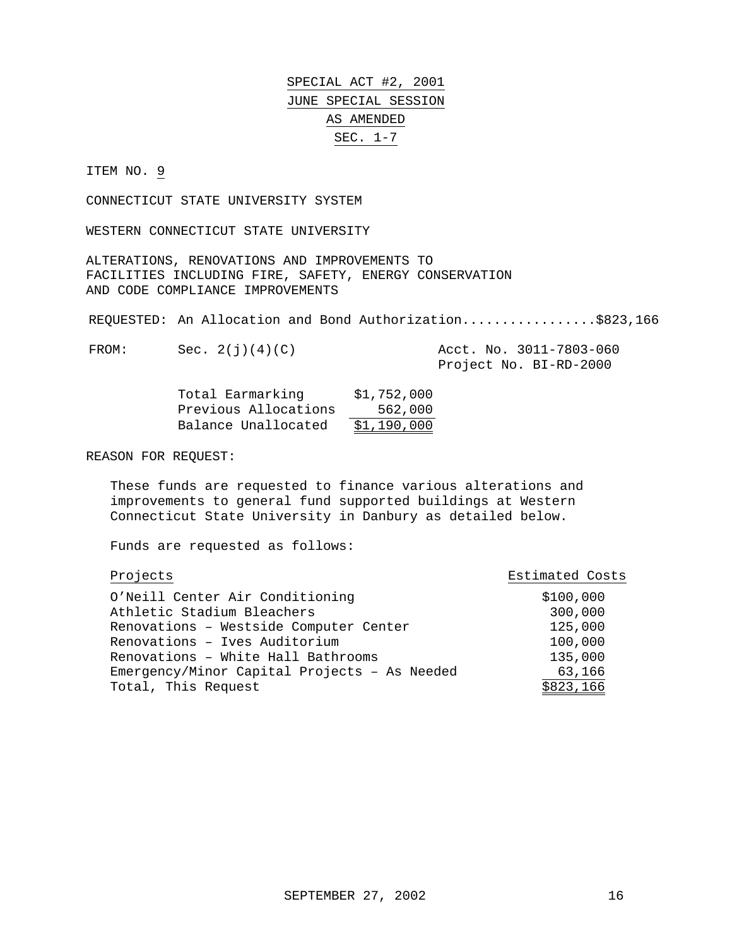#### ITEM NO. 9

CONNECTICUT STATE UNIVERSITY SYSTEM

WESTERN CONNECTICUT STATE UNIVERSITY

ALTERATIONS, RENOVATIONS AND IMPROVEMENTS TO FACILITIES INCLUDING FIRE, SAFETY, ENERGY CONSERVATION AND CODE COMPLIANCE IMPROVEMENTS

REQUESTED: An Allocation and Bond Authorization.................\$823,166

FROM: Sec. 2(j)(4)(C) Acct. No. 3011-7803-060

Project No. BI-RD-2000

| Total Earmarking     | \$1,752,000 |
|----------------------|-------------|
| Previous Allocations | 562,000     |
| Balance Unallocated  | \$1,190,000 |

REASON FOR REQUEST:

These funds are requested to finance various alterations and improvements to general fund supported buildings at Western Connecticut State University in Danbury as detailed below.

| Projects                                     | Estimated Costs |
|----------------------------------------------|-----------------|
| O'Neill Center Air Conditioning              | \$100,000       |
| Athletic Stadium Bleachers                   | 300,000         |
| Renovations - Westside Computer Center       | 125,000         |
| Renovations - Ives Auditorium                | 100,000         |
| Renovations - White Hall Bathrooms           | 135,000         |
| Emergency/Minor Capital Projects - As Needed | 63,166          |
| Total, This Request                          | \$823,166       |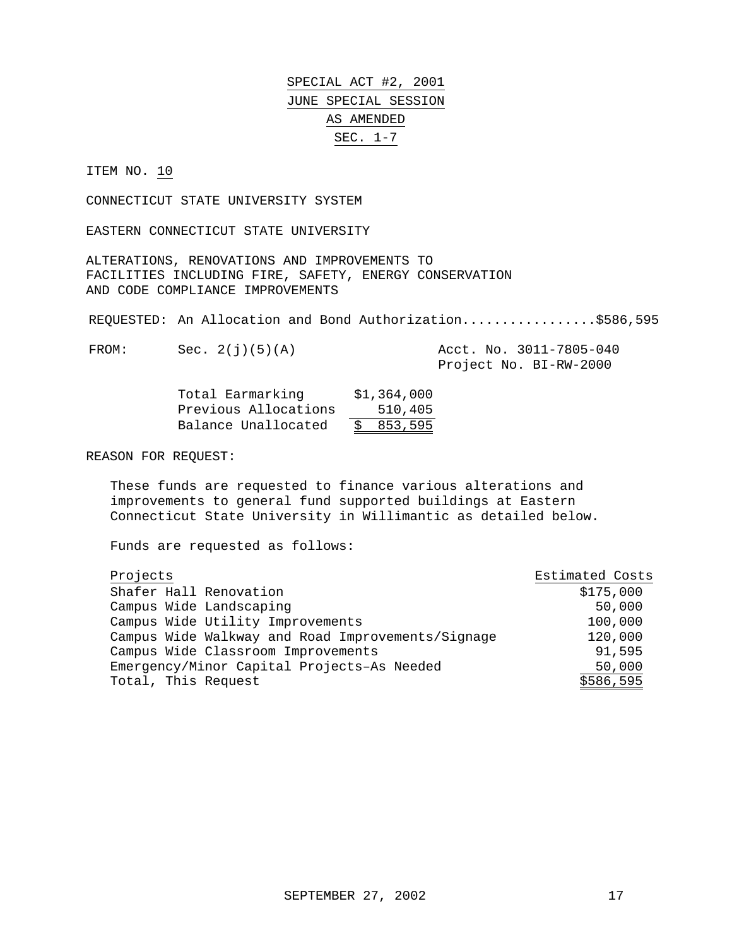ITEM NO. 10

CONNECTICUT STATE UNIVERSITY SYSTEM

EASTERN CONNECTICUT STATE UNIVERSITY

ALTERATIONS, RENOVATIONS AND IMPROVEMENTS TO FACILITIES INCLUDING FIRE, SAFETY, ENERGY CONSERVATION AND CODE COMPLIANCE IMPROVEMENTS

REQUESTED: An Allocation and Bond Authorization.................\$586,595

FROM: Sec. 2(j)(5)(A) Acct. No. 3011-7805-040

Project No. BI-RW-2000

| Total Earmarking     | \$1,364,000 |
|----------------------|-------------|
| Previous Allocations | 510,405     |
| Balance Unallocated  | \$853,595   |

REASON FOR REQUEST:

These funds are requested to finance various alterations and improvements to general fund supported buildings at Eastern Connecticut State University in Willimantic as detailed below.

| Projects                                          | Estimated Costs |
|---------------------------------------------------|-----------------|
| Shafer Hall Renovation                            | \$175,000       |
| Campus Wide Landscaping                           | 50,000          |
| Campus Wide Utility Improvements                  | 100,000         |
| Campus Wide Walkway and Road Improvements/Signage | 120,000         |
| Campus Wide Classroom Improvements                | 91,595          |
| Emergency/Minor Capital Projects-As Needed        | 50,000          |
| Total, This Request                               | \$586,595       |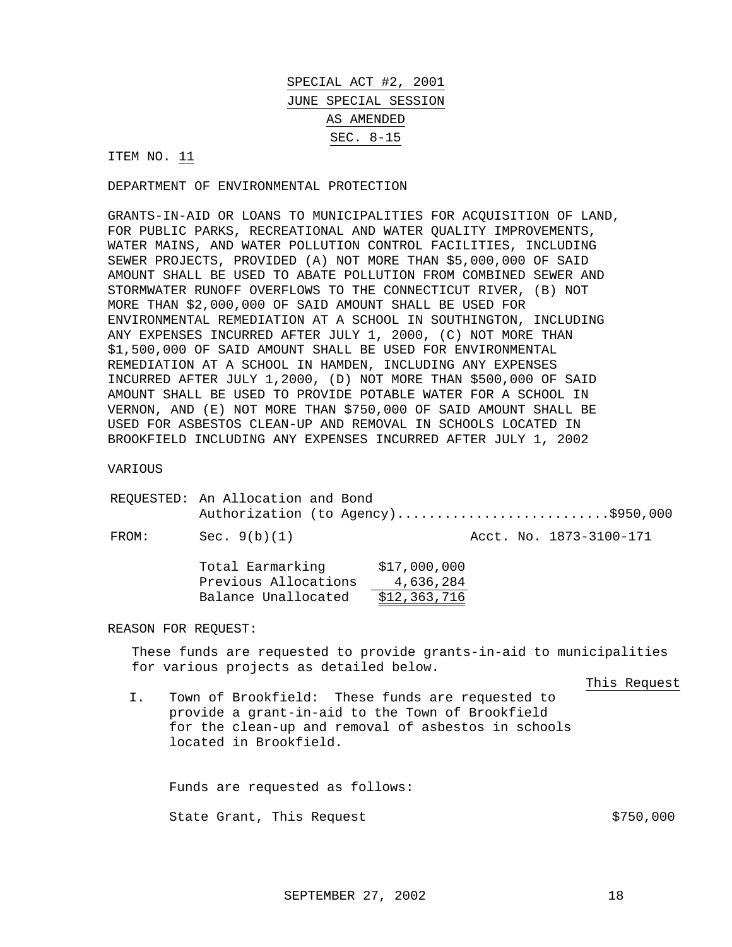ITEM NO. 11

DEPARTMENT OF ENVIRONMENTAL PROTECTION

GRANTS-IN-AID OR LOANS TO MUNICIPALITIES FOR ACQUISITION OF LAND, FOR PUBLIC PARKS, RECREATIONAL AND WATER QUALITY IMPROVEMENTS, WATER MAINS, AND WATER POLLUTION CONTROL FACILITIES, INCLUDING SEWER PROJECTS, PROVIDED (A) NOT MORE THAN \$5,000,000 OF SAID AMOUNT SHALL BE USED TO ABATE POLLUTION FROM COMBINED SEWER AND STORMWATER RUNOFF OVERFLOWS TO THE CONNECTICUT RIVER, (B) NOT MORE THAN \$2,000,000 OF SAID AMOUNT SHALL BE USED FOR ENVIRONMENTAL REMEDIATION AT A SCHOOL IN SOUTHINGTON, INCLUDING ANY EXPENSES INCURRED AFTER JULY 1, 2000, (C) NOT MORE THAN \$1,500,000 OF SAID AMOUNT SHALL BE USED FOR ENVIRONMENTAL REMEDIATION AT A SCHOOL IN HAMDEN, INCLUDING ANY EXPENSES INCURRED AFTER JULY 1,2000, (D) NOT MORE THAN \$500,000 OF SAID AMOUNT SHALL BE USED TO PROVIDE POTABLE WATER FOR A SCHOOL IN VERNON, AND (E) NOT MORE THAN \$750,000 OF SAID AMOUNT SHALL BE USED FOR ASBESTOS CLEAN-UP AND REMOVAL IN SCHOOLS LOCATED IN BROOKFIELD INCLUDING ANY EXPENSES INCURRED AFTER JULY 1, 2002

VARIOUS

|       | REQUESTED: An Allocation and Bond                               |                                           | Authorization (to Agency)\$950,000 |
|-------|-----------------------------------------------------------------|-------------------------------------------|------------------------------------|
| FROM: | Sec. $9(b)(1)$                                                  |                                           | Acct. No. 1873-3100-171            |
|       | Total Earmarking<br>Previous Allocations<br>Balance Unallocated | \$17,000,000<br>4,636,284<br>\$12,363,716 |                                    |

REASON FOR REQUEST:

These funds are requested to provide grants-in-aid to municipalities for various projects as detailed below.

This Request

I. Town of Brookfield: These funds are requested to provide a grant-in-aid to the Town of Brookfield for the clean-up and removal of asbestos in schools located in Brookfield.

Funds are requested as follows: State Grant, This Request  $$750,000$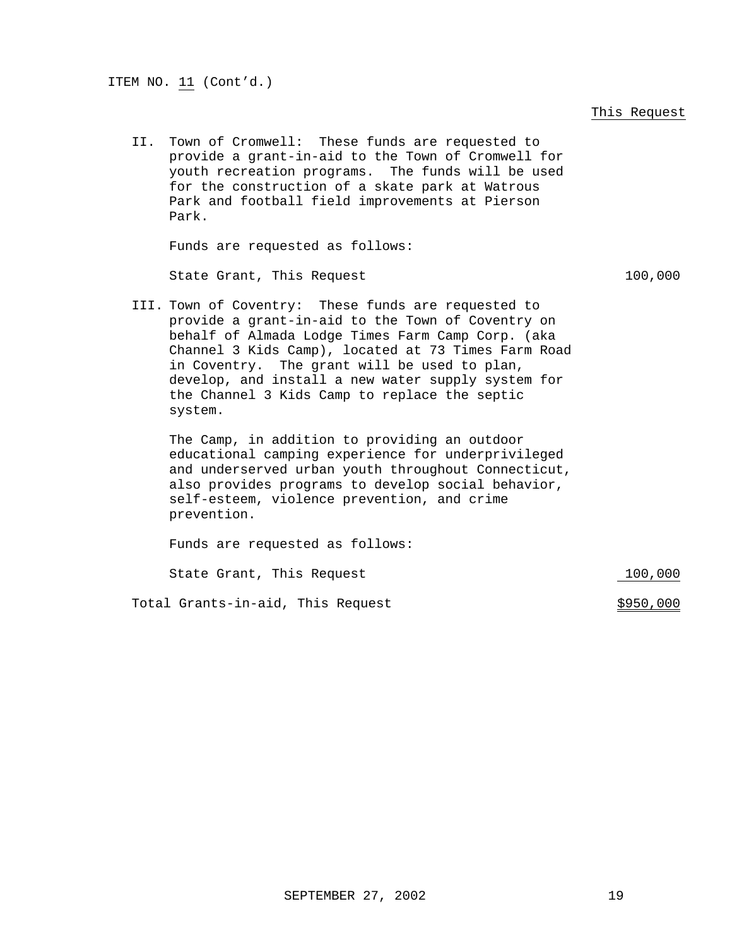#### This Request

II. Town of Cromwell: These funds are requested to provide a grant-in-aid to the Town of Cromwell for youth recreation programs. The funds will be used for the construction of a skate park at Watrous Park and football field improvements at Pierson Park.

Funds are requested as follows:

State Grant, This Request 100,000

III. Town of Coventry: These funds are requested to provide a grant-in-aid to the Town of Coventry on behalf of Almada Lodge Times Farm Camp Corp. (aka Channel 3 Kids Camp), located at 73 Times Farm Road in Coventry. The grant will be used to plan, develop, and install a new water supply system for the Channel 3 Kids Camp to replace the septic system.

The Camp, in addition to providing an outdoor educational camping experience for underprivileged and underserved urban youth throughout Connecticut, also provides programs to develop social behavior, self-esteem, violence prevention, and crime prevention.

Funds are requested as follows: State Grant, This Request 100,000

Total Grants-in-aid, This Request  $$950,000$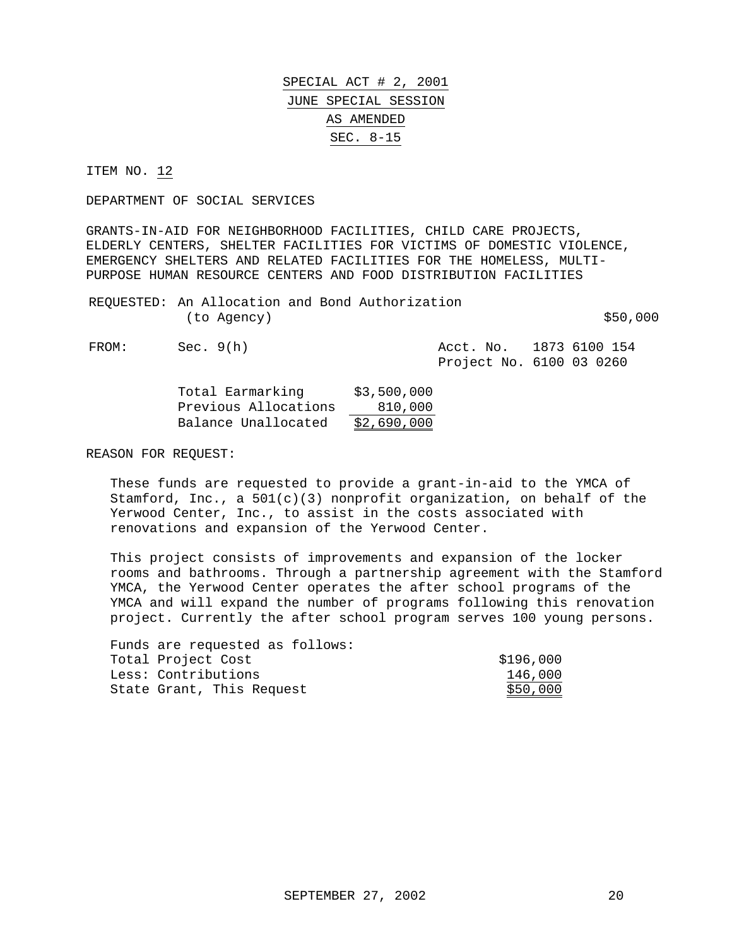ITEM NO. 12

DEPARTMENT OF SOCIAL SERVICES

GRANTS-IN-AID FOR NEIGHBORHOOD FACILITIES, CHILD CARE PROJECTS, ELDERLY CENTERS, SHELTER FACILITIES FOR VICTIMS OF DOMESTIC VIOLENCE, EMERGENCY SHELTERS AND RELATED FACILITIES FOR THE HOMELESS, MULTI-PURPOSE HUMAN RESOURCE CENTERS AND FOOD DISTRIBUTION FACILITIES

REQUESTED: An Allocation and Bond Authorization  $(to \text{ Agency})$   $$50,000$ 

FROM: Sec. 9(h) Acct. No. 1873 6100 154 Project No. 6100 03 0260

| Total Earmarking     | \$3,500,000 |
|----------------------|-------------|
| Previous Allocations | 810,000     |

Balance Unallocated \$2,690,000

REASON FOR REQUEST:

These funds are requested to provide a grant-in-aid to the YMCA of Stamford, Inc., a 501(c)(3) nonprofit organization, on behalf of the Yerwood Center, Inc., to assist in the costs associated with renovations and expansion of the Yerwood Center.

This project consists of improvements and expansion of the locker rooms and bathrooms. Through a partnership agreement with the Stamford YMCA, the Yerwood Center operates the after school programs of the YMCA and will expand the number of programs following this renovation project. Currently the after school program serves 100 young persons.

| Funds are requested as follows: |           |
|---------------------------------|-----------|
| Total Project Cost              | \$196,000 |
| Less: Contributions             | 146,000   |
| State Grant, This Request       | \$50,000  |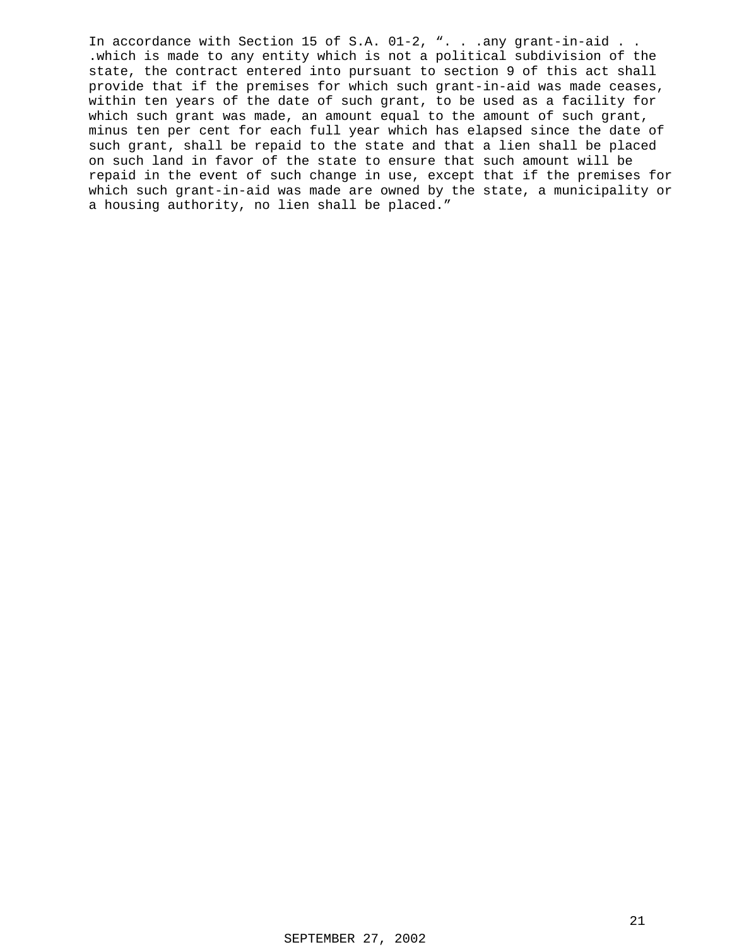In accordance with Section 15 of S.A. 01-2, ". . .any grant-in-aid . . .which is made to any entity which is not a political subdivision of the state, the contract entered into pursuant to section 9 of this act shall provide that if the premises for which such grant-in-aid was made ceases, within ten years of the date of such grant, to be used as a facility for which such grant was made, an amount equal to the amount of such grant, minus ten per cent for each full year which has elapsed since the date of such grant, shall be repaid to the state and that a lien shall be placed on such land in favor of the state to ensure that such amount will be repaid in the event of such change in use, except that if the premises for which such grant-in-aid was made are owned by the state, a municipality or a housing authority, no lien shall be placed."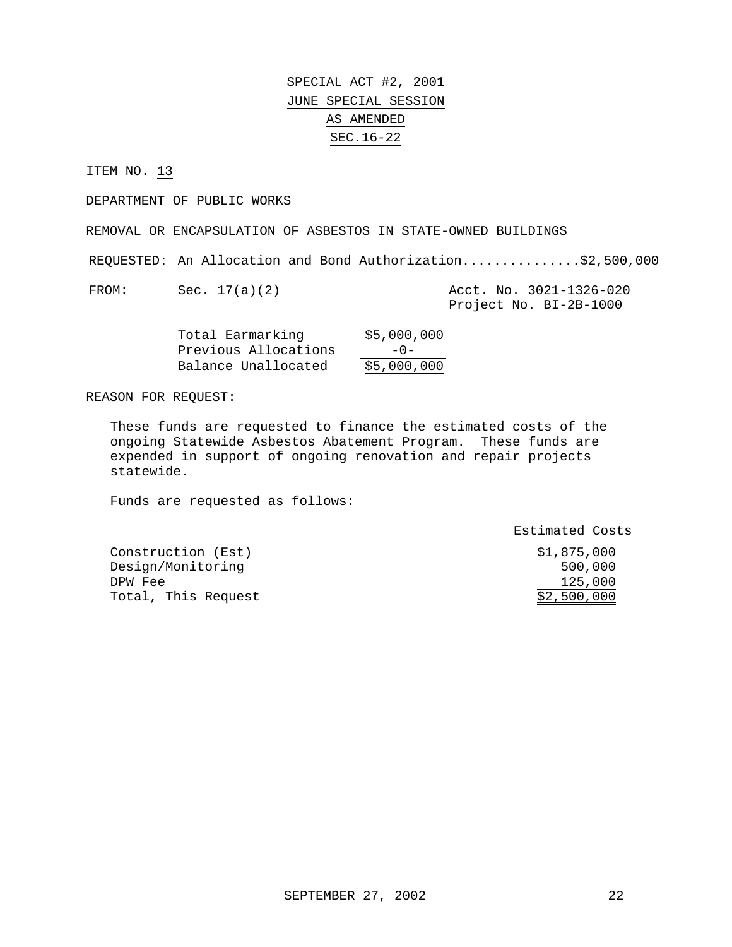ITEM NO. 13

DEPARTMENT OF PUBLIC WORKS

REMOVAL OR ENCAPSULATION OF ASBESTOS IN STATE-OWNED BUILDINGS

REQUESTED: An Allocation and Bond Authorization...............\$2,500,000

FROM: Sec. 17(a)(2) Acct. No. 3021-1326-020 Project No. BI-2B-1000

| Total Earmarking     | \$5,000,000 |
|----------------------|-------------|
| Previous Allocations | $-0-$       |
| Balance Unallocated  | \$5,000,000 |

REASON FOR REQUEST:

These funds are requested to finance the estimated costs of the ongoing Statewide Asbestos Abatement Program. These funds are expended in support of ongoing renovation and repair projects statewide.

|                     | Estimated Costs |
|---------------------|-----------------|
| Construction (Est)  | \$1,875,000     |
| Design/Monitoring   | 500,000         |
| DPW Fee             | 125,000         |
| Total, This Request | \$2,500,000     |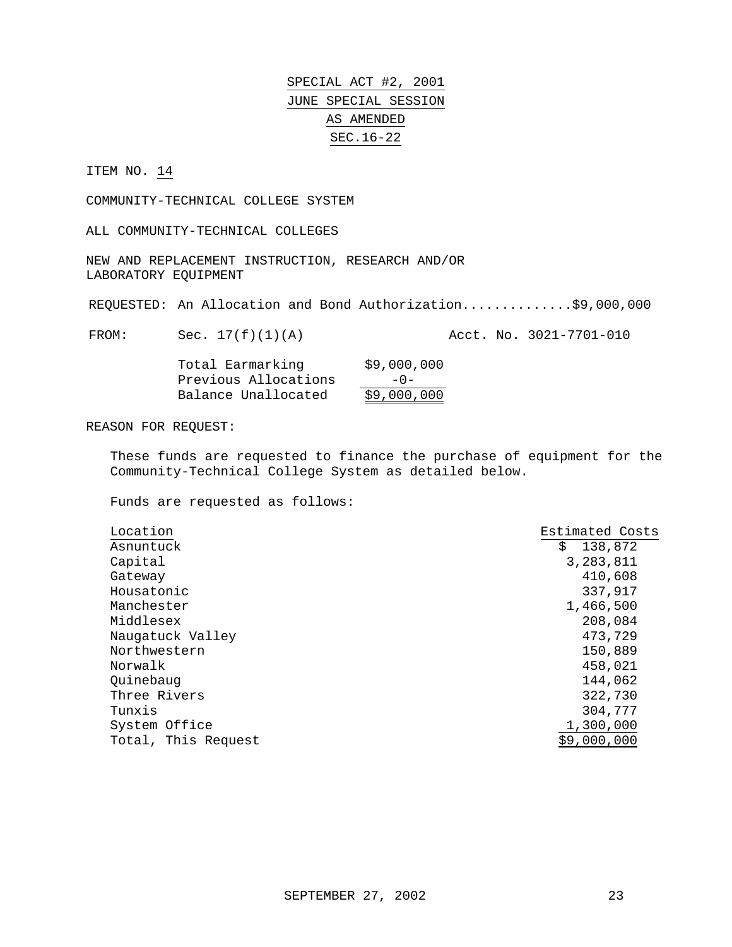#### ITEM NO. 14

COMMUNITY-TECHNICAL COLLEGE SYSTEM

ALL COMMUNITY-TECHNICAL COLLEGES

NEW AND REPLACEMENT INSTRUCTION, RESEARCH AND/OR LABORATORY EQUIPMENT

REQUESTED: An Allocation and Bond Authorization...............\$9,000,000

FROM: Sec. 17(f)(1)(A) Acct. No. 3021-7701-010

| Total Earmarking     | \$9,000,000 |
|----------------------|-------------|
| Previous Allocations | $-0-$       |
| Balance Unallocated  | \$9,000,000 |

REASON FOR REQUEST:

These funds are requested to finance the purchase of equipment for the Community-Technical College System as detailed below.

| Location            | Estimated Costs |
|---------------------|-----------------|
| Asnuntuck           | 138,872<br>\$   |
| Capital             | 3,283,811       |
| Gateway             | 410,608         |
| Housatonic          | 337,917         |
| Manchester          | 1,466,500       |
| Middlesex           | 208,084         |
| Naugatuck Valley    | 473,729         |
| Northwestern        | 150,889         |
| Norwalk             | 458,021         |
| Quinebaug           | 144,062         |
| Three Rivers        | 322,730         |
| Tunxis              | 304,777         |
| System Office       | 1,300,000       |
| Total, This Request | \$9,000,000     |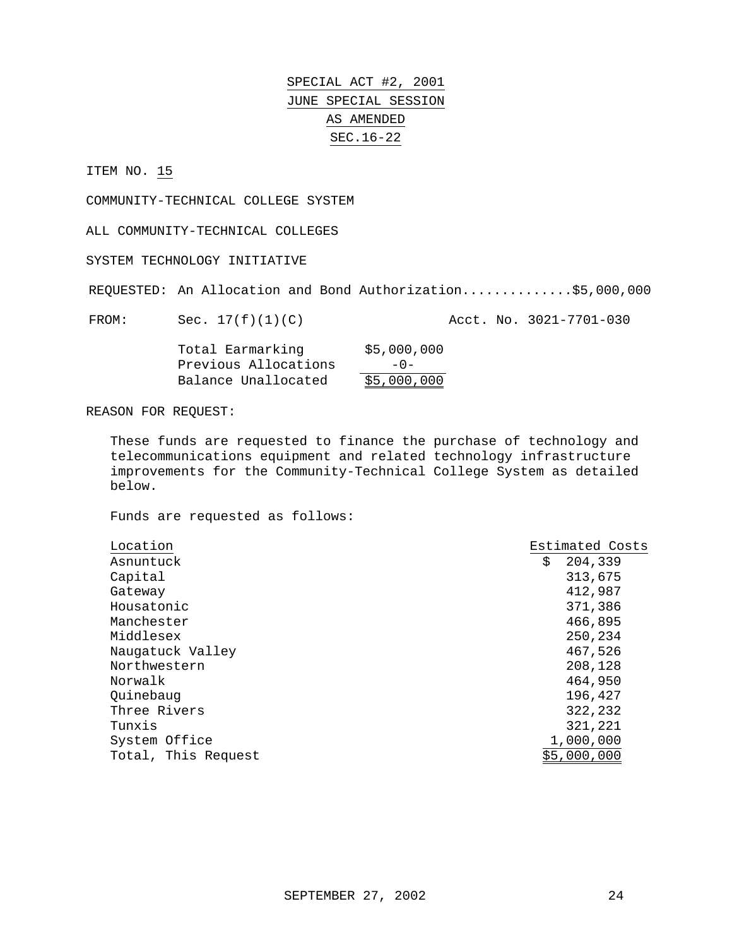ITEM NO. 15

COMMUNITY-TECHNICAL COLLEGE SYSTEM

ALL COMMUNITY-TECHNICAL COLLEGES

SYSTEM TECHNOLOGY INITIATIVE

REQUESTED: An Allocation and Bond Authorization..............\$5,000,000

FROM: Sec. 17(f)(1)(C) Acct. No. 3021-7701-030

| Total Earmarking     | \$5,000,000 |
|----------------------|-------------|
| Previous Allocations | $-0-$       |
| Balance Unallocated  | \$5,000,000 |

REASON FOR REQUEST:

These funds are requested to finance the purchase of technology and telecommunications equipment and related technology infrastructure improvements for the Community-Technical College System as detailed below.

| Location            | Estimated Costs |
|---------------------|-----------------|
| Asnuntuck           | \$<br>204,339   |
| Capital             | 313,675         |
| Gateway             | 412,987         |
| Housatonic          | 371,386         |
| Manchester          | 466,895         |
| Middlesex           | 250,234         |
| Naugatuck Valley    | 467,526         |
| Northwestern        | 208,128         |
| Norwalk             | 464,950         |
| Ouinebaug           | 196,427         |
| Three Rivers        | 322,232         |
| Tunxis              | 321,221         |
| System Office       | 1,000,000       |
| Total, This Request | \$5,000,000     |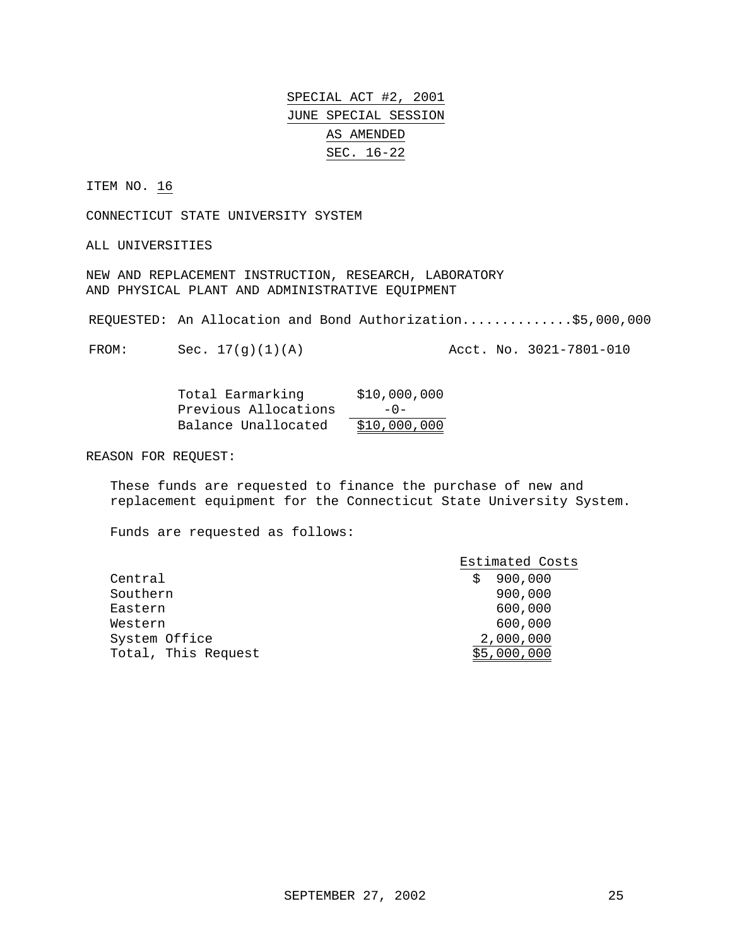ITEM NO. 16

CONNECTICUT STATE UNIVERSITY SYSTEM

ALL UNIVERSITIES

NEW AND REPLACEMENT INSTRUCTION, RESEARCH, LABORATORY AND PHYSICAL PLANT AND ADMINISTRATIVE EQUIPMENT

REQUESTED: An Allocation and Bond Authorization..............\$5,000,000

FROM: Sec.  $17(q)(1)(A)$  Acct. No.  $3021-7801-010$ 

| Total Earmarking     | \$10,000,000 |
|----------------------|--------------|
| Previous Allocations | $-0-$        |
| Balance Unallocated  | \$10,000,000 |

REASON FOR REQUEST:

These funds are requested to finance the purchase of new and replacement equipment for the Connecticut State University System.

|                     | Estimated Costs |
|---------------------|-----------------|
| Central             | 900,000<br>Ŝ    |
| Southern            | 900,000         |
| Eastern             | 600,000         |
| Western             | 600,000         |
| System Office       | 2,000,000       |
| Total, This Request | \$5,000,000     |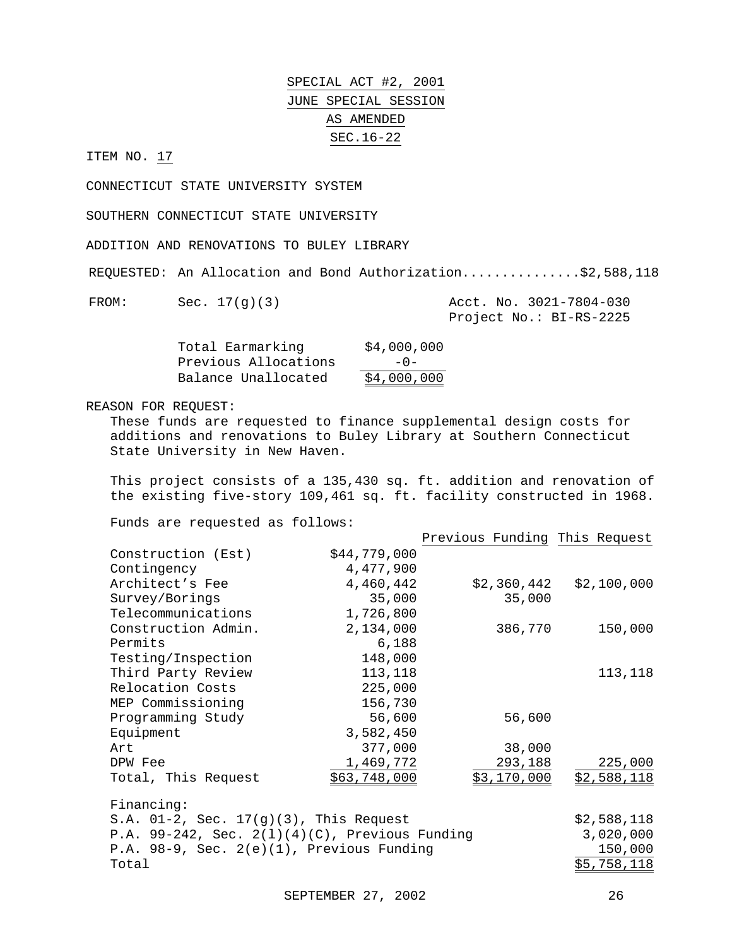ITEM NO. 17

CONNECTICUT STATE UNIVERSITY SYSTEM

SOUTHERN CONNECTICUT STATE UNIVERSITY

ADDITION AND RENOVATIONS TO BULEY LIBRARY

REQUESTED: An Allocation and Bond Authorization...............\$2,588,118

| <b>FROM:</b> |  |
|--------------|--|
|              |  |

| FROM: | Sec. $17(g)(3)$ |  | Acct. No. 3021-7804-030 |
|-------|-----------------|--|-------------------------|
|       |                 |  | Project No.: BI-RS-2225 |

| Total Earmarking     | \$4,000,000 |
|----------------------|-------------|
| Previous Allocations | $-0-$       |
| Balance Unallocated  | \$4,000,000 |

REASON FOR REQUEST:

These funds are requested to finance supplemental design costs for additions and renovations to Buley Library at Southern Connecticut State University in New Haven.

This project consists of a 135,430 sq. ft. addition and renovation of the existing five-story 109,461 sq. ft. facility constructed in 1968.

|                                                   |              | Previous Funding This Request |             |
|---------------------------------------------------|--------------|-------------------------------|-------------|
| Construction (Est)                                | \$44,779,000 |                               |             |
| Contingency                                       | 4,477,900    |                               |             |
| Architect's Fee                                   | 4,460,442    | \$2,360,442                   | \$2,100,000 |
| Survey/Borings                                    | 35,000       | 35,000                        |             |
| Telecommunications                                | 1,726,800    |                               |             |
| Construction Admin.                               | 2,134,000    | 386,770                       | 150,000     |
| Permits                                           | 6,188        |                               |             |
| Testing/Inspection                                | 148,000      |                               |             |
| Third Party Review                                | 113,118      |                               | 113,118     |
| Relocation Costs                                  | 225,000      |                               |             |
| MEP Commissioning                                 | 156,730      |                               |             |
| Programming Study                                 | 56,600       | 56,600                        |             |
| Equipment                                         | 3,582,450    |                               |             |
| Art                                               | 377,000      | 38,000                        |             |
| DPW Fee                                           | 1,469,772    | 293,188                       | 225,000     |
| Total, This Request                               | \$63,748,000 | \$3,170,000                   | \$2,588,118 |
| Financing:                                        |              |                               |             |
| S.A. $01-2$ , Sec. $17(g)(3)$ , This Request      |              |                               | \$2,588,118 |
| P.A. 99-242, Sec. $2(1)(4)(C)$ , Previous Funding |              |                               | 3,020,000   |
| P.A. $98-9$ , Sec. $2(e)(1)$ , Previous Funding   |              |                               | 150,000     |
| Total                                             |              |                               | \$5,758,118 |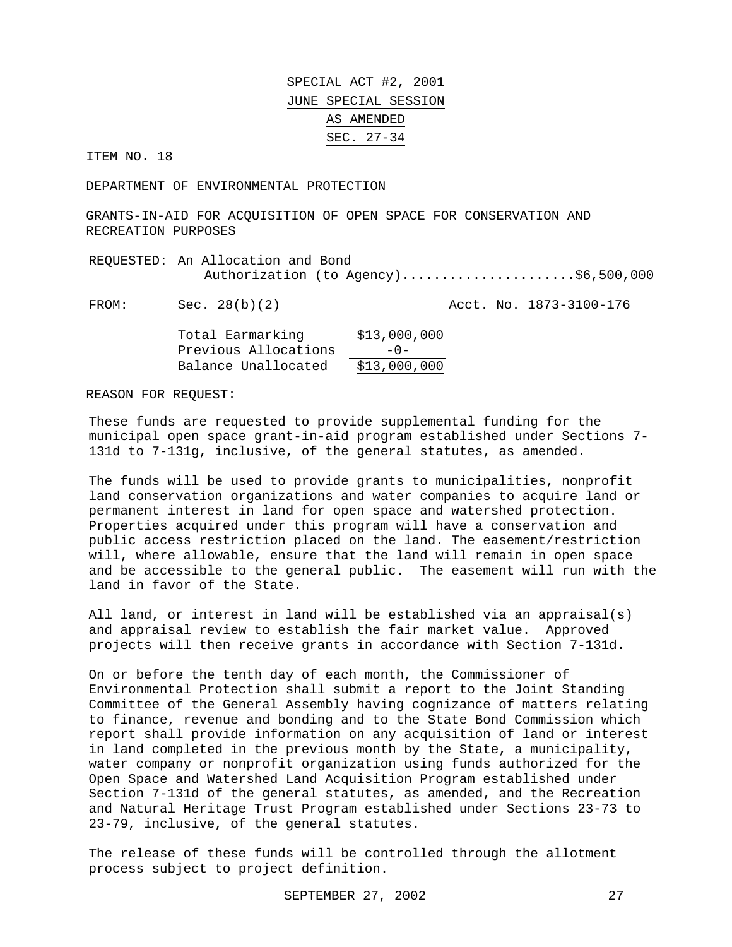ITEM NO. 18

DEPARTMENT OF ENVIRONMENTAL PROTECTION

GRANTS-IN-AID FOR ACQUISITION OF OPEN SPACE FOR CONSERVATION AND RECREATION PURPOSES

REQUESTED: An Allocation and Bond Authorization (to Agency).......................\$6,500,000

FROM: Sec. 28(b)(2) Acct. No. 1873-3100-176

| Total Earmarking     | \$13,000,000 |
|----------------------|--------------|
| Previous Allocations | $-0-$        |
| Balance Unallocated  | \$13,000,000 |

REASON FOR REQUEST:

These funds are requested to provide supplemental funding for the municipal open space grant-in-aid program established under Sections 7- 131d to 7-131g, inclusive, of the general statutes, as amended.

The funds will be used to provide grants to municipalities, nonprofit land conservation organizations and water companies to acquire land or permanent interest in land for open space and watershed protection. Properties acquired under this program will have a conservation and public access restriction placed on the land. The easement/restriction will, where allowable, ensure that the land will remain in open space and be accessible to the general public. The easement will run with the land in favor of the State.

All land, or interest in land will be established via an appraisal(s) and appraisal review to establish the fair market value. Approved projects will then receive grants in accordance with Section 7-131d.

On or before the tenth day of each month, the Commissioner of Environmental Protection shall submit a report to the Joint Standing Committee of the General Assembly having cognizance of matters relating to finance, revenue and bonding and to the State Bond Commission which report shall provide information on any acquisition of land or interest in land completed in the previous month by the State, a municipality, water company or nonprofit organization using funds authorized for the Open Space and Watershed Land Acquisition Program established under Section 7-131d of the general statutes, as amended, and the Recreation and Natural Heritage Trust Program established under Sections 23-73 to 23-79, inclusive, of the general statutes.

The release of these funds will be controlled through the allotment process subject to project definition.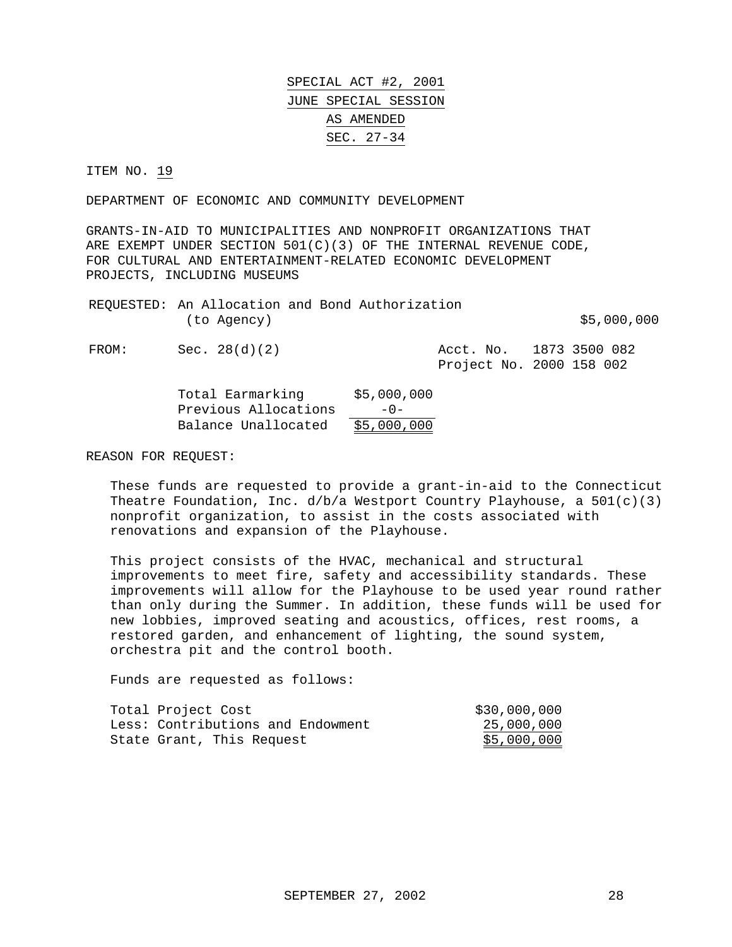ITEM NO. 19

DEPARTMENT OF ECONOMIC AND COMMUNITY DEVELOPMENT

GRANTS-IN-AID TO MUNICIPALITIES AND NONPROFIT ORGANIZATIONS THAT ARE EXEMPT UNDER SECTION 501(C)(3) OF THE INTERNAL REVENUE CODE, FOR CULTURAL AND ENTERTAINMENT-RELATED ECONOMIC DEVELOPMENT PROJECTS, INCLUDING MUSEUMS

|             |  | REQUESTED: An Allocation and Bond Authorization |             |
|-------------|--|-------------------------------------------------|-------------|
| (to Agency) |  |                                                 | \$5,000,000 |
|             |  |                                                 |             |

FROM: Sec. 28(d)(2) Acct. No. 1873 3500 082 Project No. 2000 158 002

| Total Earmarking     | \$5,000,000 |
|----------------------|-------------|
| Previous Allocations | $-0-$       |
| Balance Unallocated  | \$5,000,000 |

REASON FOR REQUEST:

These funds are requested to provide a grant-in-aid to the Connecticut Theatre Foundation, Inc.  $d/b/a$  Westport Country Playhouse, a  $501(c)(3)$ nonprofit organization, to assist in the costs associated with renovations and expansion of the Playhouse.

This project consists of the HVAC, mechanical and structural improvements to meet fire, safety and accessibility standards. These improvements will allow for the Playhouse to be used year round rather than only during the Summer. In addition, these funds will be used for new lobbies, improved seating and acoustics, offices, rest rooms, a restored garden, and enhancement of lighting, the sound system, orchestra pit and the control booth.

| Total Project Cost                | \$30,000,000 |
|-----------------------------------|--------------|
| Less: Contributions and Endowment | 25,000,000   |
| State Grant, This Request         | \$5,000,000  |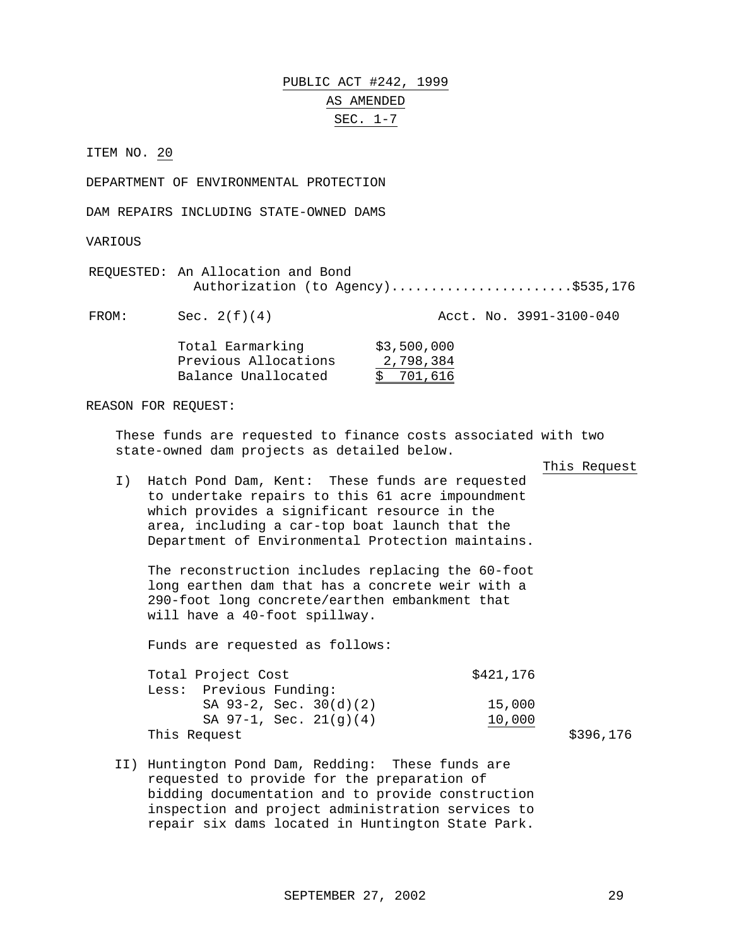PUBLIC ACT #242, 1999 AS AMENDED SEC. 1-7

ITEM NO. 20

DEPARTMENT OF ENVIRONMENTAL PROTECTION

DAM REPAIRS INCLUDING STATE-OWNED DAMS

VARIOUS

REQUESTED: An Allocation and Bond Authorization (to Agency)........................\$535,176

FROM: Sec. 2(f)(4) Acct. No. 3991-3100-040

| Total Earmarking     | \$3,500,000 |
|----------------------|-------------|
| Previous Allocations | 2,798,384   |
| Balance Unallocated  | \$701,616   |

REASON FOR REQUEST:

These funds are requested to finance costs associated with two state-owned dam projects as detailed below.

This Request

I) Hatch Pond Dam, Kent: These funds are requested to undertake repairs to this 61 acre impoundment which provides a significant resource in the area, including a car-top boat launch that the Department of Environmental Protection maintains.

The reconstruction includes replacing the 60-foot long earthen dam that has a concrete weir with a 290-foot long concrete/earthen embankment that will have a 40-foot spillway.

Funds are requested as follows:

Total Project Cost  $$421,176$ Less: Previous Funding: SA 93-2, Sec. 30(d)(2) 15,000 SA 97-1, Sec. 21(g)(4) 10,000 This Request  $\frac{176}{200}$ 

II) Huntington Pond Dam, Redding: These funds are requested to provide for the preparation of bidding documentation and to provide construction inspection and project administration services to repair six dams located in Huntington State Park.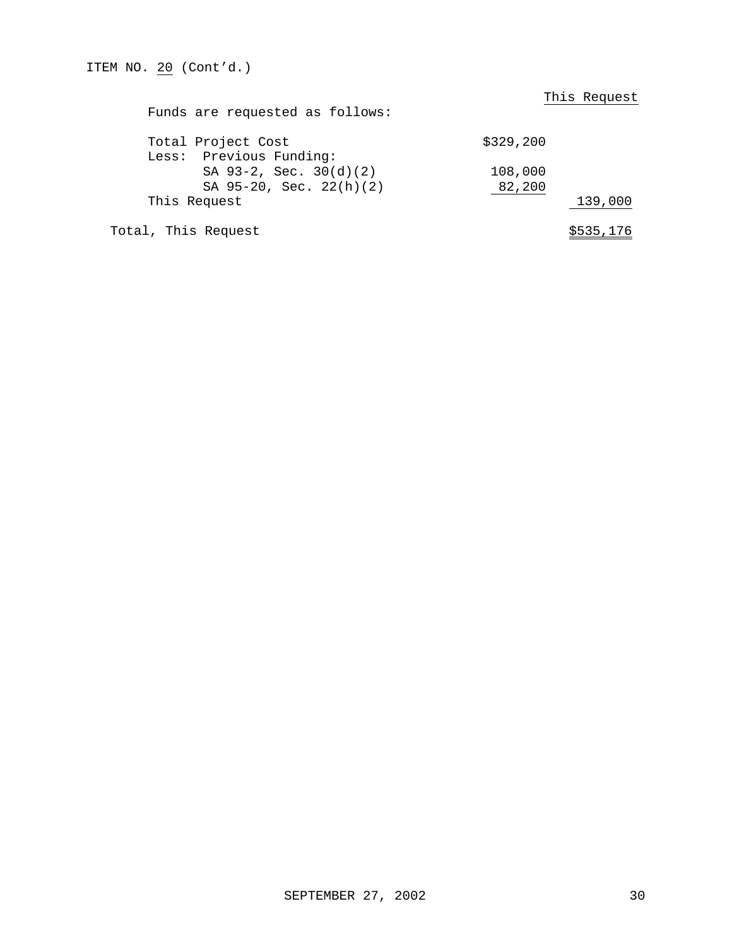| Funds are requested as follows: | This Request |
|---------------------------------|--------------|
| Total Project Cost              | \$329, 200   |
| Less: Previous Funding:         |              |
| SA 93-2, Sec. 30(d)(2)          | 108,000      |
| SA 95-20, Sec. 22(h)(2)         | 82,200       |
| This Request                    | 139,000      |
| Total, This Request             | \$535,176    |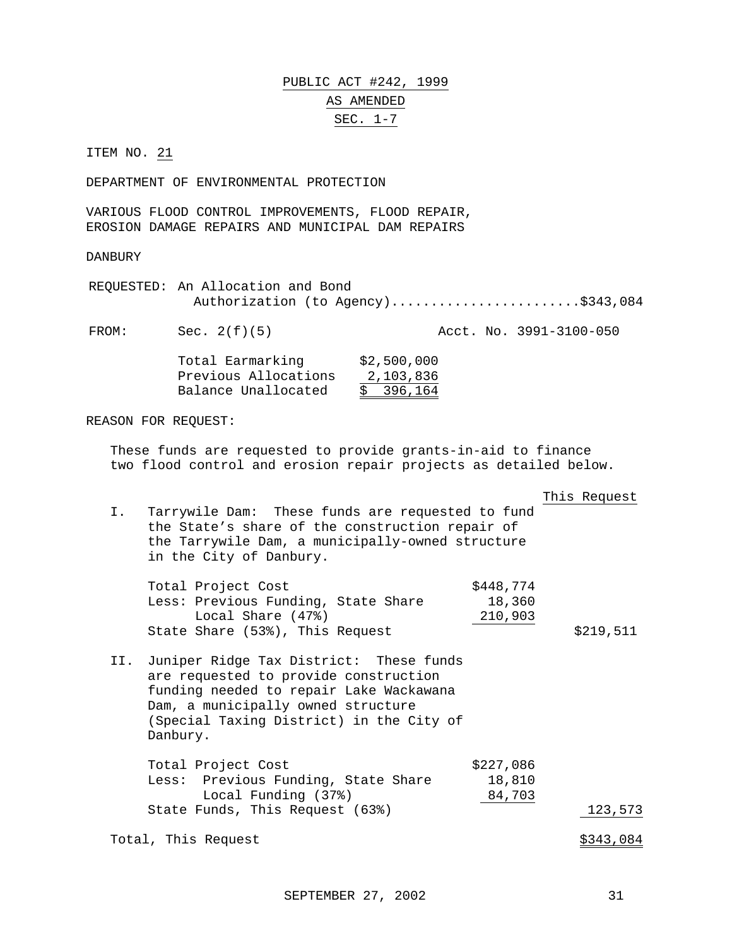# PUBLIC ACT #242, 1999 AS AMENDED SEC. 1-7

ITEM NO. 21

DEPARTMENT OF ENVIRONMENTAL PROTECTION

VARIOUS FLOOD CONTROL IMPROVEMENTS, FLOOD REPAIR, EROSION DAMAGE REPAIRS AND MUNICIPAL DAM REPAIRS

DANBURY

REQUESTED: An Allocation and Bond Authorization (to Agency).........................\$343,084

FROM: Sec. 2(f)(5) Acct. No. 3991-3100-050 Total Earmarking \$2,500,000

| IOCAI DAIMAINING     | ~~, ~~~ , ~~~ |
|----------------------|---------------|
| Previous Allocations | 2,103,836     |
| Balance Unallocated  | \$396,164     |

REASON FOR REQUEST:

These funds are requested to provide grants-in-aid to finance two flood control and erosion repair projects as detailed below.

|     |                                                                                                                                                                                                                           |                                | This Request |
|-----|---------------------------------------------------------------------------------------------------------------------------------------------------------------------------------------------------------------------------|--------------------------------|--------------|
| Ι.  | Tarrywile Dam: These funds are requested to fund<br>the State's share of the construction repair of<br>the Tarrywile Dam, a municipally-owned structure<br>in the City of Danbury.                                        |                                |              |
|     | Total Project Cost<br>Less: Previous Funding, State Share<br>Local Share (47%)<br>State Share (53%), This Request                                                                                                         | \$448,774<br>18,360<br>210,903 | \$219,511    |
| II. | Juniper Ridge Tax District: These funds<br>are requested to provide construction<br>funding needed to repair Lake Wackawana<br>Dam, a municipally owned structure<br>(Special Taxing District) in the City of<br>Danbury. |                                |              |
|     | Total Project Cost<br>Less: Previous Funding, State Share<br>Local Funding (37%)<br>State Funds, This Request (63%)                                                                                                       | \$227,086<br>18,810<br>84,703  | 123,573      |
|     | Total, This Request                                                                                                                                                                                                       |                                | \$343,084    |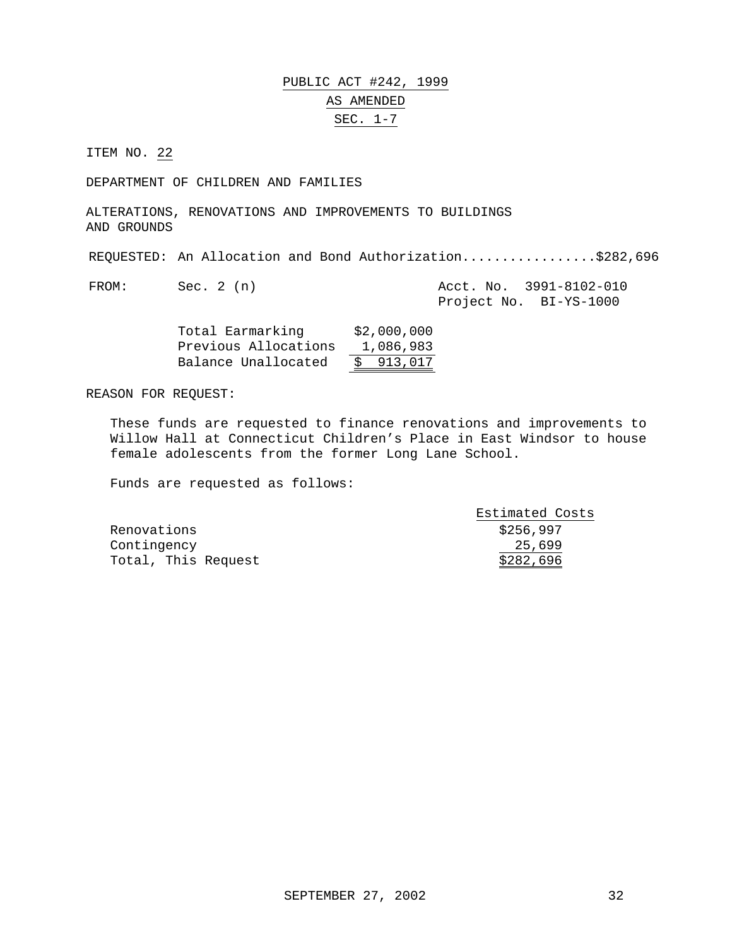## PUBLIC ACT #242, 1999 AS AMENDED SEC. 1-7

ITEM NO. 22

DEPARTMENT OF CHILDREN AND FAMILIES

ALTERATIONS, RENOVATIONS AND IMPROVEMENTS TO BUILDINGS AND GROUNDS

REQUESTED: An Allocation and Bond Authorization.................\$282,696

FROM: Sec. 2 (n) Acct. No. 3991-8102-010 Project No. BI-YS-1000

| Total Earmarking     | \$2,000,000 |
|----------------------|-------------|
| Previous Allocations | 1,086,983   |
| Balance Unallocated  | \$913,017   |

REASON FOR REQUEST:

These funds are requested to finance renovations and improvements to Willow Hall at Connecticut Children's Place in East Windsor to house female adolescents from the former Long Lane School.

|                     | Estimated Costs |
|---------------------|-----------------|
| Renovations         | \$256,997       |
| Contingency         | 25,699          |
| Total, This Request | \$282,696       |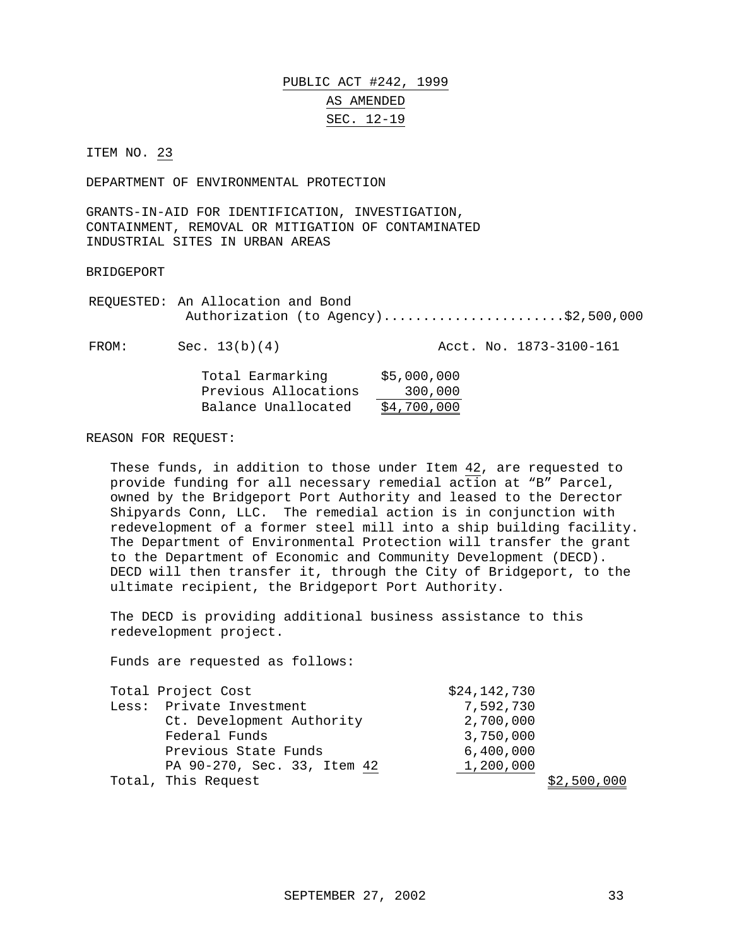#### PUBLIC ACT #242, 1999 AS AMENDED SEC. 12-19

ITEM NO. 23

DEPARTMENT OF ENVIRONMENTAL PROTECTION

GRANTS-IN-AID FOR IDENTIFICATION, INVESTIGATION, CONTAINMENT, REMOVAL OR MITIGATION OF CONTAMINATED INDUSTRIAL SITES IN URBAN AREAS

#### BRIDGEPORT

REQUESTED: An Allocation and Bond Authorization (to Agency)........................\$2,500,000

FROM: Sec. 13(b)(4) Acct. No. 1873-3100-161

| Total Earmarking     | \$5,000,000 |
|----------------------|-------------|
| Previous Allocations | 300,000     |
| Balance Unallocated  | \$4,700,000 |

#### REASON FOR REQUEST:

These funds, in addition to those under Item 42, are requested to provide funding for all necessary remedial action at "B" Parcel, owned by the Bridgeport Port Authority and leased to the Derector Shipyards Conn, LLC. The remedial action is in conjunction with redevelopment of a former steel mill into a ship building facility. The Department of Environmental Protection will transfer the grant to the Department of Economic and Community Development (DECD). DECD will then transfer it, through the City of Bridgeport, to the ultimate recipient, the Bridgeport Port Authority.

The DECD is providing additional business assistance to this redevelopment project.

| Total Project Cost          | \$24,142,730 |             |
|-----------------------------|--------------|-------------|
| Less: Private Investment    | 7,592,730    |             |
| Ct. Development Authority   | 2,700,000    |             |
| Federal Funds               | 3,750,000    |             |
| Previous State Funds        | 6,400,000    |             |
| PA 90-270, Sec. 33, Item 42 | 1,200,000    |             |
| Total, This Request         |              | \$2,500,000 |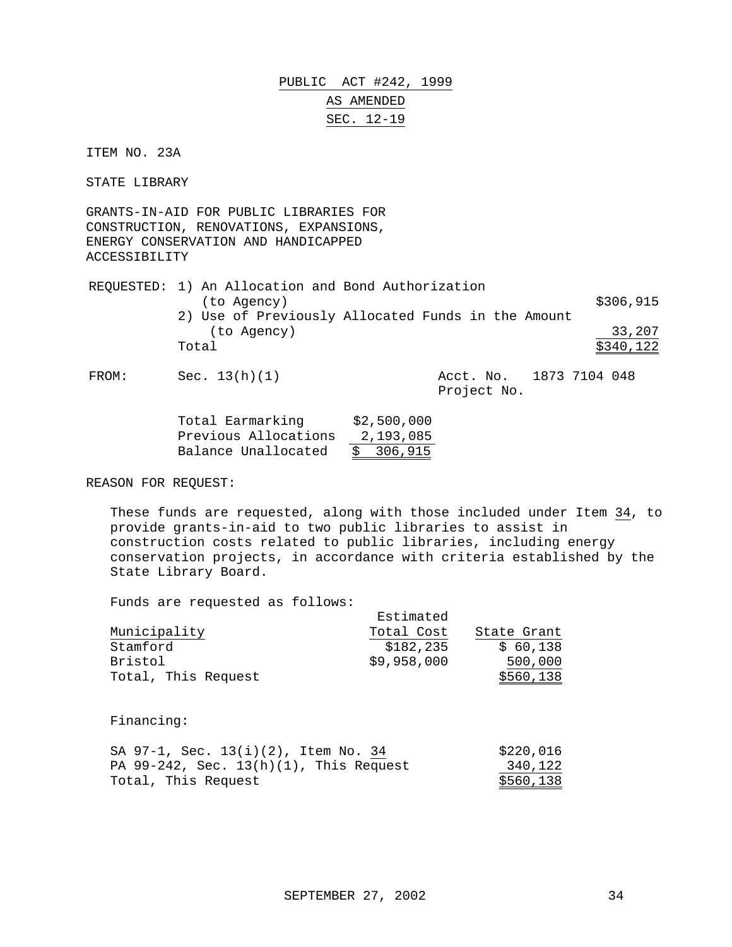PUBLIC ACT #242, 1999 AS AMENDED SEC. 12-19

ITEM NO. 23A

STATE LIBRARY

GRANTS-IN-AID FOR PUBLIC LIBRARIES FOR CONSTRUCTION, RENOVATIONS, EXPANSIONS, ENERGY CONSERVATION AND HANDICAPPED ACCESSIBILITY

|       | REQUESTED: 1) An Allocation and Bond Authorization |                         |           |
|-------|----------------------------------------------------|-------------------------|-----------|
|       | (to Agency)                                        |                         | \$306,915 |
|       | 2) Use of Previously Allocated Funds in the Amount |                         |           |
|       | (to Agency)                                        |                         | 33,207    |
|       | Total                                              |                         | \$340,122 |
| FROM: | Sec. $13(h)(1)$                                    | Acct. No. 1873 7104 048 |           |

Project No.

| Total Earmarking     | \$2,500,000 |
|----------------------|-------------|
| Previous Allocations | 2,193,085   |
| Balance Unallocated  | \$306,915   |

REASON FOR REQUEST:

These funds are requested, along with those included under Item 34, to provide grants-in-aid to two public libraries to assist in construction costs related to public libraries, including energy conservation projects, in accordance with criteria established by the State Library Board.

Funds are requested as follows:

| Fanas alt legatsted as lollows. |             |             |
|---------------------------------|-------------|-------------|
|                                 | Estimated   |             |
| Municipality                    | Total Cost  | State Grant |
| Stamford                        | \$182,235   | \$60,138    |
| Bristol                         | \$9,958,000 | 500,000     |
| Total, This Request             |             | \$560,138   |
|                                 |             |             |

Financing:

|                     | SA 97-1, Sec. 13(i)(2), Item No. 34       |  | \$220,016 |
|---------------------|-------------------------------------------|--|-----------|
|                     | PA $99-242$ , Sec. 13(h)(1), This Request |  | 340,122   |
| Total, This Request |                                           |  | \$560,138 |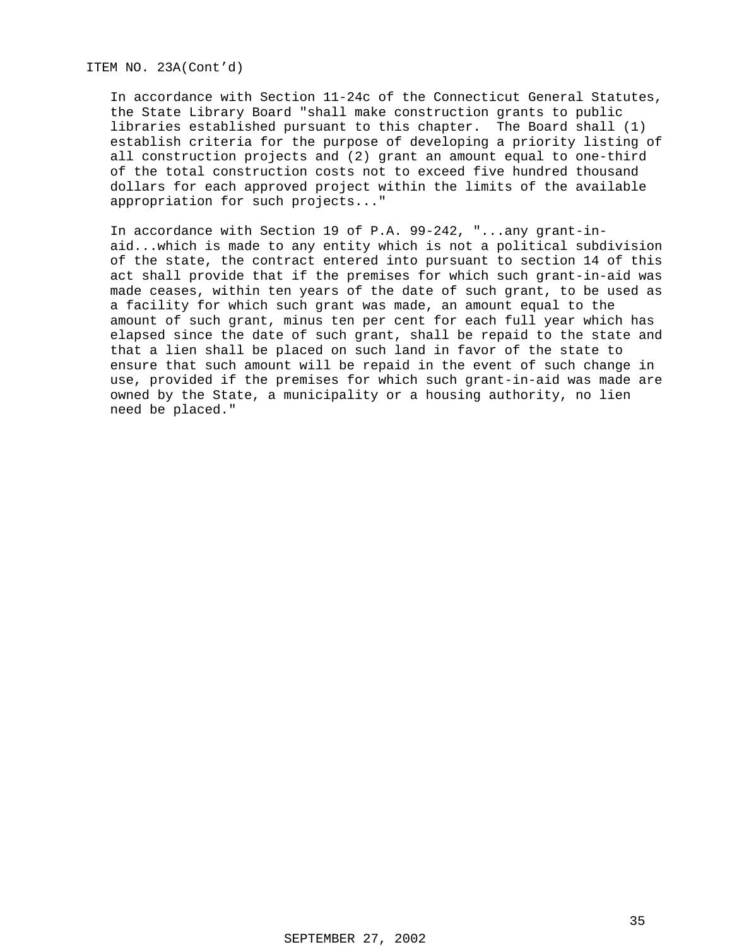ITEM NO. 23A(Cont'd)

In accordance with Section 11-24c of the Connecticut General Statutes, the State Library Board "shall make construction grants to public libraries established pursuant to this chapter. The Board shall (1) establish criteria for the purpose of developing a priority listing of all construction projects and (2) grant an amount equal to one-third of the total construction costs not to exceed five hundred thousand dollars for each approved project within the limits of the available appropriation for such projects..."

In accordance with Section 19 of P.A. 99-242, "...any grant-inaid...which is made to any entity which is not a political subdivision of the state, the contract entered into pursuant to section 14 of this act shall provide that if the premises for which such grant-in-aid was made ceases, within ten years of the date of such grant, to be used as a facility for which such grant was made, an amount equal to the amount of such grant, minus ten per cent for each full year which has elapsed since the date of such grant, shall be repaid to the state and that a lien shall be placed on such land in favor of the state to ensure that such amount will be repaid in the event of such change in use, provided if the premises for which such grant-in-aid was made are owned by the State, a municipality or a housing authority, no lien need be placed."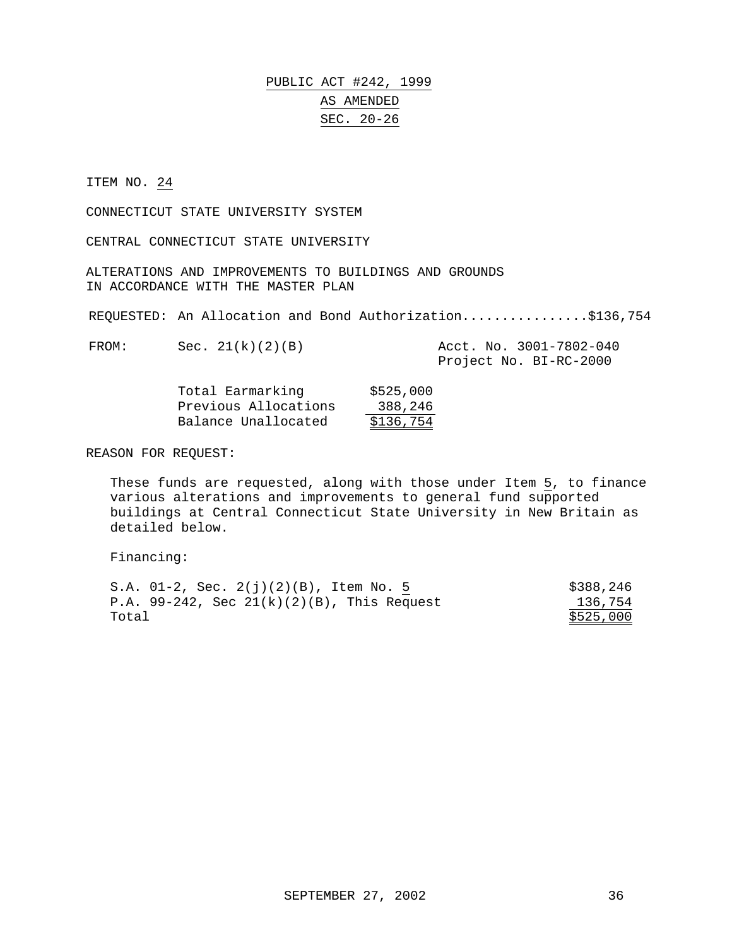#### PUBLIC ACT #242, 1999 AS AMENDED SEC. 20-26

#### ITEM NO. 24

CONNECTICUT STATE UNIVERSITY SYSTEM

CENTRAL CONNECTICUT STATE UNIVERSITY

ALTERATIONS AND IMPROVEMENTS TO BUILDINGS AND GROUNDS IN ACCORDANCE WITH THE MASTER PLAN

REQUESTED: An Allocation and Bond Authorization................\$136,754

FROM: Sec. 21(k)(2)(B) Acct. No. 3001-7802-040

Project No. BI-RC-2000

| Total Earmarking     | \$525,000 |
|----------------------|-----------|
| Previous Allocations | 388,246   |
| Balance Unallocated  | \$136,754 |

REASON FOR REQUEST:

These funds are requested, along with those under Item 5, to finance various alterations and improvements to general fund supported buildings at Central Connecticut State University in New Britain as detailed below.

Financing:

| S.A. $01-2$ , Sec. $2(i)(2)(B)$ , Item No. 5     | \$388,246 |
|--------------------------------------------------|-----------|
| P.A. $99-242$ , Sec $21(k)(2)(B)$ , This Request | 136,754   |
| Total                                            | \$525,000 |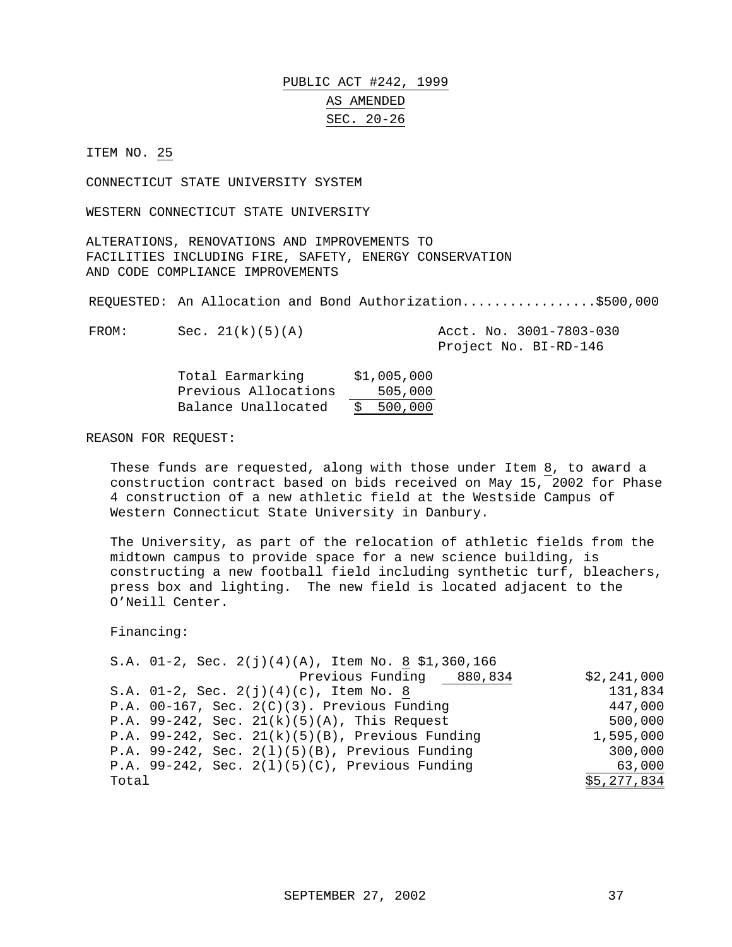# PUBLIC ACT #242, 1999 AS AMENDED SEC. 20-26

ITEM NO. 25

CONNECTICUT STATE UNIVERSITY SYSTEM

WESTERN CONNECTICUT STATE UNIVERSITY

ALTERATIONS, RENOVATIONS AND IMPROVEMENTS TO FACILITIES INCLUDING FIRE, SAFETY, ENERGY CONSERVATION AND CODE COMPLIANCE IMPROVEMENTS

REQUESTED: An Allocation and Bond Authorization.................\$500,000

FROM: Sec. 21(k)(5)(A) Acct. No. 3001-7803-030

Project No. BI-RD-146

| Total Earmarking     | \$1,005,000 |
|----------------------|-------------|
| Previous Allocations | 505,000     |
| Balance Unallocated  | \$500,000   |

REASON FOR REQUEST:

These funds are requested, along with those under Item 8, to award a construction contract based on bids received on May 15, 2002 for Phase 4 construction of a new athletic field at the Westside Campus of Western Connecticut State University in Danbury.

The University, as part of the relocation of athletic fields from the midtown campus to provide space for a new science building, is constructing a new football field including synthetic turf, bleachers, press box and lighting. The new field is located adjacent to the O'Neill Center.

Financing:

|       |  | S.A. 01-2, Sec. $2(j)(4)(A)$ , Item No. 8 \$1,360,166 |             |
|-------|--|-------------------------------------------------------|-------------|
|       |  | Previous Funding 880,834                              | \$2,241,000 |
|       |  | S.A. $01-2$ , Sec. $2(j)(4)(c)$ , Item No. 8          | 131,834     |
|       |  | P.A. $00-167$ , Sec. $2(C)(3)$ . Previous Funding     | 447,000     |
|       |  | P.A. 99-242, Sec. $21(k)(5)(A)$ , This Request        | 500,000     |
|       |  | P.A. 99-242, Sec. $21(k)(5)(B)$ , Previous Funding    | 1,595,000   |
|       |  | P.A. 99-242, Sec. $2(1)(5)(B)$ , Previous Funding     | 300,000     |
|       |  | P.A. 99-242, Sec. $2(1)(5)(C)$ , Previous Funding     | 63,000      |
| Total |  |                                                       | \$5,277,834 |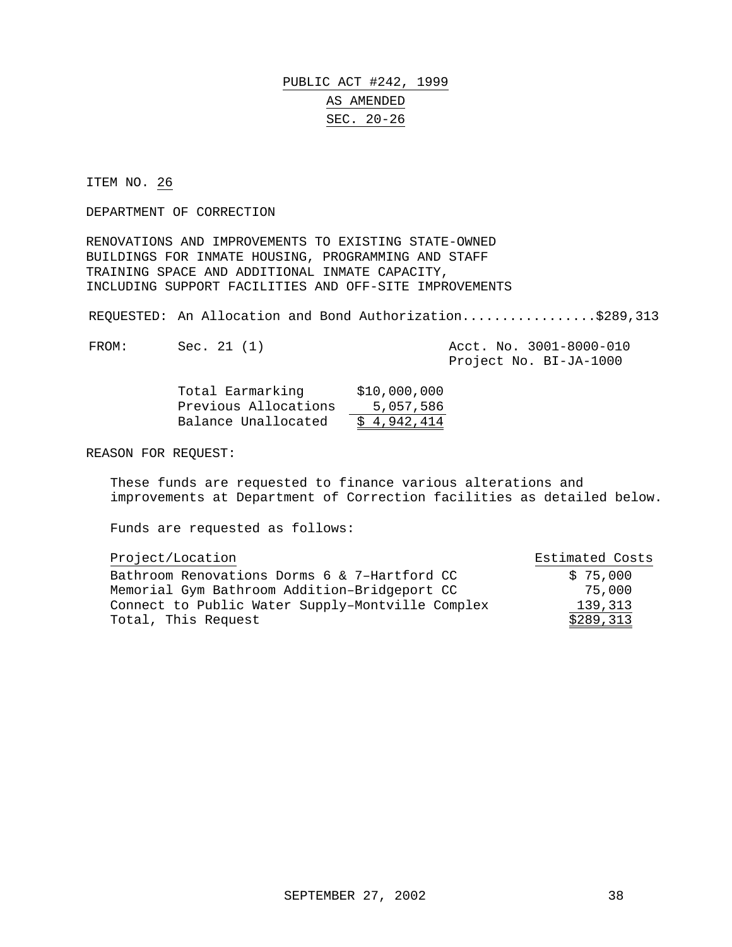### PUBLIC ACT #242, 1999 AS AMENDED SEC. 20-26

ITEM NO. 26

DEPARTMENT OF CORRECTION

RENOVATIONS AND IMPROVEMENTS TO EXISTING STATE-OWNED BUILDINGS FOR INMATE HOUSING, PROGRAMMING AND STAFF TRAINING SPACE AND ADDITIONAL INMATE CAPACITY, INCLUDING SUPPORT FACILITIES AND OFF-SITE IMPROVEMENTS

REQUESTED: An Allocation and Bond Authorization.................\$289,313

FROM: Sec. 21 (1) Acct. No. 3001-8000-010

Project No. BI-JA-1000

| Total Earmarking     | \$10,000,000 |
|----------------------|--------------|
| Previous Allocations | 5,057,586    |
| Balance Unallocated  | \$4,942,414  |

REASON FOR REQUEST:

These funds are requested to finance various alterations and improvements at Department of Correction facilities as detailed below.

| Project/Location                                 | Estimated Costs |
|--------------------------------------------------|-----------------|
| Bathroom Renovations Dorms 6 & 7-Hartford CC     | \$75,000        |
| Memorial Gym Bathroom Addition-Bridgeport CC     | 75,000          |
| Connect to Public Water Supply-Montville Complex | 139,313         |
| Total, This Request                              | \$289,313       |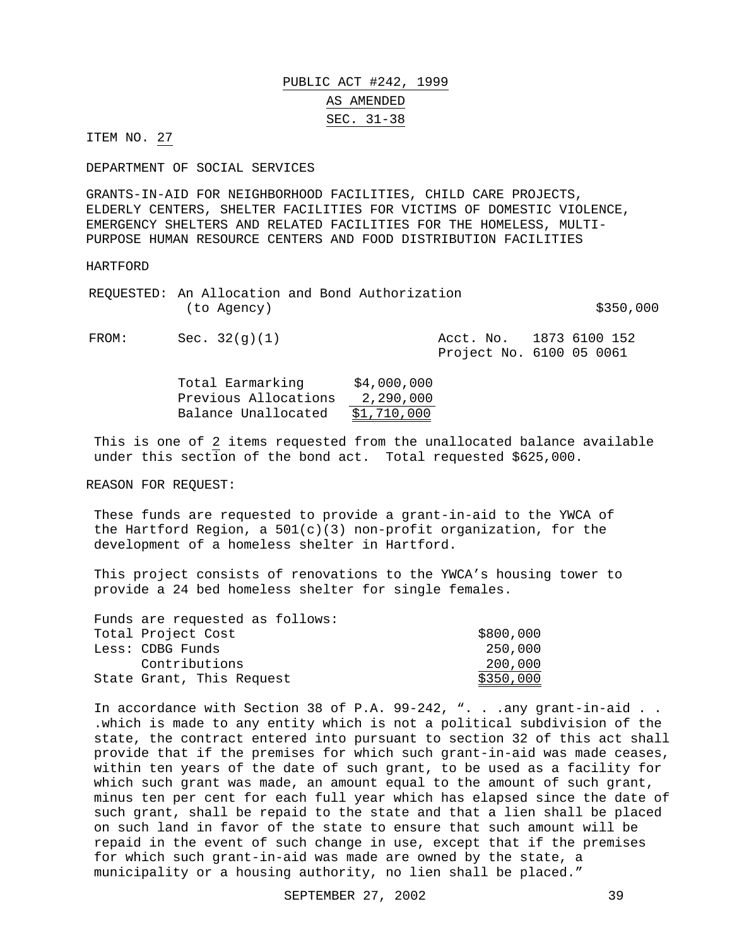# PUBLIC ACT #242, 1999 AS AMENDED SEC. 31-38

ITEM NO. 27

DEPARTMENT OF SOCIAL SERVICES

GRANTS-IN-AID FOR NEIGHBORHOOD FACILITIES, CHILD CARE PROJECTS, ELDERLY CENTERS, SHELTER FACILITIES FOR VICTIMS OF DOMESTIC VIOLENCE, EMERGENCY SHELTERS AND RELATED FACILITIES FOR THE HOMELESS, MULTI-PURPOSE HUMAN RESOURCE CENTERS AND FOOD DISTRIBUTION FACILITIES

#### HARTFORD

|       | REQUESTED: An Allocation and Bond Authorization<br>(to Agency) | \$350,000                                           |
|-------|----------------------------------------------------------------|-----------------------------------------------------|
| FROM: | Sec. 32(q)(1)                                                  | Acct. No. 1873 6100 152<br>Project No. 6100 05 0061 |

| Total Earmarking     | \$4,000,000 |
|----------------------|-------------|
| Previous Allocations | 2,290,000   |
| Balance Unallocated  | \$1,710,000 |

This is one of 2 items requested from the unallocated balance available under this section of the bond act. Total requested \$625,000.

REASON FOR REQUEST:

These funds are requested to provide a grant-in-aid to the YWCA of the Hartford Region, a  $501(c)(3)$  non-profit organization, for the development of a homeless shelter in Hartford.

This project consists of renovations to the YWCA's housing tower to provide a 24 bed homeless shelter for single females.

| Funds are requested as follows: |           |
|---------------------------------|-----------|
| Total Project Cost              | \$800,000 |
| Less: CDBG Funds                | 250,000   |
| Contributions                   | 200,000   |
| State Grant, This Request       | \$350,000 |

In accordance with Section 38 of P.A. 99-242, ". . .any grant-in-aid . . .which is made to any entity which is not a political subdivision of the state, the contract entered into pursuant to section 32 of this act shall provide that if the premises for which such grant-in-aid was made ceases, within ten years of the date of such grant, to be used as a facility for which such grant was made, an amount equal to the amount of such grant, minus ten per cent for each full year which has elapsed since the date of such grant, shall be repaid to the state and that a lien shall be placed on such land in favor of the state to ensure that such amount will be repaid in the event of such change in use, except that if the premises for which such grant-in-aid was made are owned by the state, a municipality or a housing authority, no lien shall be placed."

SEPTEMBER 27, 2002 39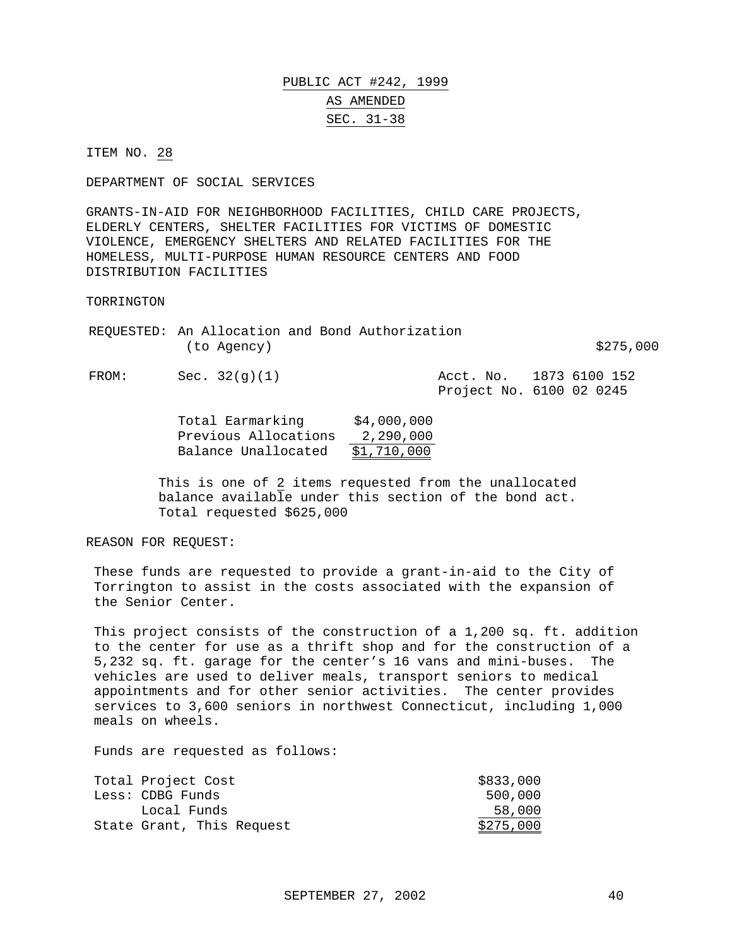## PUBLIC ACT #242, 1999 AS AMENDED SEC. 31-38

ITEM NO. 28

DEPARTMENT OF SOCIAL SERVICES

GRANTS-IN-AID FOR NEIGHBORHOOD FACILITIES, CHILD CARE PROJECTS, ELDERLY CENTERS, SHELTER FACILITIES FOR VICTIMS OF DOMESTIC VIOLENCE, EMERGENCY SHELTERS AND RELATED FACILITIES FOR THE HOMELESS, MULTI-PURPOSE HUMAN RESOURCE CENTERS AND FOOD DISTRIBUTION FACILITIES

TORRINGTON

|       | (to Agency)   | REQUESTED: An Allocation and Bond Authorization | \$275,000                                           |
|-------|---------------|-------------------------------------------------|-----------------------------------------------------|
| FROM: | Sec. 32(q)(1) |                                                 | Acct. No. 1873 6100 152<br>Project No. 6100 02 0245 |

| Total Earmarking     | \$4,000,000 |
|----------------------|-------------|
| Previous Allocations | 2,290,000   |
| Balance Unallocated  | \$1,710,000 |

This is one of 2 items requested from the unallocated balance available under this section of the bond act. Total requested \$625,000

REASON FOR REQUEST:

These funds are requested to provide a grant-in-aid to the City of Torrington to assist in the costs associated with the expansion of the Senior Center.

This project consists of the construction of a 1,200 sq. ft. addition to the center for use as a thrift shop and for the construction of a 5,232 sq. ft. garage for the center's 16 vans and mini-buses. The vehicles are used to deliver meals, transport seniors to medical appointments and for other senior activities. The center provides services to 3,600 seniors in northwest Connecticut, including 1,000 meals on wheels.

| Total Project Cost        | \$833,000 |
|---------------------------|-----------|
| Less: CDBG Funds          | 500,000   |
| Local Funds               | 58,000    |
| State Grant, This Request | \$275,000 |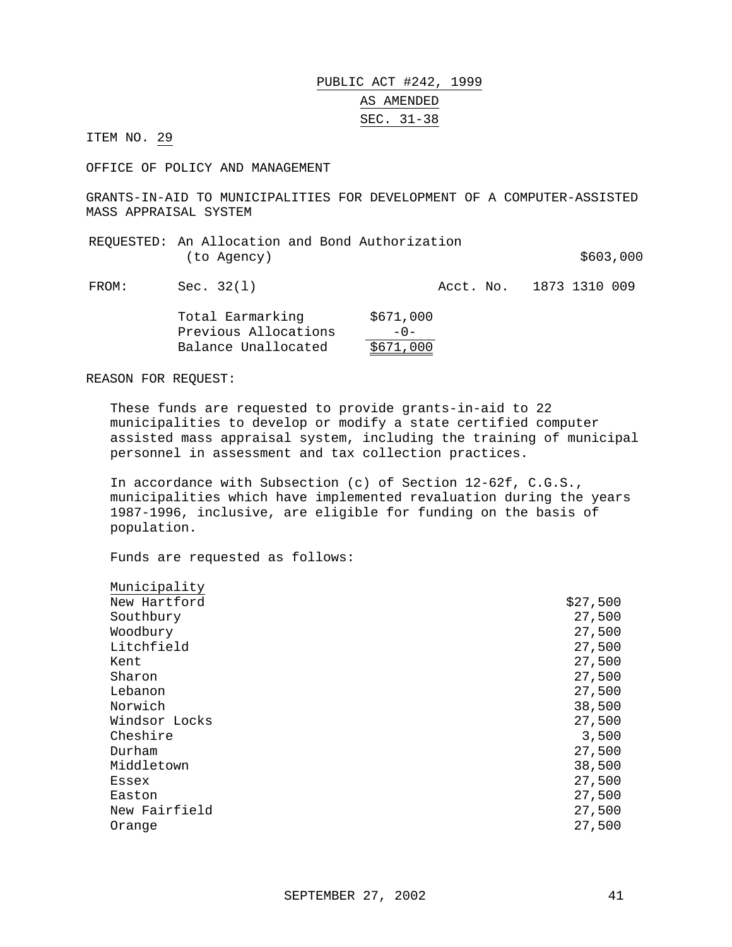### PUBLIC ACT #242, 1999 AS AMENDED SEC. 31-38

ITEM NO. 29

OFFICE OF POLICY AND MANAGEMENT

GRANTS-IN-AID TO MUNICIPALITIES FOR DEVELOPMENT OF A COMPUTER-ASSISTED MASS APPRAISAL SYSTEM

| REOUESTED: An Allocation and Bond Authorization |  |           |  |
|-------------------------------------------------|--|-----------|--|
| (to Agency)                                     |  | \$603,000 |  |

FROM: Sec. 32(1) 2010 Acct. No. 1873 1310 009

| Total Earmarking     | \$671,000 |
|----------------------|-----------|
| Previous Allocations | $-0-$     |
| Balance Unallocated  | \$671,000 |

REASON FOR REQUEST:

These funds are requested to provide grants-in-aid to 22 municipalities to develop or modify a state certified computer assisted mass appraisal system, including the training of municipal personnel in assessment and tax collection practices.

In accordance with Subsection (c) of Section 12-62f, C.G.S., municipalities which have implemented revaluation during the years 1987-1996, inclusive, are eligible for funding on the basis of population.

| Municipality  |          |
|---------------|----------|
| New Hartford  | \$27,500 |
| Southbury     | 27,500   |
| Woodbury      | 27,500   |
| Litchfield    | 27,500   |
| Kent          | 27,500   |
| Sharon        | 27,500   |
| Lebanon       | 27,500   |
| Norwich       | 38,500   |
| Windsor Locks | 27,500   |
| Cheshire      | 3,500    |
| Durham        | 27,500   |
| Middletown    | 38,500   |
| Essex         | 27,500   |
| Easton        | 27,500   |
| New Fairfield | 27,500   |
| Orange        | 27,500   |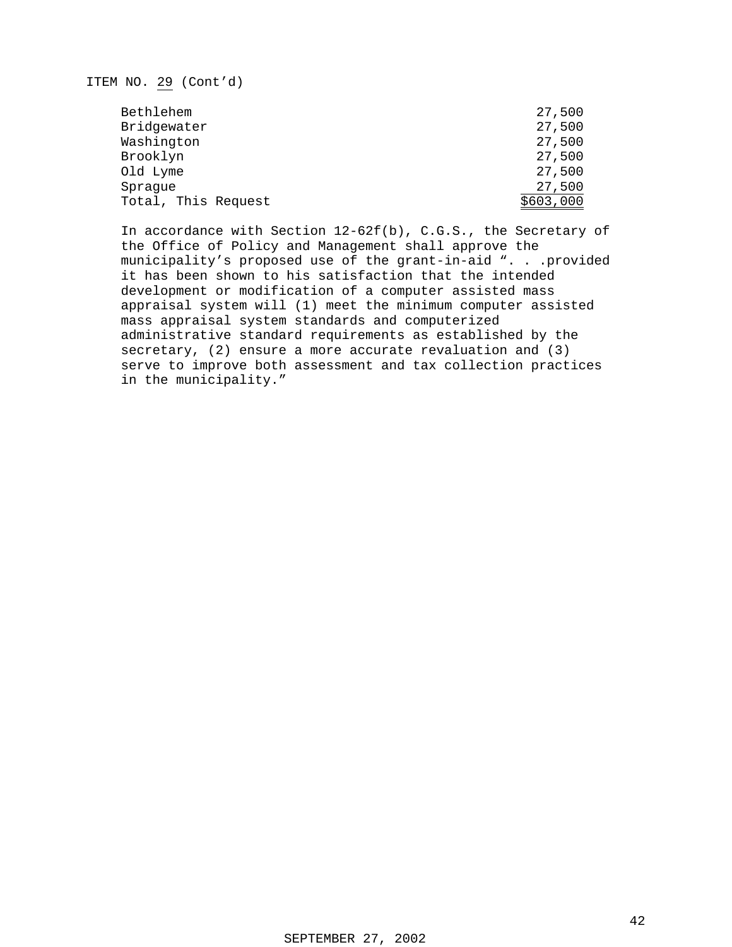### ITEM NO. 29 (Cont'd)

| Bethlehem           | 27,500    |
|---------------------|-----------|
| Bridgewater         | 27,500    |
| Washington          | 27,500    |
| Brooklyn            | 27,500    |
| Old Lyme            | 27,500    |
| Sprague             | 27,500    |
| Total, This Request | \$603,000 |

In accordance with Section 12-62f(b), C.G.S., the Secretary of the Office of Policy and Management shall approve the municipality's proposed use of the grant-in-aid ". . .provided it has been shown to his satisfaction that the intended development or modification of a computer assisted mass appraisal system will (1) meet the minimum computer assisted mass appraisal system standards and computerized administrative standard requirements as established by the secretary, (2) ensure a more accurate revaluation and (3) serve to improve both assessment and tax collection practices in the municipality."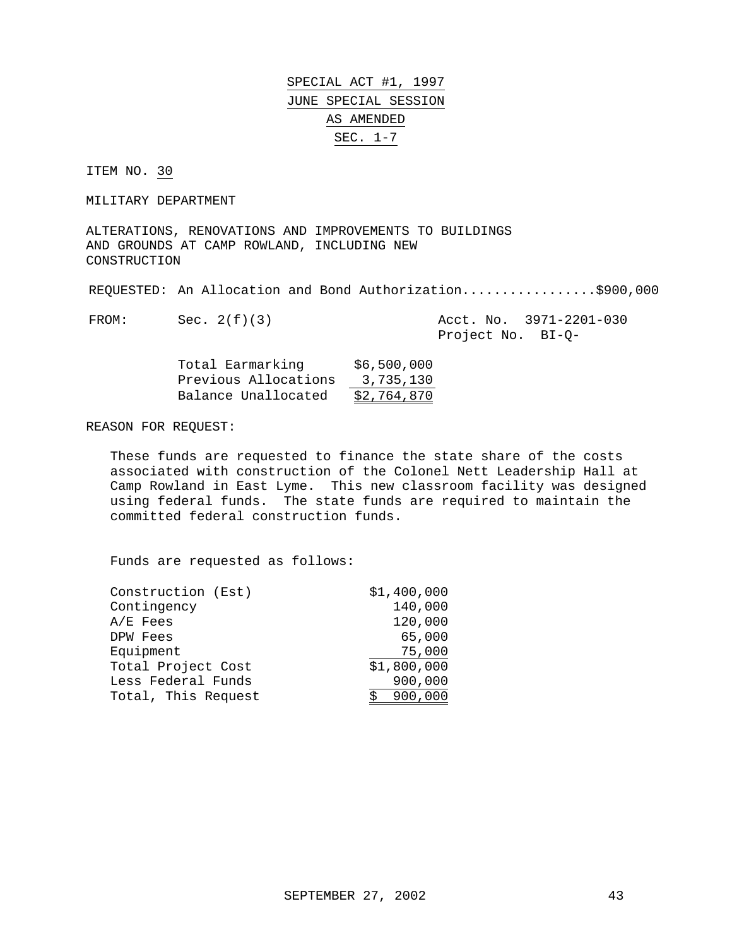SPECIAL ACT #1, 1997 JUNE SPECIAL SESSION AS AMENDED SEC. 1-7

ITEM NO. 30

MILITARY DEPARTMENT

ALTERATIONS, RENOVATIONS AND IMPROVEMENTS TO BUILDINGS AND GROUNDS AT CAMP ROWLAND, INCLUDING NEW CONSTRUCTION

REQUESTED: An Allocation and Bond Authorization..................\$900,000

FROM: Sec. 2(f)(3) Acct. No. 3971-2201-030 Project No. BI-Q-

| Total Earmarking     | \$6,500,000 |
|----------------------|-------------|
| Previous Allocations | 3,735,130   |
| Balance Unallocated  | \$2,764,870 |

REASON FOR REQUEST:

These funds are requested to finance the state share of the costs associated with construction of the Colonel Nett Leadership Hall at Camp Rowland in East Lyme. This new classroom facility was designed using federal funds. The state funds are required to maintain the committed federal construction funds.

| Construction (Est)  | \$1,400,000 |
|---------------------|-------------|
| Contingency         | 140,000     |
| $A/E$ Fees          | 120,000     |
| DPW Fees            | 65,000      |
| Equipment           | 75,000      |
| Total Project Cost  | \$1,800,000 |
| Less Federal Funds  | 900,000     |
| Total, This Request | 900,000     |
|                     |             |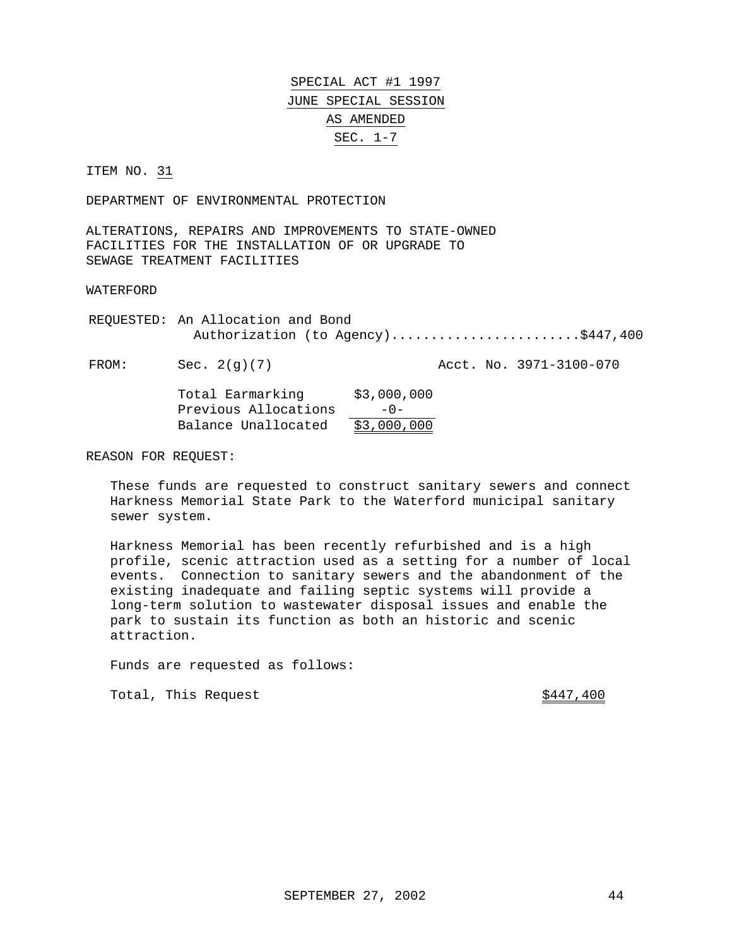SPECIAL ACT #1 1997 JUNE SPECIAL SESSION AS AMENDED SEC. 1-7

ITEM NO. 31

DEPARTMENT OF ENVIRONMENTAL PROTECTION

ALTERATIONS, REPAIRS AND IMPROVEMENTS TO STATE-OWNED FACILITIES FOR THE INSTALLATION OF OR UPGRADE TO SEWAGE TREATMENT FACILITIES

WATERFORD

REQUESTED: An Allocation and Bond Authorization (to Agency)..........................\$447,400

FROM: Sec. 2(g)(7) Acct. No. 3971-3100-070

| Total Earmarking     | \$3,000,000 |
|----------------------|-------------|
| Previous Allocations | $-0-$       |
| Balance Unallocated  | \$3,000,000 |

REASON FOR REQUEST:

These funds are requested to construct sanitary sewers and connect Harkness Memorial State Park to the Waterford municipal sanitary sewer system.

Harkness Memorial has been recently refurbished and is a high profile, scenic attraction used as a setting for a number of local events. Connection to sanitary sewers and the abandonment of the existing inadequate and failing septic systems will provide a long-term solution to wastewater disposal issues and enable the park to sustain its function as both an historic and scenic attraction.

Funds are requested as follows:

Total, This Request  $\frac{$447,400}{2}$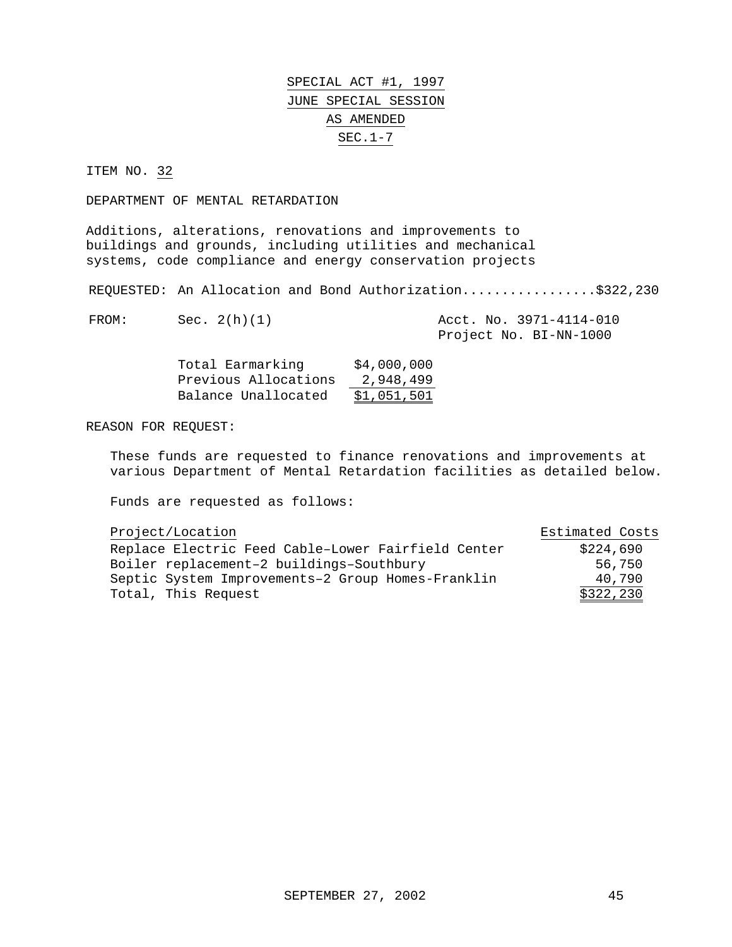# SPECIAL ACT #1, 1997 JUNE SPECIAL SESSION AS AMENDED SEC.1-7

ITEM NO. 32

DEPARTMENT OF MENTAL RETARDATION

Additions, alterations, renovations and improvements to buildings and grounds, including utilities and mechanical systems, code compliance and energy conservation projects

REQUESTED: An Allocation and Bond Authorization.....................\$322,230

| FROM: | Sec. 2(h)(1) |  | Acct. No. 3971-4114-010 |
|-------|--------------|--|-------------------------|
|       |              |  | Project No. BI-NN-1000  |

| Total Earmarking     | \$4,000,000 |
|----------------------|-------------|
| Previous Allocations | 2,948,499   |
| Balance Unallocated  | \$1,051,501 |

REASON FOR REQUEST:

These funds are requested to finance renovations and improvements at various Department of Mental Retardation facilities as detailed below.

| Project/Location                                   | Estimated Costs |
|----------------------------------------------------|-----------------|
| Replace Electric Feed Cable-Lower Fairfield Center | \$224,690       |
| Boiler replacement-2 buildings-Southbury           | 56,750          |
| Septic System Improvements-2 Group Homes-Franklin  | 40,790          |
| Total, This Request                                | \$322,230       |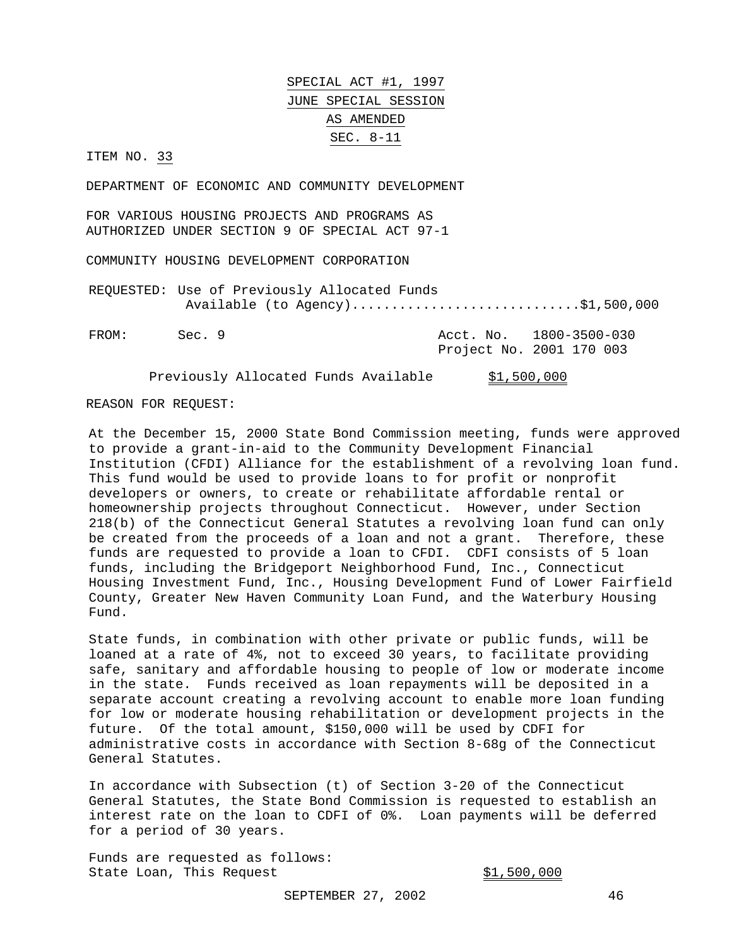SPECIAL ACT #1, 1997 JUNE SPECIAL SESSION AS AMENDED SEC. 8-11

ITEM NO. 33

DEPARTMENT OF ECONOMIC AND COMMUNITY DEVELOPMENT

FOR VARIOUS HOUSING PROJECTS AND PROGRAMS AS AUTHORIZED UNDER SECTION 9 OF SPECIAL ACT 97-1

COMMUNITY HOUSING DEVELOPMENT CORPORATION

REQUESTED: Use of Previously Allocated Funds Available (to Agency)................................\$1,500,000

FROM: Sec. 9 Acct. No. 1800-3500-030 Project No. 2001 170 003

Previously Allocated Funds Available \$1,500,000

REASON FOR REQUEST:

At the December 15, 2000 State Bond Commission meeting, funds were approved to provide a grant-in-aid to the Community Development Financial Institution (CFDI) Alliance for the establishment of a revolving loan fund. This fund would be used to provide loans to for profit or nonprofit developers or owners, to create or rehabilitate affordable rental or homeownership projects throughout Connecticut. However, under Section 218(b) of the Connecticut General Statutes a revolving loan fund can only be created from the proceeds of a loan and not a grant. Therefore, these funds are requested to provide a loan to CFDI. CDFI consists of 5 loan funds, including the Bridgeport Neighborhood Fund, Inc., Connecticut Housing Investment Fund, Inc., Housing Development Fund of Lower Fairfield County, Greater New Haven Community Loan Fund, and the Waterbury Housing Fund.

State funds, in combination with other private or public funds, will be loaned at a rate of 4%, not to exceed 30 years, to facilitate providing safe, sanitary and affordable housing to people of low or moderate income in the state. Funds received as loan repayments will be deposited in a separate account creating a revolving account to enable more loan funding for low or moderate housing rehabilitation or development projects in the future. Of the total amount, \$150,000 will be used by CDFI for administrative costs in accordance with Section 8-68g of the Connecticut General Statutes.

In accordance with Subsection (t) of Section 3-20 of the Connecticut General Statutes, the State Bond Commission is requested to establish an interest rate on the loan to CDFI of 0%. Loan payments will be deferred for a period of 30 years.

Funds are requested as follows: State Loan, This Request  $$1,500,000$ 

SEPTEMBER 27, 2002 46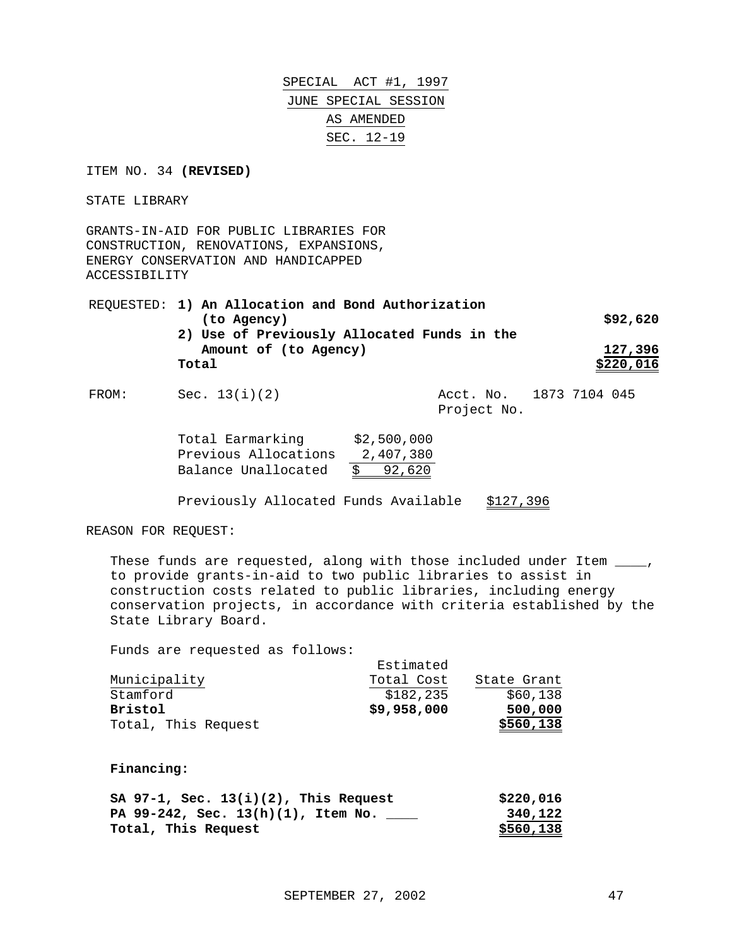SPECIAL ACT #1, 1997 JUNE SPECIAL SESSION AS AMENDED SEC. 12-19

ITEM NO. 34 **(REVISED)**

STATE LIBRARY

GRANTS-IN-AID FOR PUBLIC LIBRARIES FOR CONSTRUCTION, RENOVATIONS, EXPANSIONS, ENERGY CONSERVATION AND HANDICAPPED ACCESSIBILITY

REQUESTED: **1) An Allocation and Bond Authorization (to Agency) \$92,620 2) Use of Previously Allocated Funds in the Amount of (to Agency) 127,396 Total** \$220,016

FROM: Sec. 13(i)(2) Acct. No. 1873 7104 045

Project No.

| Total Earmarking     | \$2,500,000  |
|----------------------|--------------|
| Previous Allocations | 2,407,380    |
| Balance Unallocated  | 92,620<br>S. |

Previously Allocated Funds Available \$127,396

REASON FOR REQUEST:

These funds are requested, along with those included under Item  $\frac{1}{\sqrt{1-\frac{1}{n}}}$ , to provide grants-in-aid to two public libraries to assist in construction costs related to public libraries, including energy conservation projects, in accordance with criteria established by the State Library Board.

Funds are requested as follows:

|                     | Estimated   |             |
|---------------------|-------------|-------------|
| Municipality        | Total Cost  | State Grant |
| Stamford            | \$182,235   | \$60,138    |
| <b>Bristol</b>      | \$9,958,000 | 500,000     |
| Total, This Request |             | \$560,138   |

**Financing:**

| SA $97-1$ , Sec. $13(i)(2)$ , This Request | \$220,016 |
|--------------------------------------------|-----------|
| PA 99-242, Sec. $13(h)(1)$ , Item No. ____ | 340,122   |
| Total, This Request                        | \$560,138 |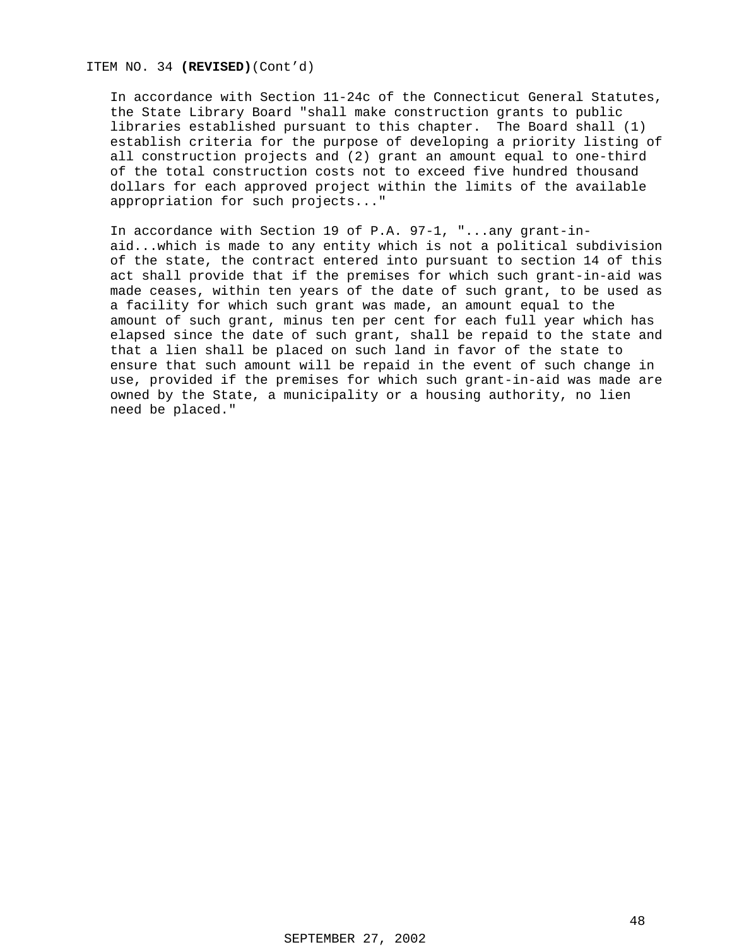### ITEM NO. 34 **(REVISED)**(Cont'd)

In accordance with Section 11-24c of the Connecticut General Statutes, the State Library Board "shall make construction grants to public libraries established pursuant to this chapter. The Board shall (1) establish criteria for the purpose of developing a priority listing of all construction projects and (2) grant an amount equal to one-third of the total construction costs not to exceed five hundred thousand dollars for each approved project within the limits of the available appropriation for such projects..."

In accordance with Section 19 of P.A. 97-1, "...any grant-inaid...which is made to any entity which is not a political subdivision of the state, the contract entered into pursuant to section 14 of this act shall provide that if the premises for which such grant-in-aid was made ceases, within ten years of the date of such grant, to be used as a facility for which such grant was made, an amount equal to the amount of such grant, minus ten per cent for each full year which has elapsed since the date of such grant, shall be repaid to the state and that a lien shall be placed on such land in favor of the state to ensure that such amount will be repaid in the event of such change in use, provided if the premises for which such grant-in-aid was made are owned by the State, a municipality or a housing authority, no lien need be placed."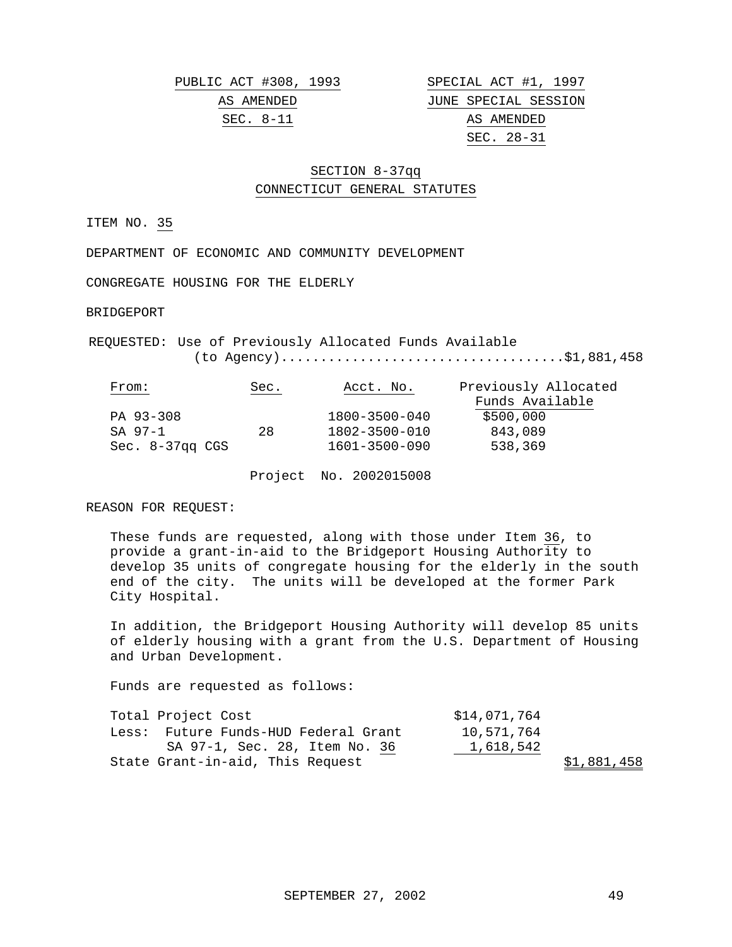PUBLIC ACT #308, 1993 SPECIAL ACT #1, 1997

AS AMENDED JUNE SPECIAL SESSION SEC. 8-11 AS AMENDED SEC. 28-31

### SECTION 8-37qq CONNECTICUT GENERAL STATUTES

ITEM NO. 35

DEPARTMENT OF ECONOMIC AND COMMUNITY DEVELOPMENT

CONGREGATE HOUSING FOR THE ELDERLY

BRIDGEPORT

REQUESTED: Use of Previously Allocated Funds Available (to Agency)....................................\$1,881,458

| From:                | Sec. | Acct. No.     | Previously Allocated |
|----------------------|------|---------------|----------------------|
|                      |      |               | Funds Available      |
| PA 93-308            |      | 1800-3500-040 | \$500,000            |
| SA 97-1              | 28   | 1802-3500-010 | 843,089              |
| $Sec. 8-37$ gg $CGS$ |      | 1601-3500-090 | 538,369              |

Project No. 2002015008

REASON FOR REQUEST:

These funds are requested, along with those under Item 36, to provide a grant-in-aid to the Bridgeport Housing Authority to develop 35 units of congregate housing for the elderly in the south end of the city. The units will be developed at the former Park City Hospital.

In addition, the Bridgeport Housing Authority will develop 85 units of elderly housing with a grant from the U.S. Department of Housing and Urban Development.

| Total Project Cost |                                      | \$14,071,764 |             |
|--------------------|--------------------------------------|--------------|-------------|
|                    | Less: Future Funds-HUD Federal Grant | 10,571,764   |             |
|                    | SA 97-1, Sec. 28, Item No. 36        | 1,618,542    |             |
|                    | State Grant-in-aid, This Request     |              | \$1,881,458 |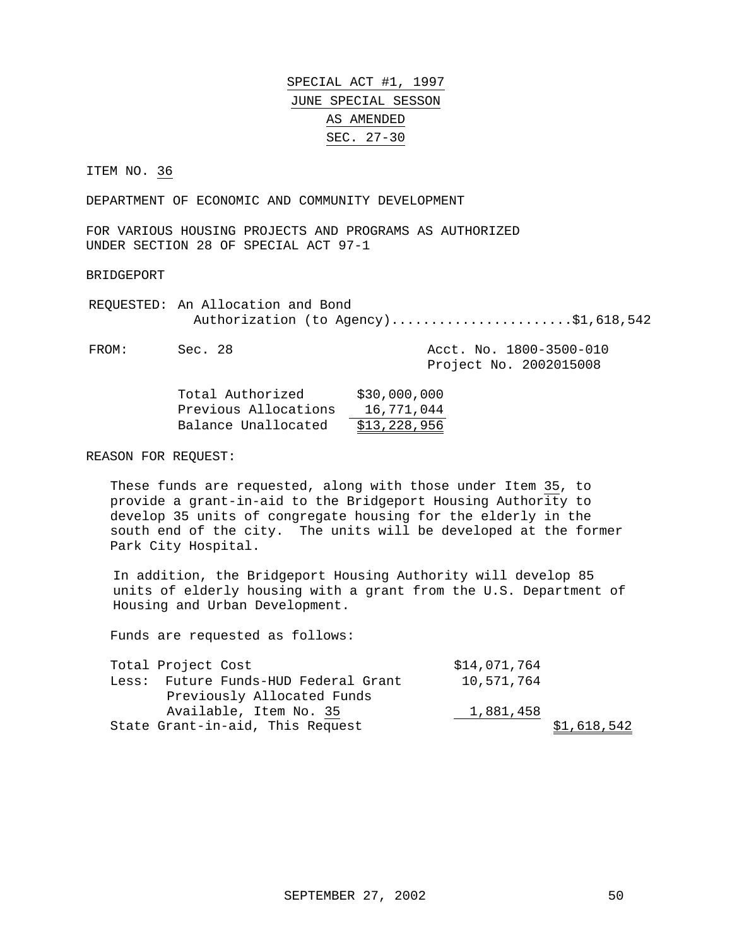SPECIAL ACT #1, 1997 JUNE SPECIAL SESSON AS AMENDED SEC. 27-30

ITEM NO. 36

DEPARTMENT OF ECONOMIC AND COMMUNITY DEVELOPMENT

FOR VARIOUS HOUSING PROJECTS AND PROGRAMS AS AUTHORIZED UNDER SECTION 28 OF SPECIAL ACT 97-1

BRIDGEPORT

REQUESTED: An Allocation and Bond Authorization (to Agency).......................\$1,618,542

FROM: Sec. 28 Acct. No. 1800-3500-010 Project No. 2002015008

| Total Authorized     | \$30,000,000 |
|----------------------|--------------|
| Previous Allocations | 16,771,044   |
| Balance Unallocated  | \$13,228,956 |

REASON FOR REQUEST:

These funds are requested, along with those under Item 35, to provide a grant-in-aid to the Bridgeport Housing Authority to develop 35 units of congregate housing for the elderly in the south end of the city. The units will be developed at the former Park City Hospital.

In addition, the Bridgeport Housing Authority will develop 85 units of elderly housing with a grant from the U.S. Department of Housing and Urban Development.

| Total Project Cost                   | \$14,071,764 |             |
|--------------------------------------|--------------|-------------|
| Less: Future Funds-HUD Federal Grant | 10,571,764   |             |
| Previously Allocated Funds           |              |             |
| Available, Item No. 35               | 1,881,458    |             |
| State Grant-in-aid, This Request     |              | \$1,618,542 |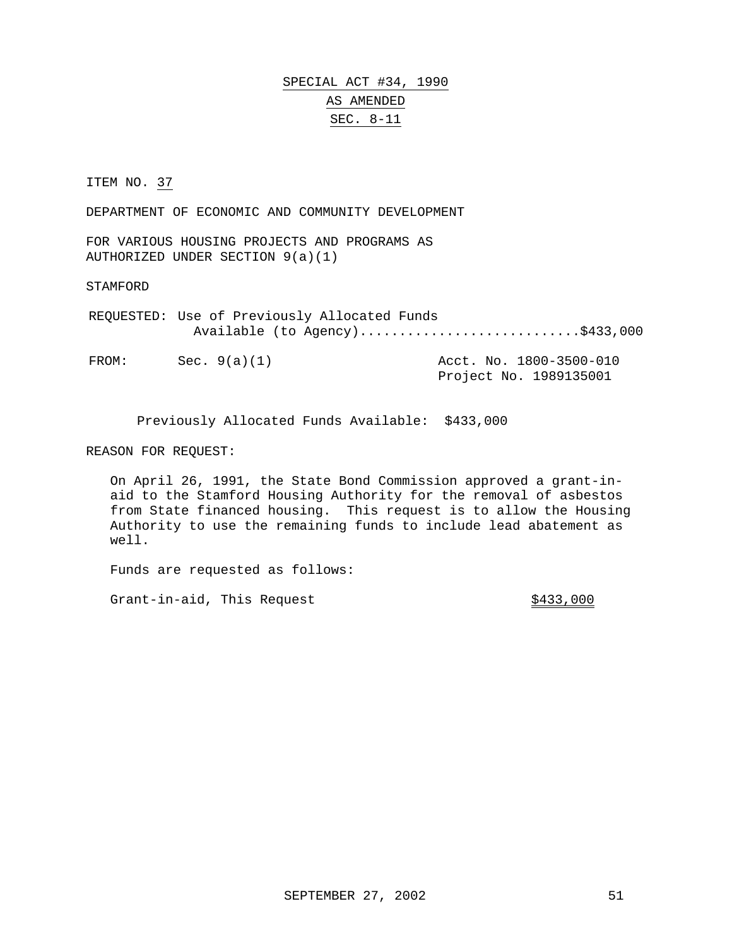## SPECIAL ACT #34, 1990 AS AMENDED SEC. 8-11

ITEM NO. 37

DEPARTMENT OF ECONOMIC AND COMMUNITY DEVELOPMENT

FOR VARIOUS HOUSING PROJECTS AND PROGRAMS AS AUTHORIZED UNDER SECTION 9(a)(1)

STAMFORD

REQUESTED: Use of Previously Allocated Funds Available (to Agency)............................\$433,000

FROM: Sec. 9(a)(1) Acct. No. 1800-3500-010 Project No. 1989135001

Previously Allocated Funds Available: \$433,000

REASON FOR REQUEST:

On April 26, 1991, the State Bond Commission approved a grant-inaid to the Stamford Housing Authority for the removal of asbestos from State financed housing. This request is to allow the Housing Authority to use the remaining funds to include lead abatement as well.

Funds are requested as follows:

Grant-in-aid, This Request  $$433,000$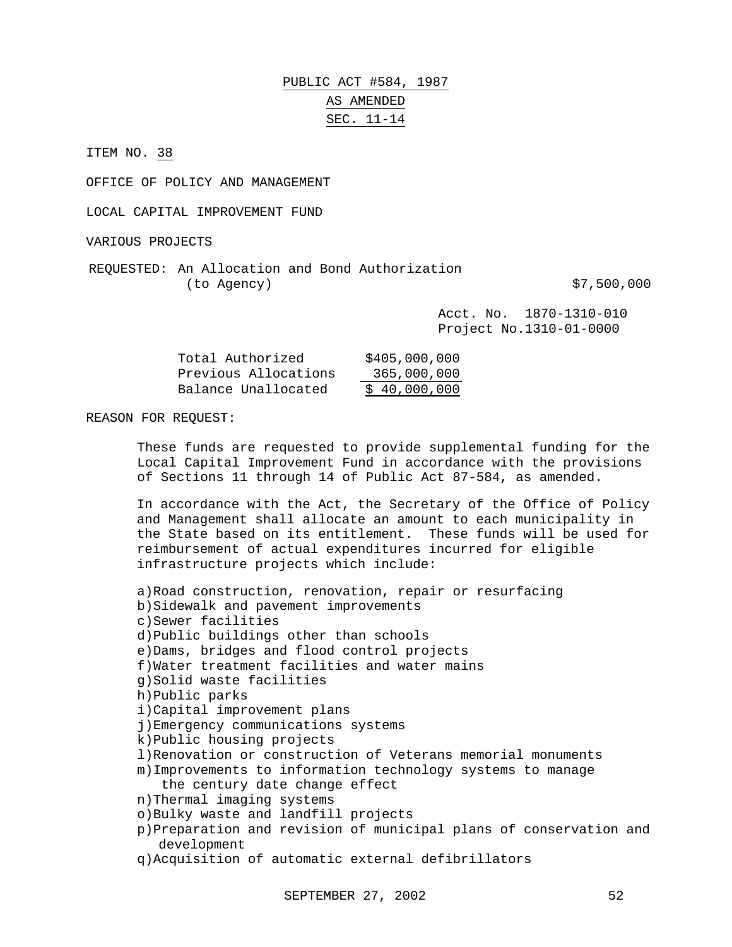# PUBLIC ACT #584, 1987 AS AMENDED SEC. 11-14

ITEM NO. 38

OFFICE OF POLICY AND MANAGEMENT

LOCAL CAPITAL IMPROVEMENT FUND

VARIOUS PROJECTS

REQUESTED: An Allocation and Bond Authorization (to Agency)  $\text{S7,500,000}$ 

Acct. No. 1870-1310-010 Project No.1310-01-0000

| Total Authorized     | \$405,000,000 |
|----------------------|---------------|
| Previous Allocations | 365,000,000   |
| Balance Unallocated  | \$40,000,000  |

#### REASON FOR REQUEST:

These funds are requested to provide supplemental funding for the Local Capital Improvement Fund in accordance with the provisions of Sections 11 through 14 of Public Act 87-584, as amended.

In accordance with the Act, the Secretary of the Office of Policy and Management shall allocate an amount to each municipality in the State based on its entitlement. These funds will be used for reimbursement of actual expenditures incurred for eligible infrastructure projects which include:

```
a)Road construction, renovation, repair or resurfacing
b)Sidewalk and pavement improvements
c)Sewer facilities
d)Public buildings other than schools
e)Dams, bridges and flood control projects
f)Water treatment facilities and water mains
g)Solid waste facilities
h)Public parks
i)Capital improvement plans
j)Emergency communications systems
k)Public housing projects
l)Renovation or construction of Veterans memorial monuments
m)Improvements to information technology systems to manage
   the century date change effect
n)Thermal imaging systems
o)Bulky waste and landfill projects
p)Preparation and revision of municipal plans of conservation and
  development
q)Acquisition of automatic external defibrillators
```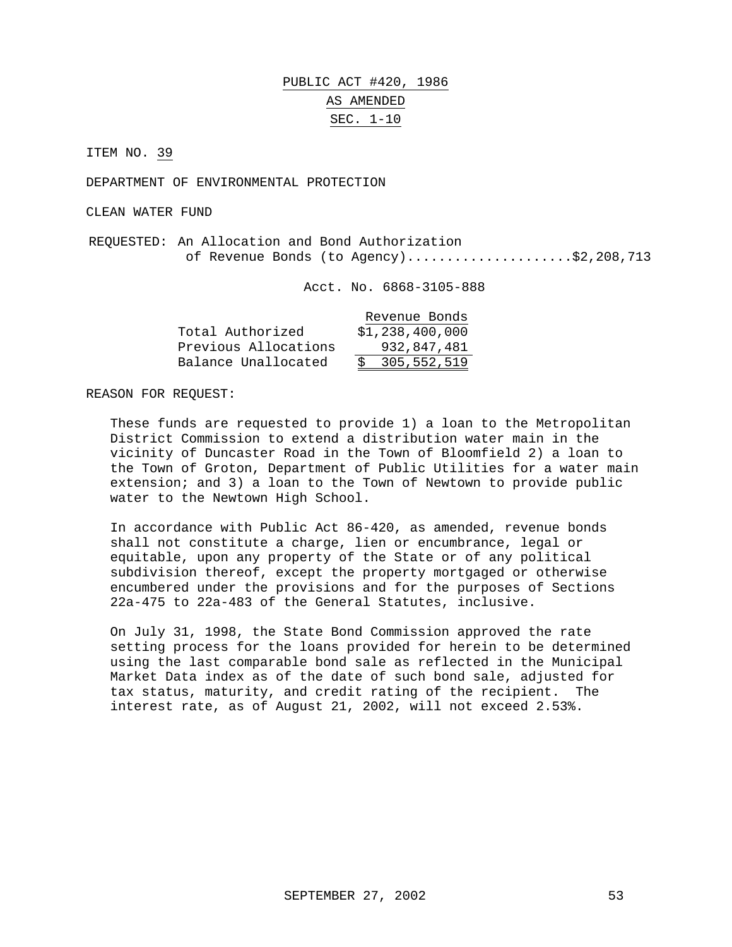# PUBLIC ACT #420, 1986 AS AMENDED SEC. 1-10

ITEM NO. 39

DEPARTMENT OF ENVIRONMENTAL PROTECTION

CLEAN WATER FUND

REQUESTED: An Allocation and Bond Authorization of Revenue Bonds (to Agency).....................\$2,208,713

Acct. No. 6868-3105-888

|                      | Revenue Bonds   |
|----------------------|-----------------|
| Total Authorized     | \$1,238,400,000 |
| Previous Allocations | 932,847,481     |
| Balance Unallocated  | 305,552,519     |

REASON FOR REQUEST:

These funds are requested to provide 1) a loan to the Metropolitan District Commission to extend a distribution water main in the vicinity of Duncaster Road in the Town of Bloomfield 2) a loan to the Town of Groton, Department of Public Utilities for a water main extension; and 3) a loan to the Town of Newtown to provide public water to the Newtown High School.

In accordance with Public Act 86-420, as amended, revenue bonds shall not constitute a charge, lien or encumbrance, legal or equitable, upon any property of the State or of any political subdivision thereof, except the property mortgaged or otherwise encumbered under the provisions and for the purposes of Sections 22a-475 to 22a-483 of the General Statutes, inclusive.

On July 31, 1998, the State Bond Commission approved the rate setting process for the loans provided for herein to be determined using the last comparable bond sale as reflected in the Municipal Market Data index as of the date of such bond sale, adjusted for tax status, maturity, and credit rating of the recipient. The interest rate, as of August 21, 2002, will not exceed 2.53%.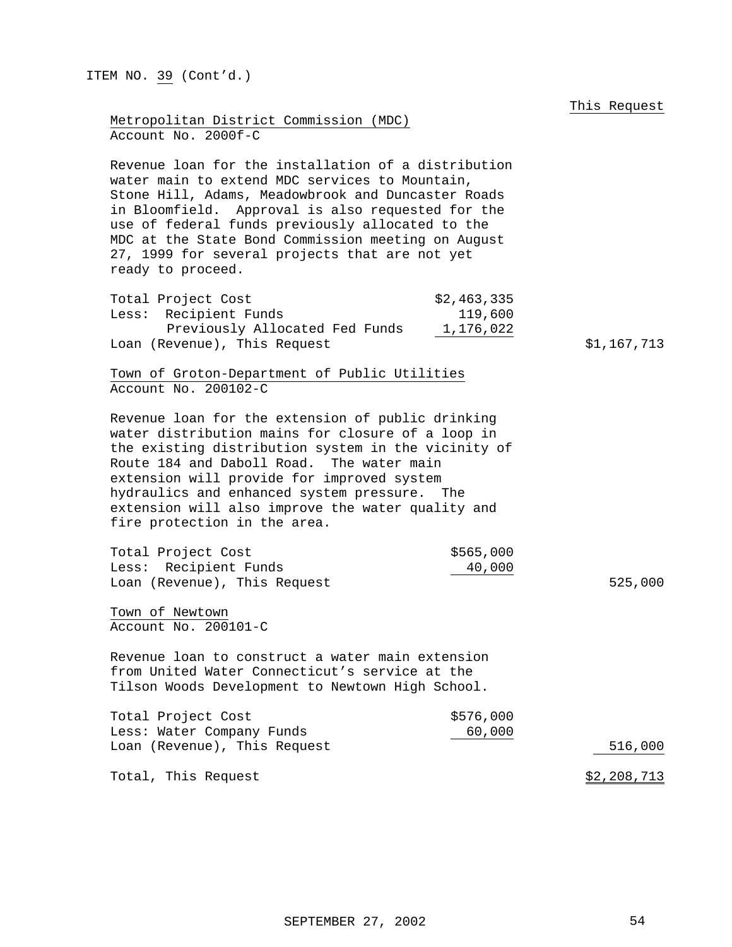| ITEM NO. 39 (Cont'd.)                                                                                                                                                                                                                                                                                                                                                                             |                                |
|---------------------------------------------------------------------------------------------------------------------------------------------------------------------------------------------------------------------------------------------------------------------------------------------------------------------------------------------------------------------------------------------------|--------------------------------|
|                                                                                                                                                                                                                                                                                                                                                                                                   | This Request                   |
| Metropolitan District Commission (MDC)<br>Account No. 2000f-C                                                                                                                                                                                                                                                                                                                                     |                                |
| Revenue loan for the installation of a distribution<br>water main to extend MDC services to Mountain,<br>Stone Hill, Adams, Meadowbrook and Duncaster Roads<br>in Bloomfield. Approval is also requested for the<br>use of federal funds previously allocated to the<br>MDC at the State Bond Commission meeting on August<br>27, 1999 for several projects that are not yet<br>ready to proceed. |                                |
| Total Project Cost<br>\$2,463,335<br>Less: Recipient Funds                                                                                                                                                                                                                                                                                                                                        | 119,600                        |
| Previously Allocated Fed Funds<br>1,176,022<br>Loan (Revenue), This Request                                                                                                                                                                                                                                                                                                                       | \$1,167,713                    |
| Town of Groton-Department of Public Utilities<br>Account No. 200102-C                                                                                                                                                                                                                                                                                                                             |                                |
| Revenue loan for the extension of public drinking<br>water distribution mains for closure of a loop in<br>the existing distribution system in the vicinity of<br>Route 184 and Daboll Road. The water main<br>extension will provide for improved system<br>hydraulics and enhanced system pressure.<br>The<br>extension will also improve the water quality and<br>fire protection in the area.  |                                |
| Total Project Cost<br>Less: Recipient Funds<br>Loan (Revenue), This Request                                                                                                                                                                                                                                                                                                                       | \$565,000<br>40,000<br>525,000 |
| Town of Newtown<br>Account No. 200101-C                                                                                                                                                                                                                                                                                                                                                           |                                |
| Revenue loan to construct a water main extension<br>from United Water Connecticut's service at the<br>Tilson Woods Development to Newtown High School.                                                                                                                                                                                                                                            |                                |
| Total Project Cost<br>Less: Water Company Funds<br>Loan (Revenue), This Request                                                                                                                                                                                                                                                                                                                   | \$576,000<br>60,000<br>516,000 |
|                                                                                                                                                                                                                                                                                                                                                                                                   |                                |
| Total, This Request                                                                                                                                                                                                                                                                                                                                                                               | \$2,208,713                    |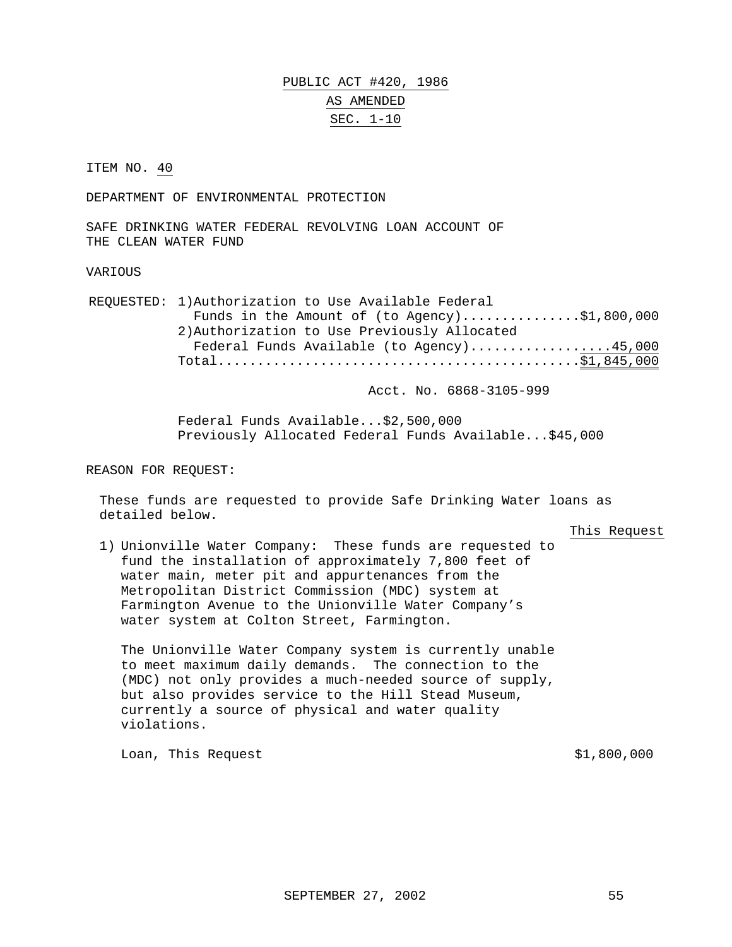PUBLIC ACT #420, 1986 AS AMENDED SEC. 1-10

ITEM NO. 40

DEPARTMENT OF ENVIRONMENTAL PROTECTION

SAFE DRINKING WATER FEDERAL REVOLVING LOAN ACCOUNT OF THE CLEAN WATER FUND

#### **VARIOUS**

REQUESTED: 1)Authorization to Use Available Federal Funds in the Amount of (to Agency)...............\$1,800,000 2)Authorization to Use Previously Allocated Federal Funds Available (to Agency)..................45,000 Total..............................................\$1,845,000

Acct. No. 6868-3105-999

Federal Funds Available...\$2,500,000 Previously Allocated Federal Funds Available...\$45,000

REASON FOR REQUEST:

These funds are requested to provide Safe Drinking Water loans as detailed below.

This Request

1) Unionville Water Company: These funds are requested to fund the installation of approximately 7,800 feet of water main, meter pit and appurtenances from the Metropolitan District Commission (MDC) system at Farmington Avenue to the Unionville Water Company's water system at Colton Street, Farmington.

The Unionville Water Company system is currently unable to meet maximum daily demands. The connection to the (MDC) not only provides a much-needed source of supply, but also provides service to the Hill Stead Museum, currently a source of physical and water quality violations.

Loan, This Request  $\frac{1}{2}$  and  $\frac{1}{2}$  and  $\frac{1}{2}$  and  $\frac{1}{2}$  and  $\frac{1}{2}$  and  $\frac{1}{2}$  and  $\frac{1}{2}$  and  $\frac{1}{2}$  and  $\frac{1}{2}$  and  $\frac{1}{2}$  and  $\frac{1}{2}$  and  $\frac{1}{2}$  and  $\frac{1}{2}$  and  $\frac{1}{2}$  and  $\frac{1}{2$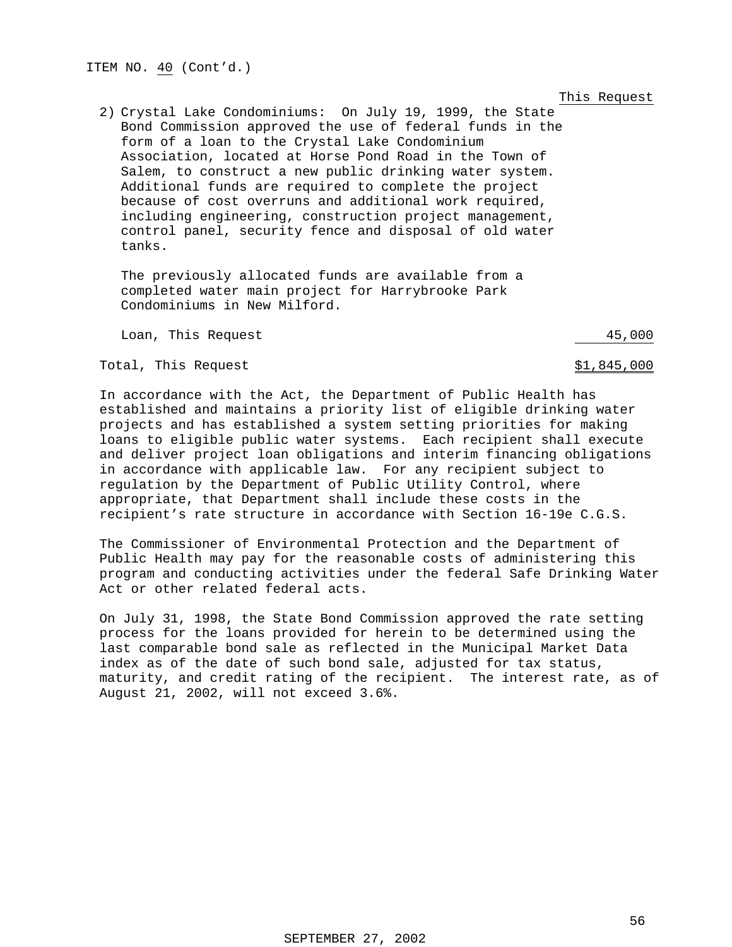This Request

2) Crystal Lake Condominiums: On July 19, 1999, the State Bond Commission approved the use of federal funds in the form of a loan to the Crystal Lake Condominium Association, located at Horse Pond Road in the Town of Salem, to construct a new public drinking water system. Additional funds are required to complete the project because of cost overruns and additional work required, including engineering, construction project management, control panel, security fence and disposal of old water tanks.

The previously allocated funds are available from a completed water main project for Harrybrooke Park Condominiums in New Milford.

Loan, This Request 45,000

Total, This Request  $$1,845,000$ 

In accordance with the Act, the Department of Public Health has established and maintains a priority list of eligible drinking water projects and has established a system setting priorities for making loans to eligible public water systems. Each recipient shall execute and deliver project loan obligations and interim financing obligations in accordance with applicable law. For any recipient subject to regulation by the Department of Public Utility Control, where appropriate, that Department shall include these costs in the recipient's rate structure in accordance with Section 16-19e C.G.S.

The Commissioner of Environmental Protection and the Department of Public Health may pay for the reasonable costs of administering this program and conducting activities under the federal Safe Drinking Water Act or other related federal acts.

On July 31, 1998, the State Bond Commission approved the rate setting process for the loans provided for herein to be determined using the last comparable bond sale as reflected in the Municipal Market Data index as of the date of such bond sale, adjusted for tax status, maturity, and credit rating of the recipient. The interest rate, as of August 21, 2002, will not exceed 3.6%.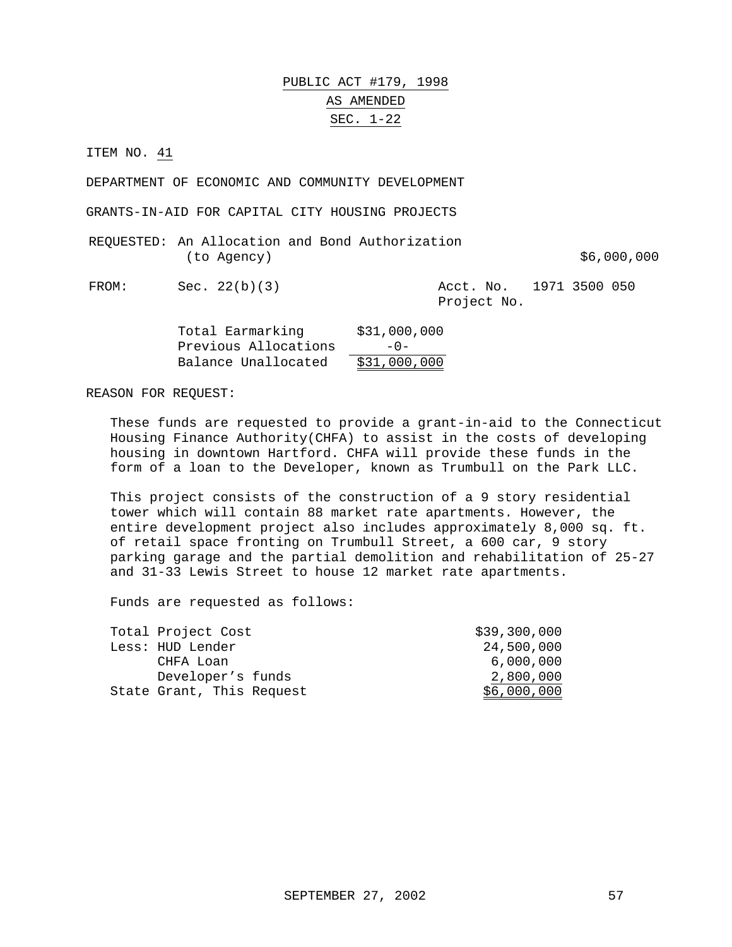## PUBLIC ACT #179, 1998 AS AMENDED SEC. 1-22

ITEM NO. 41

DEPARTMENT OF ECONOMIC AND COMMUNITY DEVELOPMENT

GRANTS-IN-AID FOR CAPITAL CITY HOUSING PROJECTS

|             |  | REQUESTED: An Allocation and Bond Authorization |             |
|-------------|--|-------------------------------------------------|-------------|
| (to Agency) |  |                                                 | \$6,000,000 |

FROM: Sec. 22(b)(3) Acct. No. 1971 3500 050 Project No.

| Total Earmarking     | \$31,000,000 |
|----------------------|--------------|
| Previous Allocations | $-0-$        |
| Balance Unallocated  | \$31,000,000 |

REASON FOR REQUEST:

These funds are requested to provide a grant-in-aid to the Connecticut Housing Finance Authority(CHFA) to assist in the costs of developing housing in downtown Hartford. CHFA will provide these funds in the form of a loan to the Developer, known as Trumbull on the Park LLC.

This project consists of the construction of a 9 story residential tower which will contain 88 market rate apartments. However, the entire development project also includes approximately 8,000 sq. ft. of retail space fronting on Trumbull Street, a 600 car, 9 story parking garage and the partial demolition and rehabilitation of 25-27 and 31-33 Lewis Street to house 12 market rate apartments.

| Total Project Cost        | \$39,300,000 |
|---------------------------|--------------|
| Less: HUD Lender          | 24,500,000   |
| CHFA Loan                 | 6,000,000    |
| Developer's funds         | 2,800,000    |
| State Grant, This Request | \$6,000,000  |
|                           |              |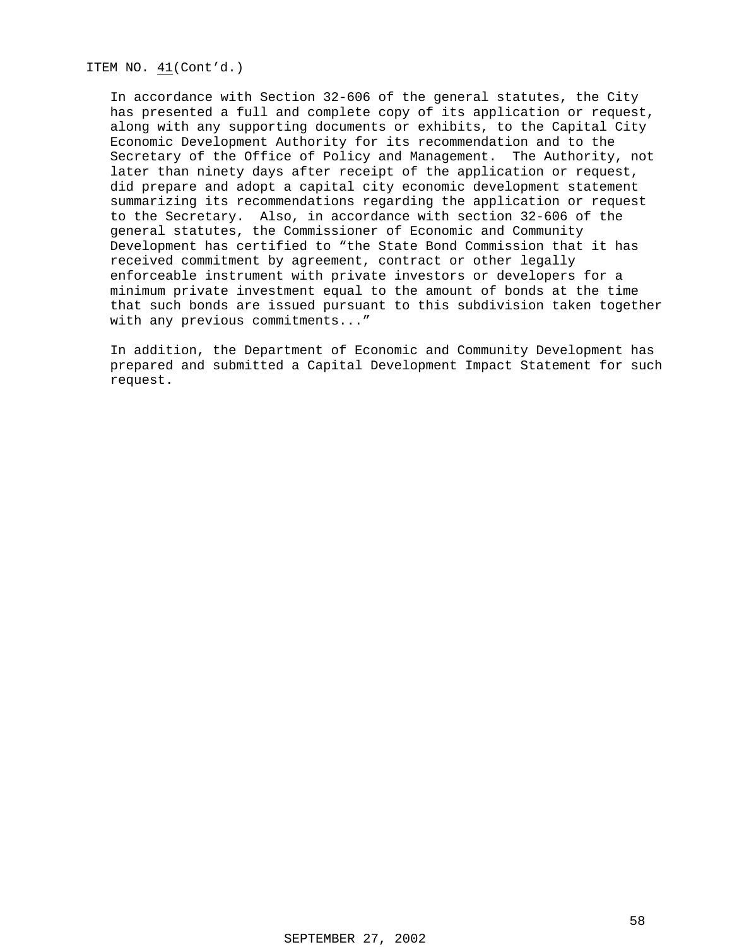ITEM NO. 41(Cont'd.)

In accordance with Section 32-606 of the general statutes, the City has presented a full and complete copy of its application or request, along with any supporting documents or exhibits, to the Capital City Economic Development Authority for its recommendation and to the Secretary of the Office of Policy and Management. The Authority, not later than ninety days after receipt of the application or request, did prepare and adopt a capital city economic development statement summarizing its recommendations regarding the application or request to the Secretary. Also, in accordance with section 32-606 of the general statutes, the Commissioner of Economic and Community Development has certified to "the State Bond Commission that it has received commitment by agreement, contract or other legally enforceable instrument with private investors or developers for a minimum private investment equal to the amount of bonds at the time that such bonds are issued pursuant to this subdivision taken together with any previous commitments..."

In addition, the Department of Economic and Community Development has prepared and submitted a Capital Development Impact Statement for such request.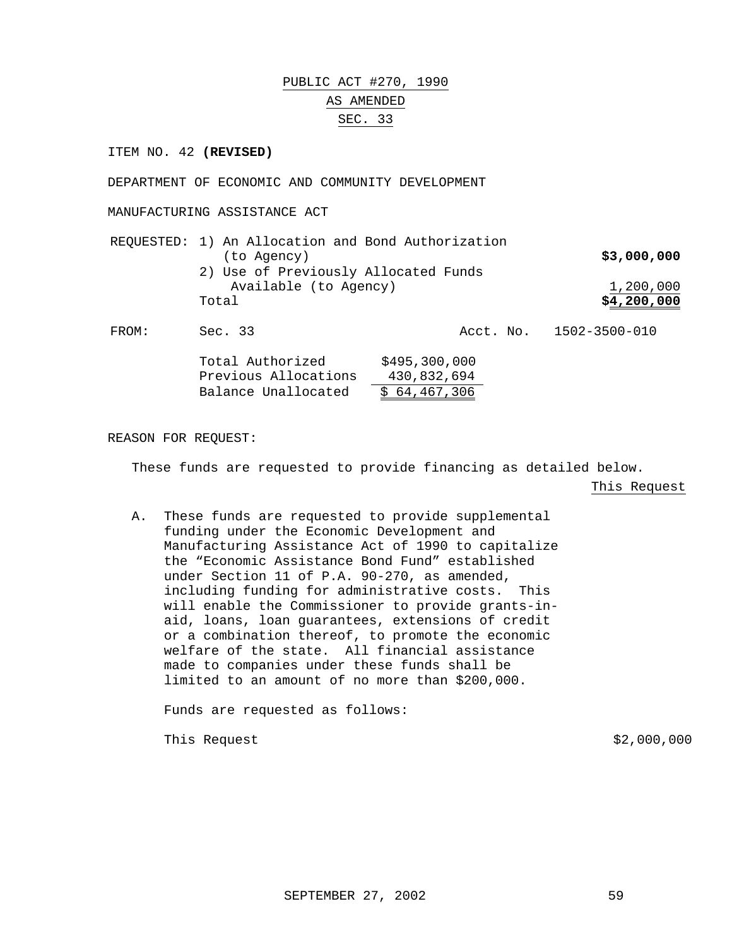# PUBLIC ACT #270, 1990 AS AMENDED SEC. 33

ITEM NO. 42 **(REVISED)**

DEPARTMENT OF ECONOMIC AND COMMUNITY DEVELOPMENT

MANUFACTURING ASSISTANCE ACT

| REQUESTED: 1) An Allocation and Bond Authorization |             |
|----------------------------------------------------|-------------|
| (to Agency)                                        | \$3,000,000 |
| 2) Use of Previously Allocated Funds               |             |
| Available (to Agency)                              | 1,200,000   |
| Total                                              | \$4,200,000 |
|                                                    |             |

FROM: Sec. 33 Acct. No. 1502-3500-010

| Total Authorized     | \$495,300,000 |
|----------------------|---------------|
| Previous Allocations | 430,832,694   |
| Balance Unallocated  | \$64,467,306  |

REASON FOR REQUEST:

These funds are requested to provide financing as detailed below.

This Request

A. These funds are requested to provide supplemental funding under the Economic Development and Manufacturing Assistance Act of 1990 to capitalize the "Economic Assistance Bond Fund" established under Section 11 of P.A. 90-270, as amended, including funding for administrative costs. This will enable the Commissioner to provide grants-inaid, loans, loan guarantees, extensions of credit or a combination thereof, to promote the economic welfare of the state. All financial assistance made to companies under these funds shall be limited to an amount of no more than \$200,000.

Funds are requested as follows:

This Request  $\approx$  2,000,000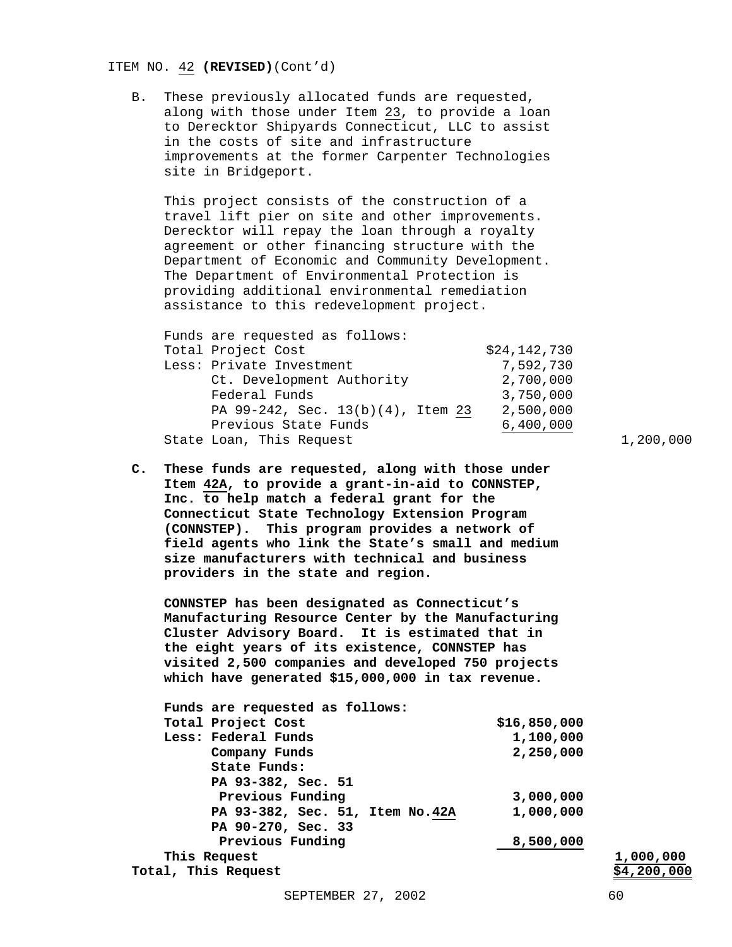#### ITEM NO. 42 **(REVISED)**(Cont'd)

B. These previously allocated funds are requested, along with those under Item 23, to provide a loan to Derecktor Shipyards Connecticut, LLC to assist in the costs of site and infrastructure improvements at the former Carpenter Technologies site in Bridgeport.

This project consists of the construction of a travel lift pier on site and other improvements. Derecktor will repay the loan through a royalty agreement or other financing structure with the Department of Economic and Community Development. The Department of Environmental Protection is providing additional environmental remediation assistance to this redevelopment project.

| Funds are requested as follows:   |              |
|-----------------------------------|--------------|
| Total Project Cost                | \$24,142,730 |
| Less: Private Investment          | 7,592,730    |
| Ct. Development Authority         | 2,700,000    |
| Federal Funds                     | 3,750,000    |
| PA 99-242, Sec. 13(b)(4), Item 23 | 2,500,000    |
| Previous State Funds              | 6,400,000    |
| State Loan, This Request          |              |

**C. These funds are requested, along with those under Item 42A, to provide a grant-in-aid to CONNSTEP, Inc. to help match a federal grant for the Connecticut State Technology Extension Program (CONNSTEP). This program provides a network of field agents who link the State's small and medium size manufacturers with technical and business providers in the state and region.**

**CONNSTEP has been designated as Connecticut's Manufacturing Resource Center by the Manufacturing Cluster Advisory Board. It is estimated that in the eight years of its existence, CONNSTEP has visited 2,500 companies and developed 750 projects which have generated \$15,000,000 in tax revenue.**

| Funds are requested as follows: |              |                    |
|---------------------------------|--------------|--------------------|
| Total Project Cost              | \$16,850,000 |                    |
| Less: Federal Funds             | 1,100,000    |                    |
| Company Funds                   | 2,250,000    |                    |
| State Funds:                    |              |                    |
| PA 93-382, Sec. 51              |              |                    |
| Previous Funding                | 3,000,000    |                    |
| PA 93-382, Sec. 51, Item No.42A | 1,000,000    |                    |
| PA 90-270, Sec. 33              |              |                    |
| Previous Funding                | 8,500,000    |                    |
| This Request                    |              | 1,000,000          |
| Total, This Request             |              | <u>\$4,200,000</u> |
|                                 |              |                    |

1,200,000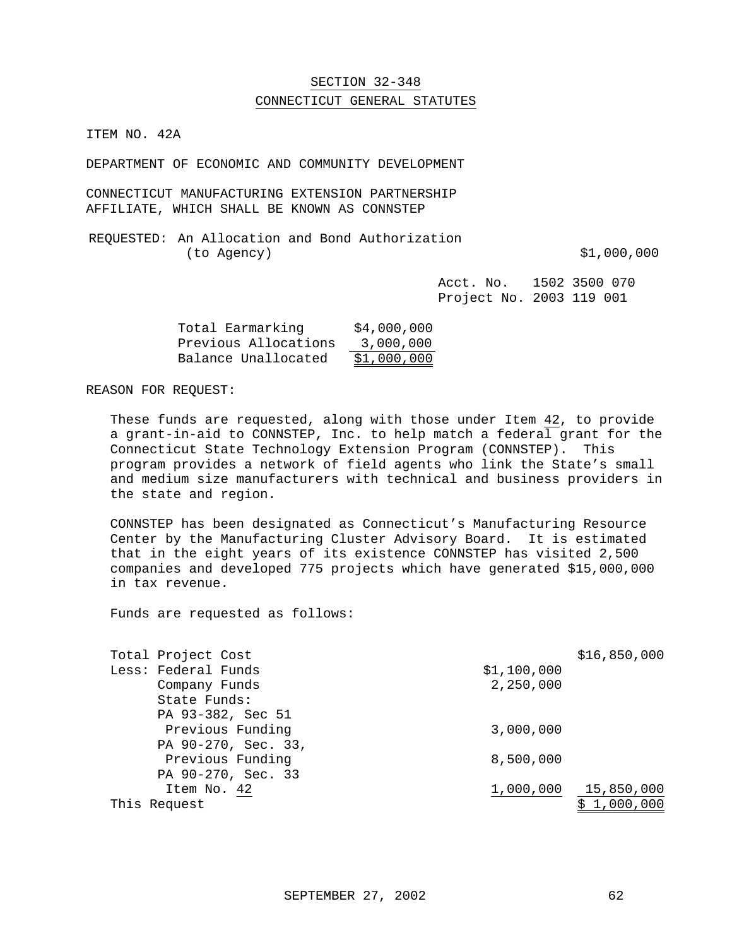### SECTION 32-348

#### CONNECTICUT GENERAL STATUTES

ITEM NO. 42A

DEPARTMENT OF ECONOMIC AND COMMUNITY DEVELOPMENT

CONNECTICUT MANUFACTURING EXTENSION PARTNERSHIP AFFILIATE, WHICH SHALL BE KNOWN AS CONNSTEP

REQUESTED: An Allocation and Bond Authorization (to Agency) \$1,000,000

Acct. No. 1502 3500 070 Project No. 2003 119 001

| Total Earmarking     | \$4,000,000 |
|----------------------|-------------|
| Previous Allocations | 3,000,000   |
| Balance Unallocated  | \$1,000,000 |

#### REASON FOR REQUEST:

These funds are requested, along with those under Item 42, to provide a grant-in-aid to CONNSTEP, Inc. to help match a federal grant for the Connecticut State Technology Extension Program (CONNSTEP). This program provides a network of field agents who link the State's small and medium size manufacturers with technical and business providers in the state and region.

CONNSTEP has been designated as Connecticut's Manufacturing Resource Center by the Manufacturing Cluster Advisory Board. It is estimated that in the eight years of its existence CONNSTEP has visited 2,500 companies and developed 775 projects which have generated \$15,000,000 in tax revenue.

| Total Project Cost  |             | \$16,850,000 |
|---------------------|-------------|--------------|
| Less: Federal Funds | \$1,100,000 |              |
| Company Funds       | 2,250,000   |              |
| State Funds:        |             |              |
| PA 93-382, Sec 51   |             |              |
| Previous Funding    | 3,000,000   |              |
| PA 90-270, Sec. 33, |             |              |
| Previous Funding    | 8,500,000   |              |
| PA 90-270, Sec. 33  |             |              |
| Item No. 42         | 1,000,000   | 15,850,000   |
| This Request        |             | 1,000,000    |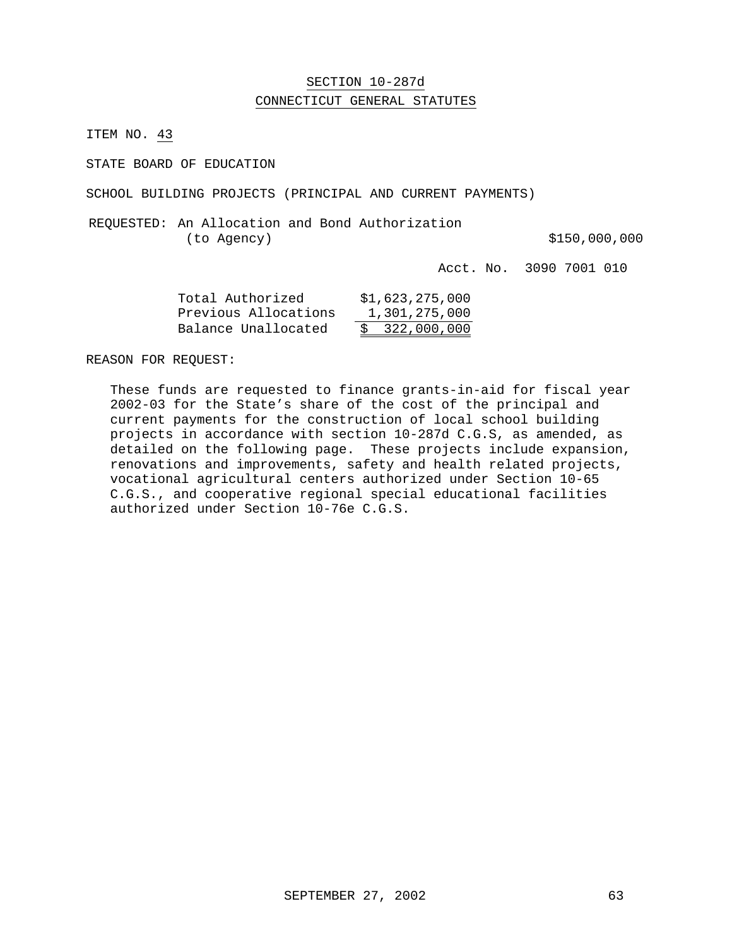### SECTION 10-287d CONNECTICUT GENERAL STATUTES

ITEM NO. 43

STATE BOARD OF EDUCATION

SCHOOL BUILDING PROJECTS (PRINCIPAL AND CURRENT PAYMENTS)

REQUESTED: An Allocation and Bond Authorization (to Agency)  $$150,000,000$ 

Acct. No. 3090 7001 010

| Total Authorized     | \$1,623,275,000 |
|----------------------|-----------------|
| Previous Allocations | 1,301,275,000   |
| Balance Unallocated  | \$322,000,000   |

REASON FOR REQUEST:

These funds are requested to finance grants-in-aid for fiscal year 2002-03 for the State's share of the cost of the principal and current payments for the construction of local school building projects in accordance with section 10-287d C.G.S, as amended, as detailed on the following page. These projects include expansion, renovations and improvements, safety and health related projects, vocational agricultural centers authorized under Section 10-65 C.G.S., and cooperative regional special educational facilities authorized under Section 10-76e C.G.S.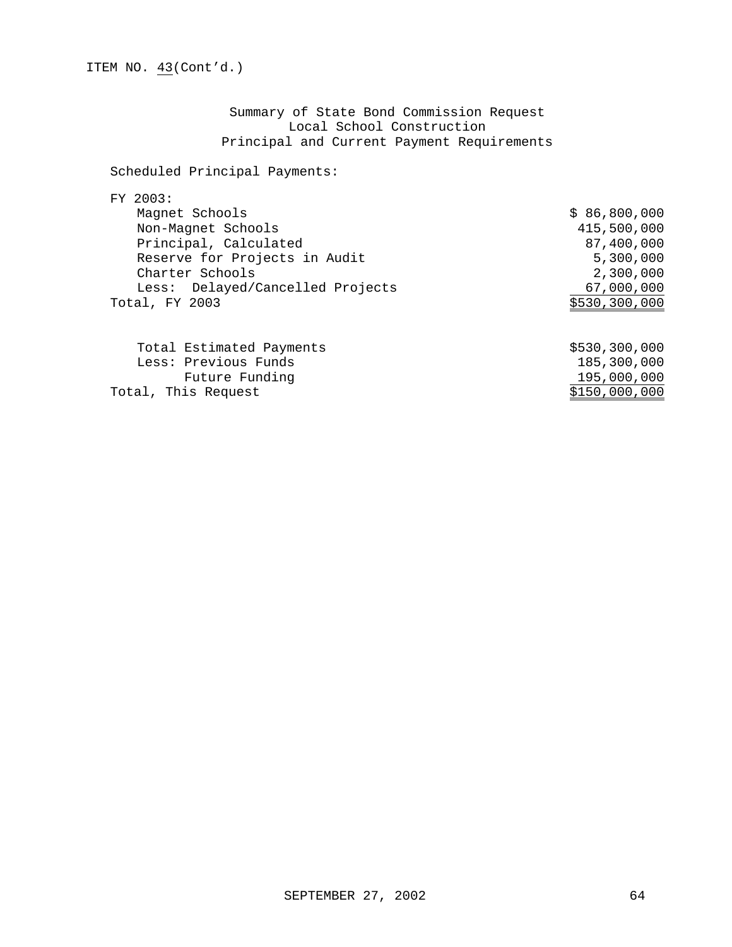Summary of State Bond Commission Request Local School Construction Principal and Current Payment Requirements

### Scheduled Principal Payments:

### FY 2003:

| Magnet Schools                   | \$86,800,000  |
|----------------------------------|---------------|
| Non-Magnet Schools               | 415,500,000   |
| Principal, Calculated            | 87,400,000    |
| Reserve for Projects in Audit    | 5,300,000     |
| Charter Schools                  | 2,300,000     |
| Less: Delayed/Cancelled Projects | 67,000,000    |
| Total, FY 2003                   | \$530,300,000 |
|                                  |               |
| Total Estimated Payments         | \$530,300,000 |
| Less: Previous Funds             | 185,300,000   |
| Future Funding                   | 195,000,000   |
| Total, This Request              | \$150,000,000 |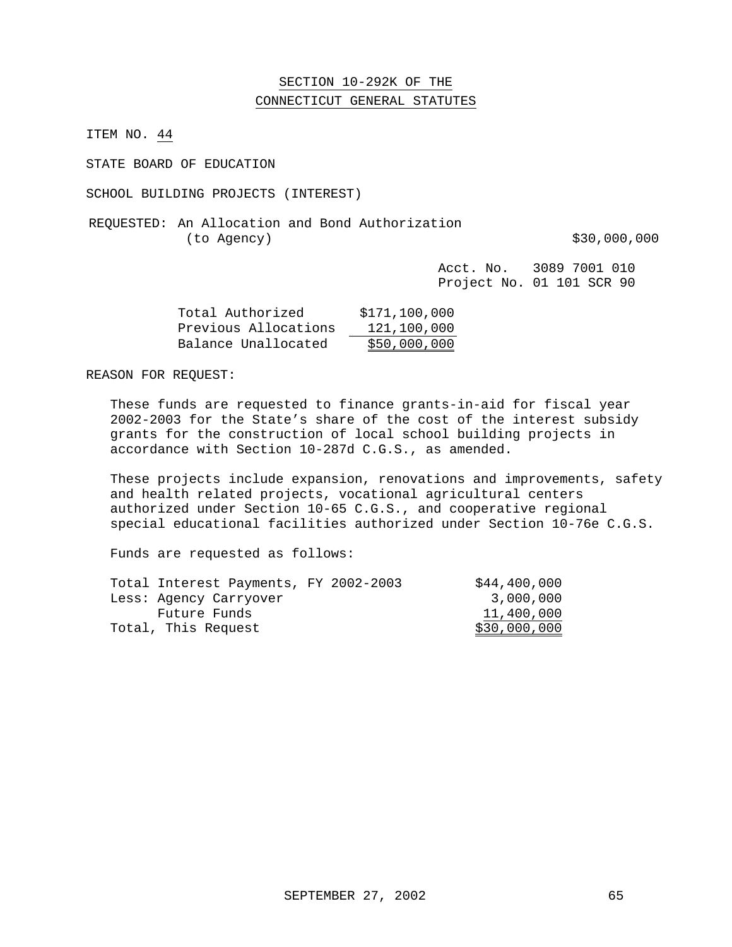### SECTION 10-292K OF THE CONNECTICUT GENERAL STATUTES

ITEM NO. 44

STATE BOARD OF EDUCATION

SCHOOL BUILDING PROJECTS (INTEREST)

REQUESTED: An Allocation and Bond Authorization (to Agency)  $$30,000,000$ 

Acct. No. 3089 7001 010 Project No. 01 101 SCR 90

| Total Authorized     | \$171,100,000 |
|----------------------|---------------|
| Previous Allocations | 121,100,000   |
| Balance Unallocated  | \$50,000,000  |

REASON FOR REQUEST:

These funds are requested to finance grants-in-aid for fiscal year 2002-2003 for the State's share of the cost of the interest subsidy grants for the construction of local school building projects in accordance with Section 10-287d C.G.S., as amended.

These projects include expansion, renovations and improvements, safety and health related projects, vocational agricultural centers authorized under Section 10-65 C.G.S., and cooperative regional special educational facilities authorized under Section 10-76e C.G.S.

| \$44,400,000 |
|--------------|
| 3,000,000    |
| 11,400,000   |
| \$30,000,000 |
|              |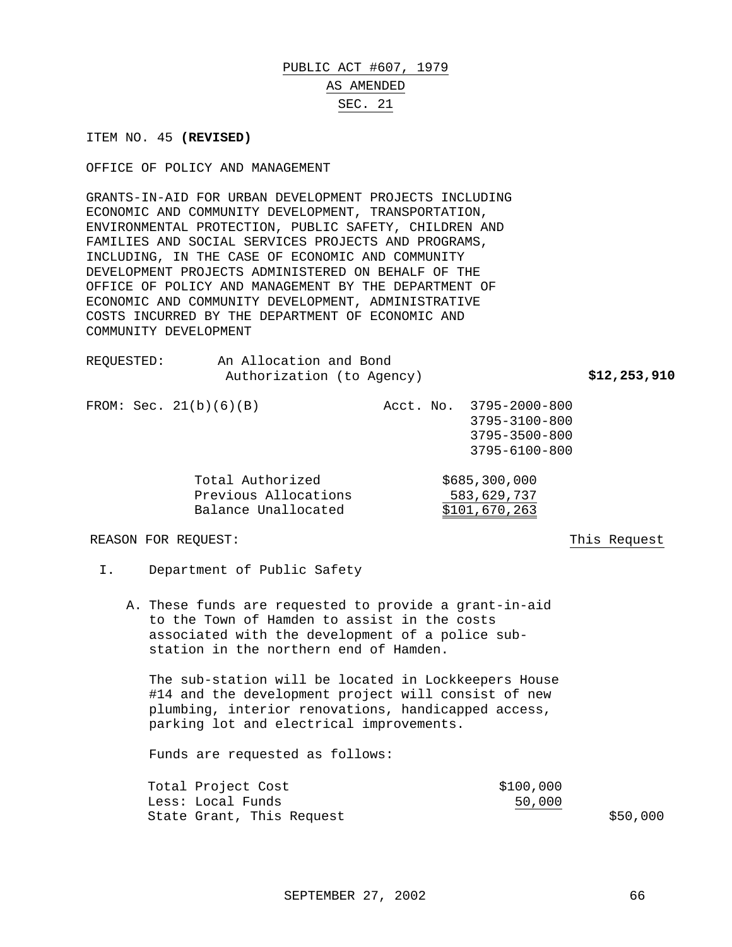# PUBLIC ACT #607, 1979 AS AMENDED SEC. 21

ITEM NO. 45 **(REVISED)**

OFFICE OF POLICY AND MANAGEMENT

GRANTS-IN-AID FOR URBAN DEVELOPMENT PROJECTS INCLUDING ECONOMIC AND COMMUNITY DEVELOPMENT, TRANSPORTATION, ENVIRONMENTAL PROTECTION, PUBLIC SAFETY, CHILDREN AND FAMILIES AND SOCIAL SERVICES PROJECTS AND PROGRAMS, INCLUDING, IN THE CASE OF ECONOMIC AND COMMUNITY DEVELOPMENT PROJECTS ADMINISTERED ON BEHALF OF THE OFFICE OF POLICY AND MANAGEMENT BY THE DEPARTMENT OF ECONOMIC AND COMMUNITY DEVELOPMENT, ADMINISTRATIVE COSTS INCURRED BY THE DEPARTMENT OF ECONOMIC AND COMMUNITY DEVELOPMENT

| REOUESTED:          | An Allocation and Bond<br>Authorization (to Agency)             |  |                                                                            | \$12,253,910 |
|---------------------|-----------------------------------------------------------------|--|----------------------------------------------------------------------------|--------------|
|                     | FROM: Sec. $21(b)(6)(B)$                                        |  | Acct. No. 3795-2000-800<br>3795-3100-800<br>3795-3500-800<br>3795-6100-800 |              |
|                     | Total Authorized<br>Previous Allocations<br>Balance Unallocated |  | \$685,300,000<br>583,629,737<br>\$101,670,263                              |              |
| REASON FOR REOUEST: |                                                                 |  |                                                                            | This Request |

- I. Department of Public Safety
	- A. These funds are requested to provide a grant-in-aid to the Town of Hamden to assist in the costs associated with the development of a police substation in the northern end of Hamden.

The sub-station will be located in Lockkeepers House #14 and the development project will consist of new plumbing, interior renovations, handicapped access, parking lot and electrical improvements.

| Total Project Cost        | \$100,000 |          |
|---------------------------|-----------|----------|
| Less: Local Funds         | 50,000    |          |
| State Grant, This Request |           | \$50,000 |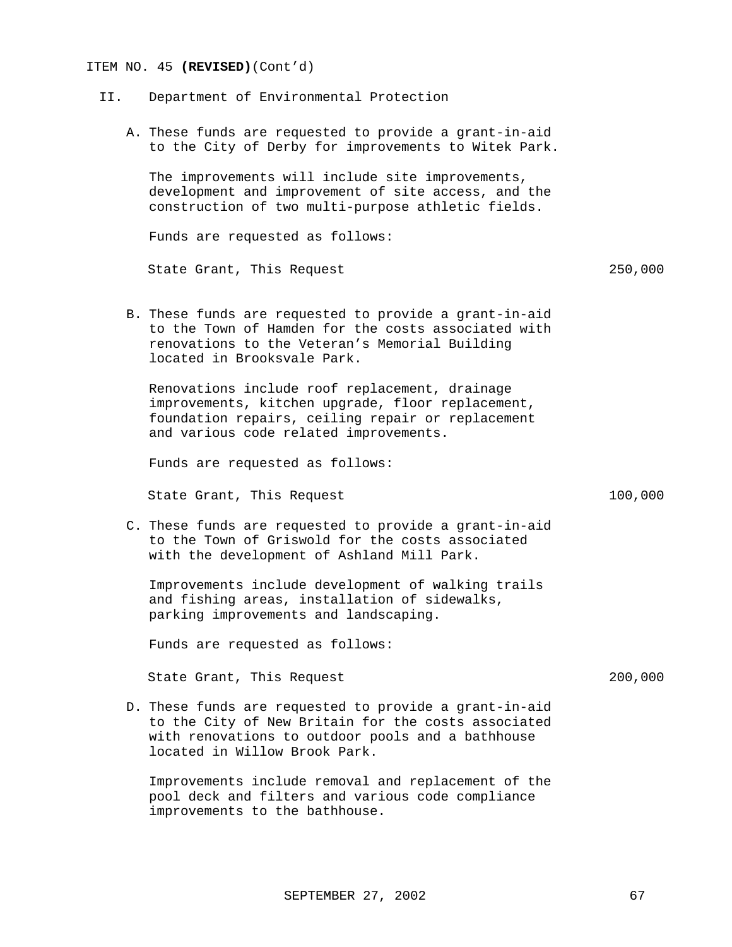#### ITEM NO. 45 **(REVISED)**(Cont'd)

- II. Department of Environmental Protection
	- A. These funds are requested to provide a grant-in-aid to the City of Derby for improvements to Witek Park.

The improvements will include site improvements, development and improvement of site access, and the construction of two multi-purpose athletic fields.

Funds are requested as follows:

State Grant, This Request 250,000

B. These funds are requested to provide a grant-in-aid to the Town of Hamden for the costs associated with renovations to the Veteran's Memorial Building located in Brooksvale Park.

Renovations include roof replacement, drainage improvements, kitchen upgrade, floor replacement, foundation repairs, ceiling repair or replacement and various code related improvements.

Funds are requested as follows:

State Grant, This Request 100,000

C. These funds are requested to provide a grant-in-aid to the Town of Griswold for the costs associated with the development of Ashland Mill Park.

Improvements include development of walking trails and fishing areas, installation of sidewalks, parking improvements and landscaping.

Funds are requested as follows:

State Grant, This Request 200,000

D. These funds are requested to provide a grant-in-aid to the City of New Britain for the costs associated with renovations to outdoor pools and a bathhouse located in Willow Brook Park.

Improvements include removal and replacement of the pool deck and filters and various code compliance improvements to the bathhouse.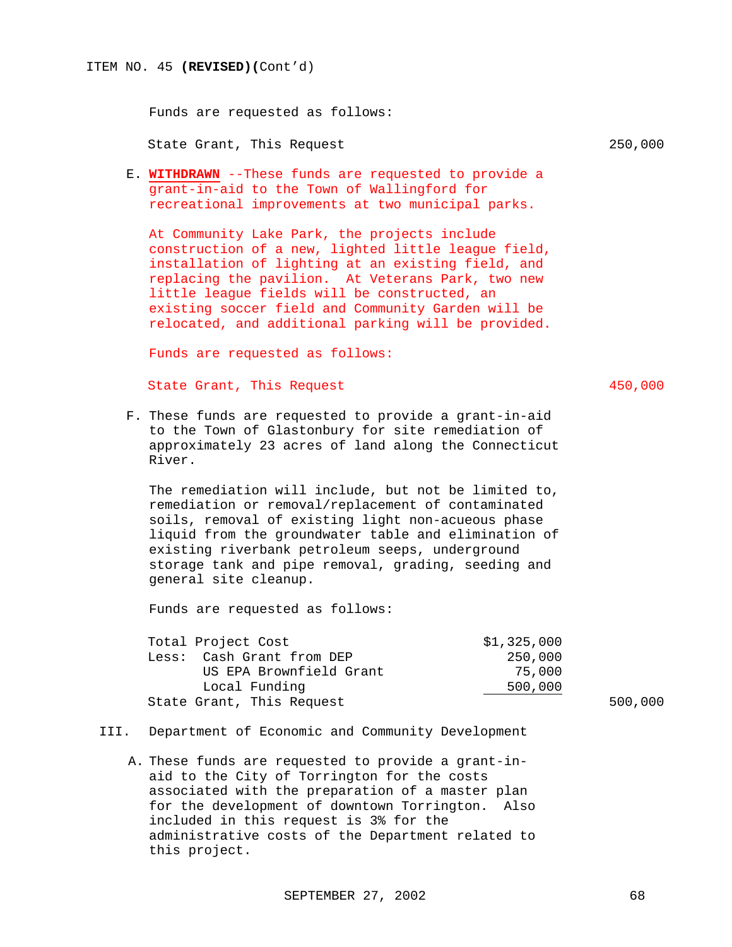Funds are requested as follows:

State Grant, This Request 250,000

- 
- E. **WITHDRAWN** --These funds are requested to provide a grant-in-aid to the Town of Wallingford for recreational improvements at two municipal parks.

At Community Lake Park, the projects include construction of a new, lighted little league field, installation of lighting at an existing field, and replacing the pavilion. At Veterans Park, two new little league fields will be constructed, an existing soccer field and Community Garden will be relocated, and additional parking will be provided.

Funds are requested as follows:

State Grant, This Request 450,000

F. These funds are requested to provide a grant-in-aid to the Town of Glastonbury for site remediation of approximately 23 acres of land along the Connecticut River.

The remediation will include, but not be limited to, remediation or removal/replacement of contaminated soils, removal of existing light non-acueous phase liquid from the groundwater table and elimination of existing riverbank petroleum seeps, underground storage tank and pipe removal, grading, seeding and general site cleanup.

| Total Project Cost        | \$1,325,000 |         |
|---------------------------|-------------|---------|
| Less: Cash Grant from DEP | 250,000     |         |
| US EPA Brownfield Grant   | 75,000      |         |
| Local Funding             | 500,000     |         |
| State Grant, This Request |             | 500,000 |

- III. Department of Economic and Community Development
	- A. These funds are requested to provide a grant-inaid to the City of Torrington for the costs associated with the preparation of a master plan for the development of downtown Torrington. Also included in this request is 3% for the administrative costs of the Department related to this project.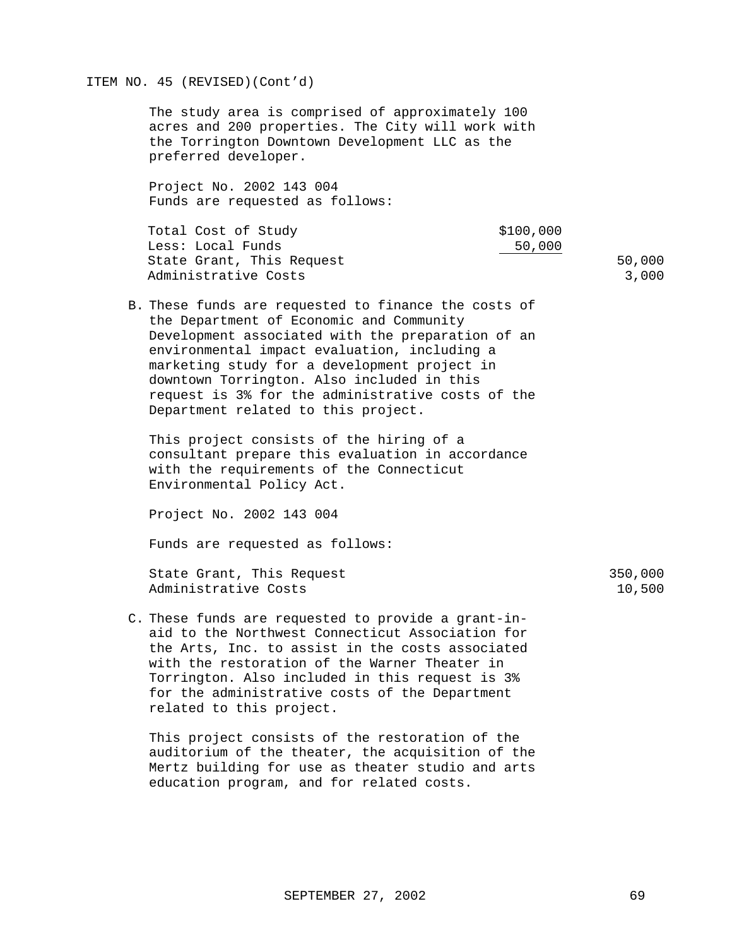#### ITEM NO. 45 (REVISED)(Cont'd)

The study area is comprised of approximately 100 acres and 200 properties. The City will work with the Torrington Downtown Development LLC as the preferred developer.

Project No. 2002 143 004 Funds are requested as follows:

| Total Cost of Study       | \$100,000 |
|---------------------------|-----------|
| Less: Local Funds         | 50,000    |
| State Grant, This Request | 50,000    |
| Administrative Costs      | 3,000     |

B. These funds are requested to finance the costs of the Department of Economic and Community Development associated with the preparation of an environmental impact evaluation, including a marketing study for a development project in downtown Torrington. Also included in this request is 3% for the administrative costs of the Department related to this project.

This project consists of the hiring of a consultant prepare this evaluation in accordance with the requirements of the Connecticut Environmental Policy Act.

Project No. 2002 143 004

Funds are requested as follows:

State Grant, This Request 350,000 Administrative Costs 10,500

C. These funds are requested to provide a grant-inaid to the Northwest Connecticut Association for the Arts, Inc. to assist in the costs associated with the restoration of the Warner Theater in Torrington. Also included in this request is 3% for the administrative costs of the Department related to this project.

This project consists of the restoration of the auditorium of the theater, the acquisition of the Mertz building for use as theater studio and arts education program, and for related costs.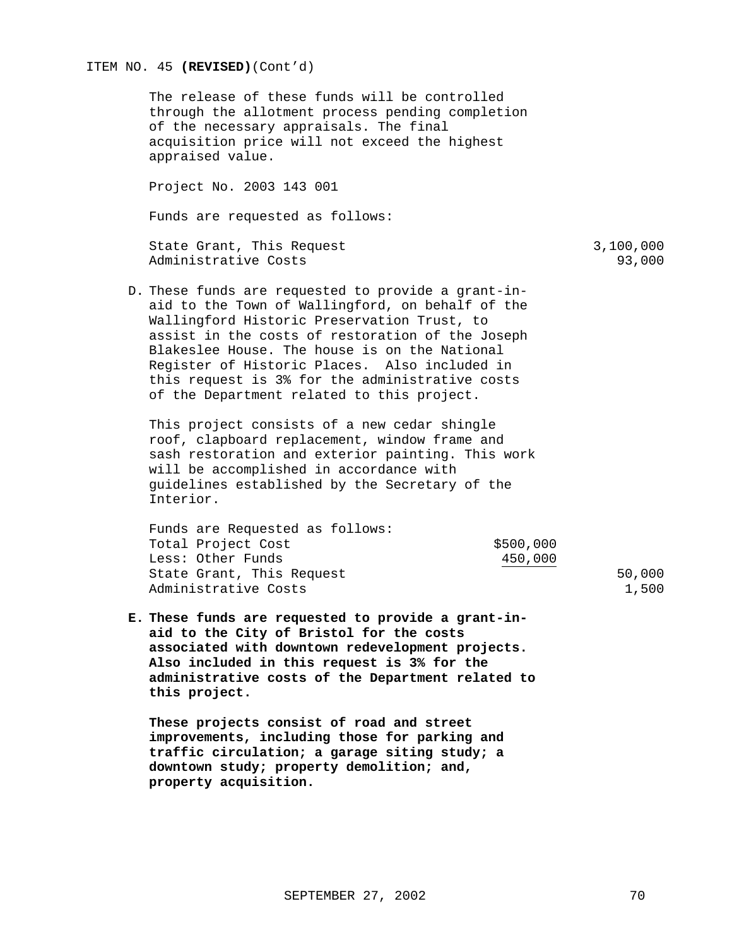### ITEM NO. 45 **(REVISED)**(Cont'd)

The release of these funds will be controlled through the allotment process pending completion of the necessary appraisals. The final acquisition price will not exceed the highest appraised value.

Project No. 2003 143 001

Funds are requested as follows:

State Grant, This Request 3,100,000 Administrative Costs 93,000

D. These funds are requested to provide a grant-inaid to the Town of Wallingford, on behalf of the Wallingford Historic Preservation Trust, to assist in the costs of restoration of the Joseph Blakeslee House. The house is on the National Register of Historic Places. Also included in this request is 3% for the administrative costs of the Department related to this project.

This project consists of a new cedar shingle roof, clapboard replacement, window frame and sash restoration and exterior painting. This work will be accomplished in accordance with guidelines established by the Secretary of the Interior.

Funds are Requested as follows: Total Project Cost  $$500,000$ Less: Other Funds 450,000 State Grant, This Request 50,000 Administrative Costs 1,500

**E. These funds are requested to provide a grant-inaid to the City of Bristol for the costs associated with downtown redevelopment projects. Also included in this request is 3% for the administrative costs of the Department related to this project.**

**These projects consist of road and street improvements, including those for parking and traffic circulation; a garage siting study; a downtown study; property demolition; and, property acquisition.**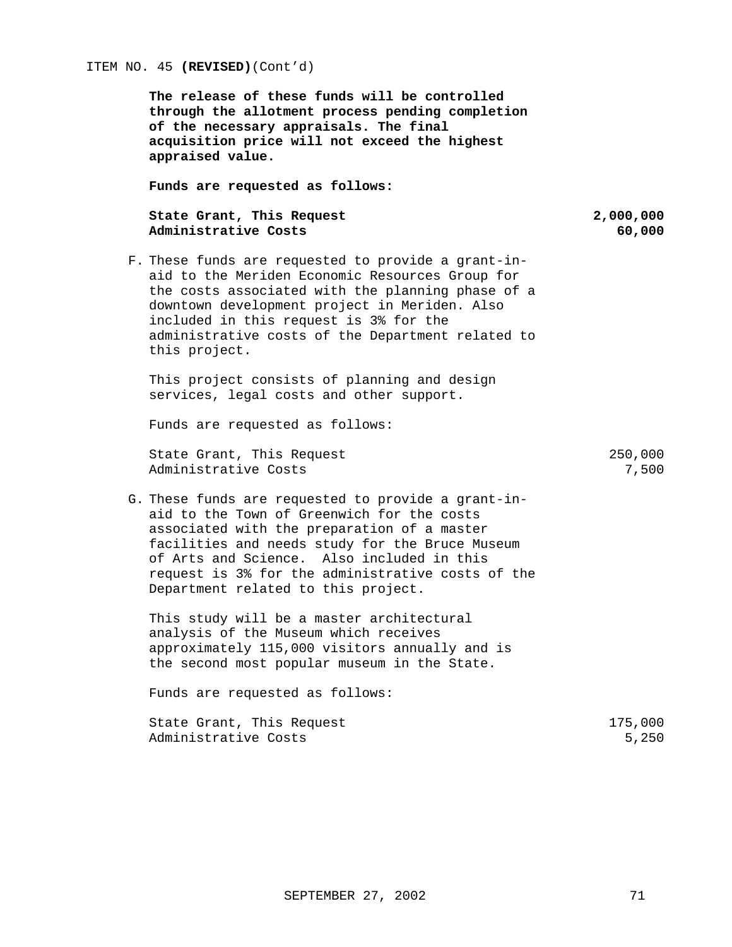**The release of these funds will be controlled through the allotment process pending completion of the necessary appraisals. The final acquisition price will not exceed the highest appraised value.**

**Funds are requested as follows:**

### State Grant, This Request 2,000,000 **Administrative Costs 60,000**

F. These funds are requested to provide a grant-inaid to the Meriden Economic Resources Group for the costs associated with the planning phase of a downtown development project in Meriden. Also included in this request is 3% for the administrative costs of the Department related to this project.

This project consists of planning and design services, legal costs and other support.

Funds are requested as follows:

State Grant, This Request 250,000<br>Administrative Costs 250,000 Administrative Costs

G. These funds are requested to provide a grant-inaid to the Town of Greenwich for the costs associated with the preparation of a master facilities and needs study for the Bruce Museum of Arts and Science. Also included in this request is 3% for the administrative costs of the Department related to this project.

This study will be a master architectural analysis of the Museum which receives approximately 115,000 visitors annually and is the second most popular museum in the State.

| State Grant, This Request | 175,000 |
|---------------------------|---------|
| Administrative Costs      | 5,250   |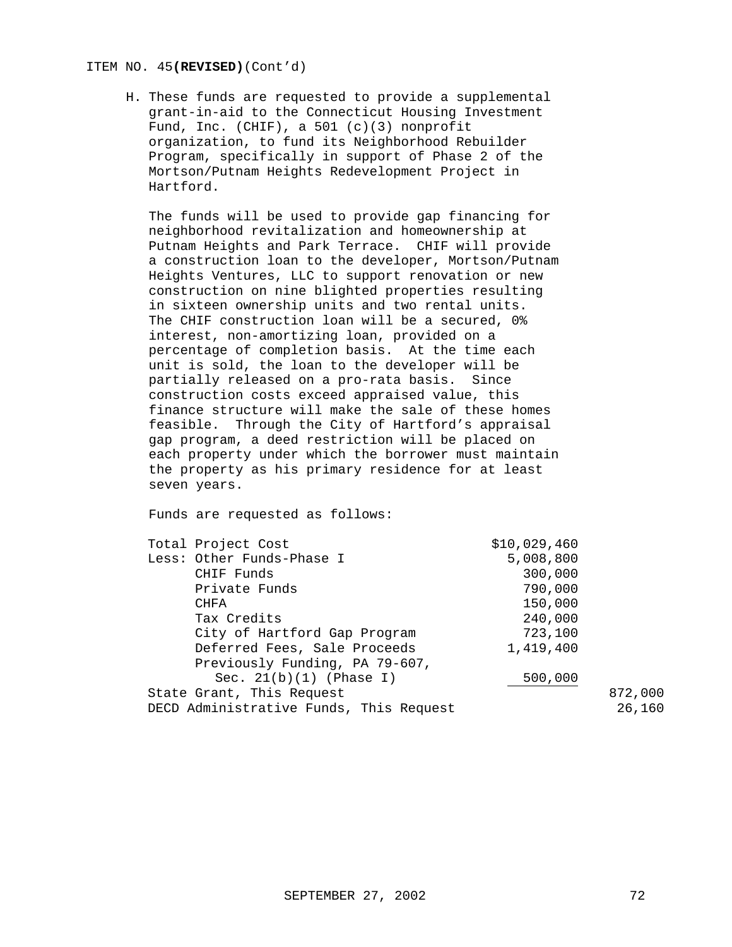#### ITEM NO. 45**(REVISED)**(Cont'd)

H. These funds are requested to provide a supplemental grant-in-aid to the Connecticut Housing Investment Fund, Inc. (CHIF), a 501 (c)(3) nonprofit organization, to fund its Neighborhood Rebuilder Program, specifically in support of Phase 2 of the Mortson/Putnam Heights Redevelopment Project in Hartford.

The funds will be used to provide gap financing for neighborhood revitalization and homeownership at Putnam Heights and Park Terrace. CHIF will provide a construction loan to the developer, Mortson/Putnam Heights Ventures, LLC to support renovation or new construction on nine blighted properties resulting in sixteen ownership units and two rental units. The CHIF construction loan will be a secured, 0% interest, non-amortizing loan, provided on a percentage of completion basis. At the time each unit is sold, the loan to the developer will be partially released on a pro-rata basis. Since construction costs exceed appraised value, this finance structure will make the sale of these homes feasible. Through the City of Hartford's appraisal gap program, a deed restriction will be placed on each property under which the borrower must maintain the property as his primary residence for at least seven years.

| Total Project Cost                      |                                | \$10,029,460 |        |
|-----------------------------------------|--------------------------------|--------------|--------|
|                                         | Less: Other Funds-Phase I      | 5,008,800    |        |
|                                         | CHIF Funds                     | 300,000      |        |
|                                         | Private Funds                  | 790,000      |        |
| <b>CHFA</b>                             |                                | 150,000      |        |
|                                         | Tax Credits                    | 240,000      |        |
|                                         | City of Hartford Gap Program   | 723,100      |        |
| Deferred Fees, Sale Proceeds            |                                | 1,419,400    |        |
|                                         | Previously Funding, PA 79-607, |              |        |
|                                         | Sec. $21(b)(1)$ (Phase I)      | 500,000      |        |
| State Grant, This Request               |                                | 872,000      |        |
| DECD Administrative Funds, This Request |                                |              | 26,160 |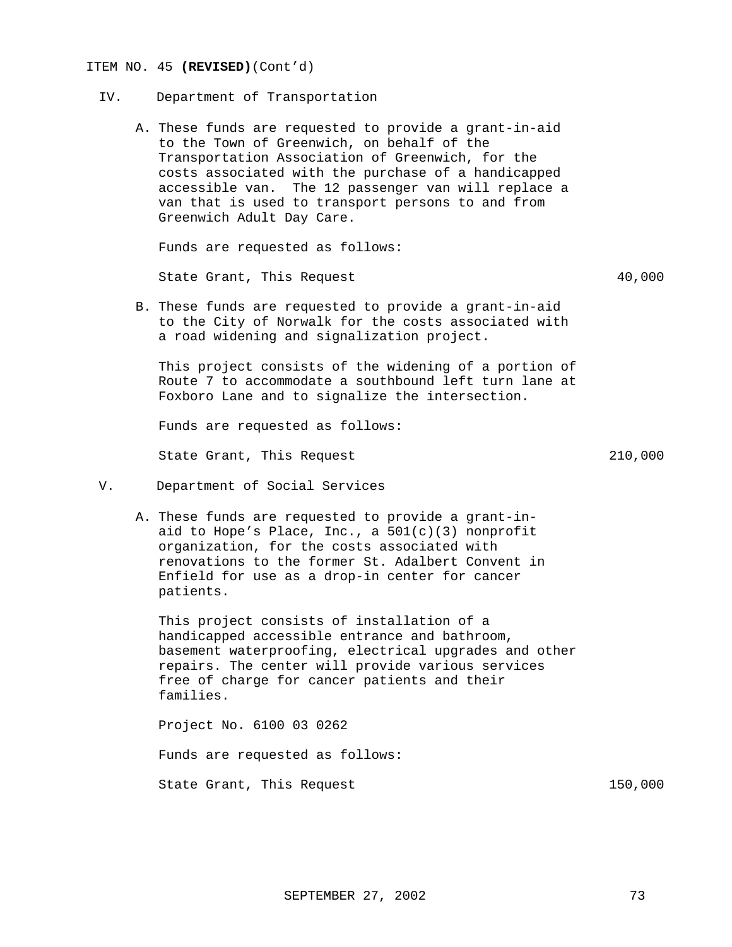#### ITEM NO. 45 **(REVISED)**(Cont'd)

- IV. Department of Transportation
	- A. These funds are requested to provide a grant-in-aid to the Town of Greenwich, on behalf of the Transportation Association of Greenwich, for the costs associated with the purchase of a handicapped accessible van. The 12 passenger van will replace a van that is used to transport persons to and from Greenwich Adult Day Care.

Funds are requested as follows:

State Grant, This Request  $40,000$ 

B. These funds are requested to provide a grant-in-aid to the City of Norwalk for the costs associated with a road widening and signalization project.

This project consists of the widening of a portion of Route 7 to accommodate a southbound left turn lane at Foxboro Lane and to signalize the intersection.

Funds are requested as follows:

State Grant, This Request 210,000

- V. Department of Social Services
	- A. These funds are requested to provide a grant-inaid to Hope's Place, Inc., a 501(c)(3) nonprofit organization, for the costs associated with renovations to the former St. Adalbert Convent in Enfield for use as a drop-in center for cancer patients.

This project consists of installation of a handicapped accessible entrance and bathroom, basement waterproofing, electrical upgrades and other repairs. The center will provide various services free of charge for cancer patients and their families.

Project No. 6100 03 0262 Funds are requested as follows: State Grant, This Request 150,000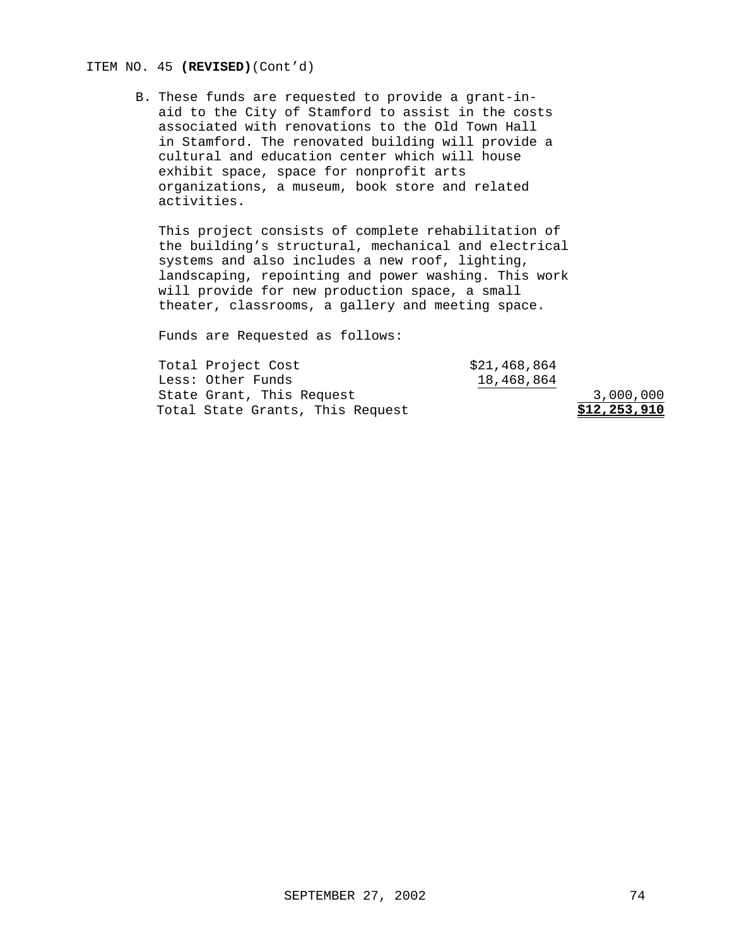## ITEM NO. 45 **(REVISED)**(Cont'd)

B. These funds are requested to provide a grant-inaid to the City of Stamford to assist in the costs associated with renovations to the Old Town Hall in Stamford. The renovated building will provide a cultural and education center which will house exhibit space, space for nonprofit arts organizations, a museum, book store and related activities.

This project consists of complete rehabilitation of the building's structural, mechanical and electrical systems and also includes a new roof, lighting, landscaping, repointing and power washing. This work will provide for new production space, a small theater, classrooms, a gallery and meeting space.

Funds are Requested as follows:

| Total State Grants, This Request |              | \$12,253,910 |
|----------------------------------|--------------|--------------|
| State Grant, This Request        |              | 3,000,000    |
| Less: Other Funds                | 18,468,864   |              |
| Total Project Cost               | \$21,468,864 |              |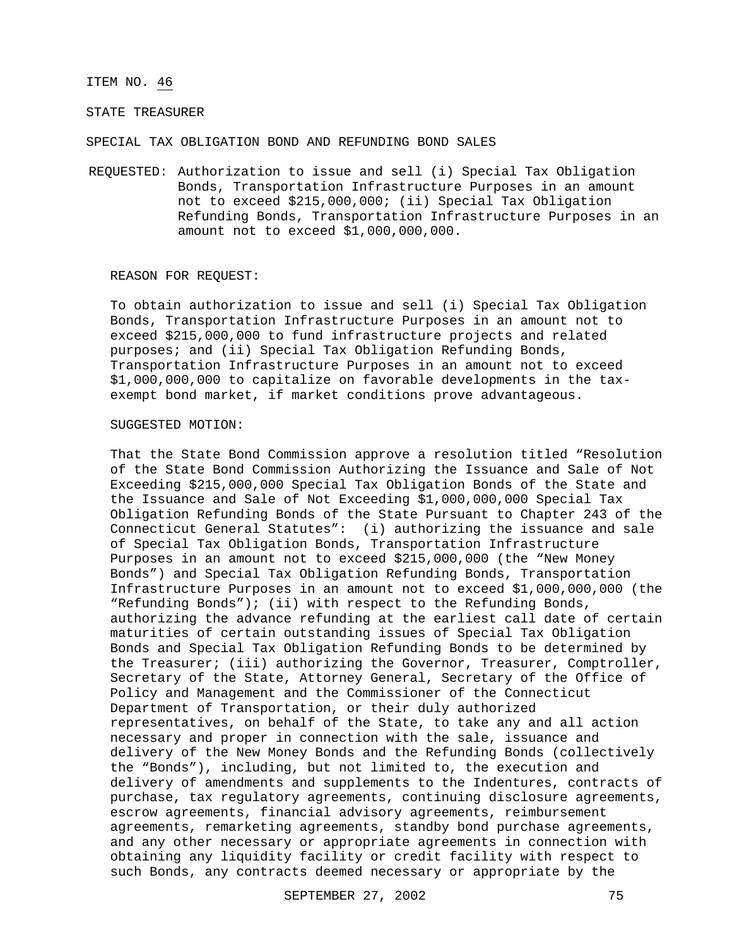#### ITEM NO. 46

## STATE TREASURER

SPECIAL TAX OBLIGATION BOND AND REFUNDING BOND SALES

REQUESTED: Authorization to issue and sell (i) Special Tax Obligation Bonds, Transportation Infrastructure Purposes in an amount not to exceed \$215,000,000; (ii) Special Tax Obligation Refunding Bonds, Transportation Infrastructure Purposes in an amount not to exceed \$1,000,000,000.

#### REASON FOR REQUEST:

To obtain authorization to issue and sell (i) Special Tax Obligation Bonds, Transportation Infrastructure Purposes in an amount not to exceed \$215,000,000 to fund infrastructure projects and related purposes; and (ii) Special Tax Obligation Refunding Bonds, Transportation Infrastructure Purposes in an amount not to exceed \$1,000,000,000 to capitalize on favorable developments in the taxexempt bond market, if market conditions prove advantageous.

#### SUGGESTED MOTION:

That the State Bond Commission approve a resolution titled "Resolution of the State Bond Commission Authorizing the Issuance and Sale of Not Exceeding \$215,000,000 Special Tax Obligation Bonds of the State and the Issuance and Sale of Not Exceeding \$1,000,000,000 Special Tax Obligation Refunding Bonds of the State Pursuant to Chapter 243 of the Connecticut General Statutes": (i) authorizing the issuance and sale of Special Tax Obligation Bonds, Transportation Infrastructure Purposes in an amount not to exceed \$215,000,000 (the "New Money Bonds") and Special Tax Obligation Refunding Bonds, Transportation Infrastructure Purposes in an amount not to exceed \$1,000,000,000 (the "Refunding Bonds"); (ii) with respect to the Refunding Bonds, authorizing the advance refunding at the earliest call date of certain maturities of certain outstanding issues of Special Tax Obligation Bonds and Special Tax Obligation Refunding Bonds to be determined by the Treasurer; (iii) authorizing the Governor, Treasurer, Comptroller, Secretary of the State, Attorney General, Secretary of the Office of Policy and Management and the Commissioner of the Connecticut Department of Transportation, or their duly authorized representatives, on behalf of the State, to take any and all action necessary and proper in connection with the sale, issuance and delivery of the New Money Bonds and the Refunding Bonds (collectively the "Bonds"), including, but not limited to, the execution and delivery of amendments and supplements to the Indentures, contracts of purchase, tax regulatory agreements, continuing disclosure agreements, escrow agreements, financial advisory agreements, reimbursement agreements, remarketing agreements, standby bond purchase agreements, and any other necessary or appropriate agreements in connection with obtaining any liquidity facility or credit facility with respect to such Bonds, any contracts deemed necessary or appropriate by the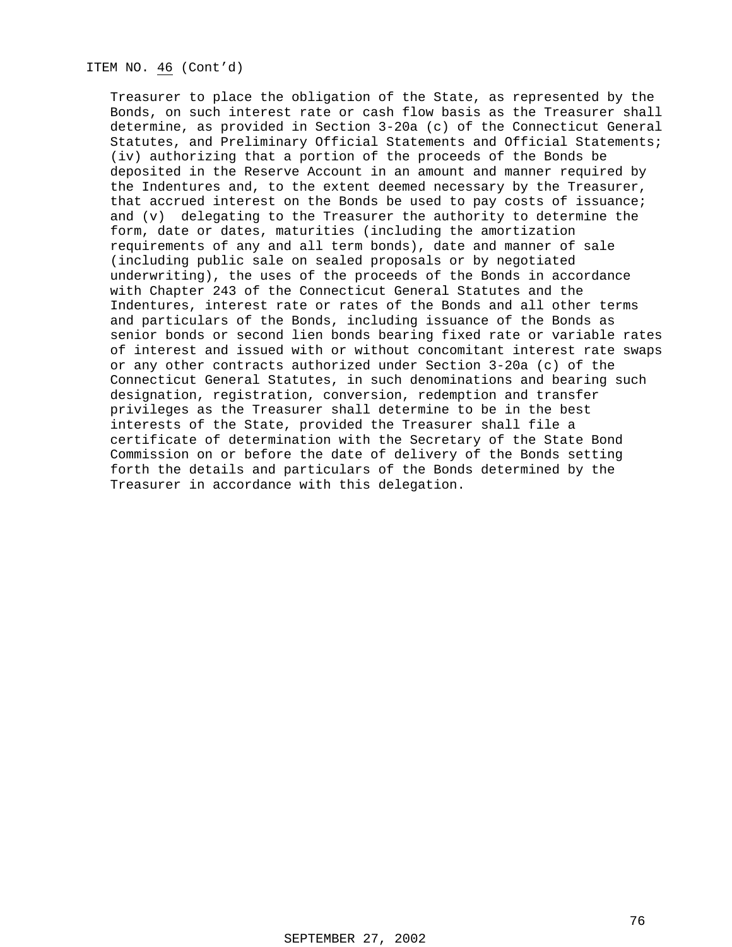## ITEM NO. 46 (Cont'd)

Treasurer to place the obligation of the State, as represented by the Bonds, on such interest rate or cash flow basis as the Treasurer shall determine, as provided in Section 3-20a (c) of the Connecticut General Statutes, and Preliminary Official Statements and Official Statements; (iv) authorizing that a portion of the proceeds of the Bonds be deposited in the Reserve Account in an amount and manner required by the Indentures and, to the extent deemed necessary by the Treasurer, that accrued interest on the Bonds be used to pay costs of issuance; and (v) delegating to the Treasurer the authority to determine the form, date or dates, maturities (including the amortization requirements of any and all term bonds), date and manner of sale (including public sale on sealed proposals or by negotiated underwriting), the uses of the proceeds of the Bonds in accordance with Chapter 243 of the Connecticut General Statutes and the Indentures, interest rate or rates of the Bonds and all other terms and particulars of the Bonds, including issuance of the Bonds as senior bonds or second lien bonds bearing fixed rate or variable rates of interest and issued with or without concomitant interest rate swaps or any other contracts authorized under Section 3-20a (c) of the Connecticut General Statutes, in such denominations and bearing such designation, registration, conversion, redemption and transfer privileges as the Treasurer shall determine to be in the best interests of the State, provided the Treasurer shall file a certificate of determination with the Secretary of the State Bond Commission on or before the date of delivery of the Bonds setting forth the details and particulars of the Bonds determined by the Treasurer in accordance with this delegation.